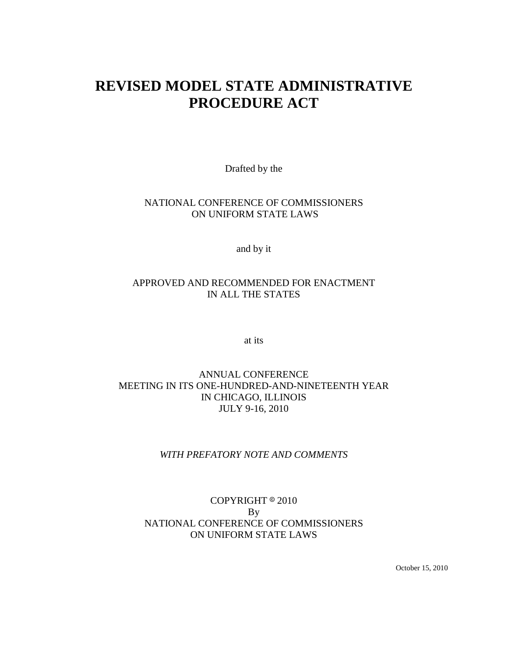# **REVISED MODEL STATE ADMINISTRATIVE PROCEDURE ACT**

Drafted by the

### NATIONAL CONFERENCE OF COMMISSIONERS ON UNIFORM STATE LAWS

and by it

### APPROVED AND RECOMMENDED FOR ENACTMENT IN ALL THE STATES

at its

### ANNUAL CONFERENCE MEETING IN ITS ONE-HUNDRED-AND-NINETEENTH YEAR IN CHICAGO, ILLINOIS JULY 9-16, 2010

### *WITH PREFATORY NOTE AND COMMENTS*

### COPYRIGHT<sup>®</sup>2010 By NATIONAL CONFERENCE OF COMMISSIONERS ON UNIFORM STATE LAWS

October 15, 2010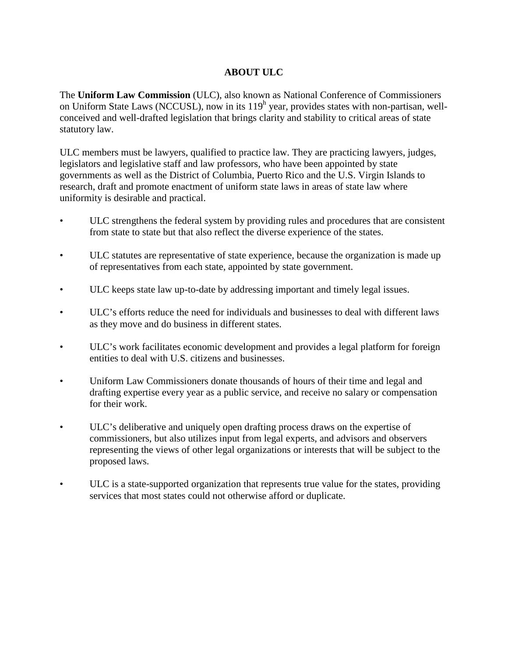# **ABOUT ULC**

The **Uniform Law Commission** (ULC), also known as National Conference of Commissioners on Uniform State Laws (NCCUSL), now in its  $119<sup>h</sup>$  year, provides states with non-partisan, wellconceived and well-drafted legislation that brings clarity and stability to critical areas of state statutory law.

ULC members must be lawyers, qualified to practice law. They are practicing lawyers, judges, legislators and legislative staff and law professors, who have been appointed by state governments as well as the District of Columbia, Puerto Rico and the U.S. Virgin Islands to research, draft and promote enactment of uniform state laws in areas of state law where uniformity is desirable and practical.

- ULC strengthens the federal system by providing rules and procedures that are consistent from state to state but that also reflect the diverse experience of the states.
- ULC statutes are representative of state experience, because the organization is made up of representatives from each state, appointed by state government.
- ULC keeps state law up-to-date by addressing important and timely legal issues.
- ULC's efforts reduce the need for individuals and businesses to deal with different laws as they move and do business in different states.
- ULC's work facilitates economic development and provides a legal platform for foreign entities to deal with U.S. citizens and businesses.
- Uniform Law Commissioners donate thousands of hours of their time and legal and drafting expertise every year as a public service, and receive no salary or compensation for their work.
- ULC's deliberative and uniquely open drafting process draws on the expertise of commissioners, but also utilizes input from legal experts, and advisors and observers representing the views of other legal organizations or interests that will be subject to the proposed laws.
- ULC is a state-supported organization that represents true value for the states, providing services that most states could not otherwise afford or duplicate.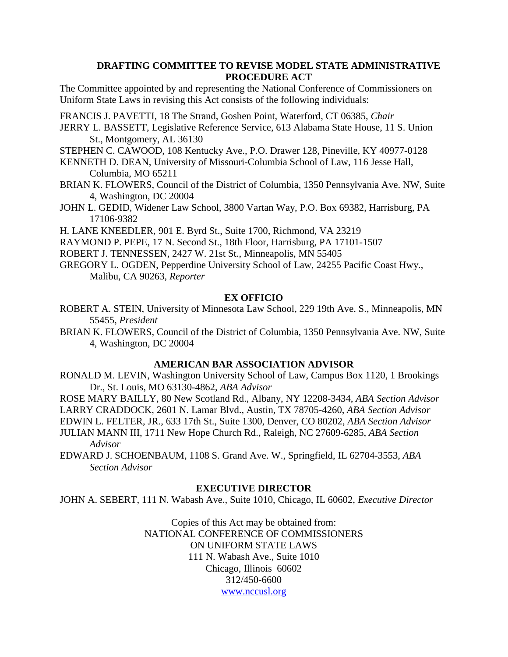### **DRAFTING COMMITTEE TO REVISE MODEL STATE ADMINISTRATIVE PROCEDURE ACT**

The Committee appointed by and representing the National Conference of Commissioners on Uniform State Laws in revising this Act consists of the following individuals:

FRANCIS J. PAVETTI, 18 The Strand, Goshen Point, Waterford, CT 06385, *Chair*

- JERRY L. BASSETT, Legislative Reference Service, 613 Alabama State House, 11 S. Union St., Montgomery, AL 36130
- STEPHEN C. CAWOOD, 108 Kentucky Ave., P.O. Drawer 128, Pineville, KY 40977-0128
- KENNETH D. DEAN, University of Missouri-Columbia School of Law, 116 Jesse Hall, Columbia, MO 65211
- BRIAN K. FLOWERS, Council of the District of Columbia, 1350 Pennsylvania Ave. NW, Suite 4, Washington, DC 20004
- JOHN L. GEDID, Widener Law School, 3800 Vartan Way, P.O. Box 69382, Harrisburg, PA 17106-9382

H. LANE KNEEDLER, 901 E. Byrd St., Suite 1700, Richmond, VA 23219

RAYMOND P. PEPE, 17 N. Second St., 18th Floor, Harrisburg, PA 17101-1507

ROBERT J. TENNESSEN, 2427 W. 21st St., Minneapolis, MN 55405

GREGORY L. OGDEN, Pepperdine University School of Law, 24255 Pacific Coast Hwy., Malibu, CA 90263*, Reporter*

# **EX OFFICIO**

- ROBERT A. STEIN, University of Minnesota Law School, 229 19th Ave. S., Minneapolis, MN 55455, *President*
- BRIAN K. FLOWERS, Council of the District of Columbia, 1350 Pennsylvania Ave. NW, Suite 4, Washington, DC 20004

# **AMERICAN BAR ASSOCIATION ADVISOR**

RONALD M. LEVIN, Washington University School of Law, Campus Box 1120, 1 Brookings Dr., St. Louis, MO 63130-4862, *ABA Advisor*

ROSE MARY BAILLY, 80 New Scotland Rd., Albany, NY 12208-3434, *ABA Section Advisor* LARRY CRADDOCK, 2601 N. Lamar Blvd., Austin, TX 78705-4260, *ABA Section Advisor* EDWIN L. FELTER, JR., 633 17th St., Suite 1300, Denver, CO 80202, *ABA Section Advisor* JULIAN MANN III, 1711 New Hope Church Rd., Raleigh, NC 27609-6285, *ABA Section* 

*Advisor*

EDWARD J. SCHOENBAUM, 1108 S. Grand Ave. W., Springfield, IL 62704-3553, *ABA Section Advisor*

# **EXECUTIVE DIRECTOR**

JOHN A. SEBERT, 111 N. Wabash Ave., Suite 1010, Chicago, IL 60602, *Executive Director*

Copies of this Act may be obtained from: NATIONAL CONFERENCE OF COMMISSIONERS ON UNIFORM STATE LAWS 111 N. Wabash Ave., Suite 1010 Chicago, Illinois 60602 312/450-6600 [www.nccusl.org](http://www.nccusl.org/)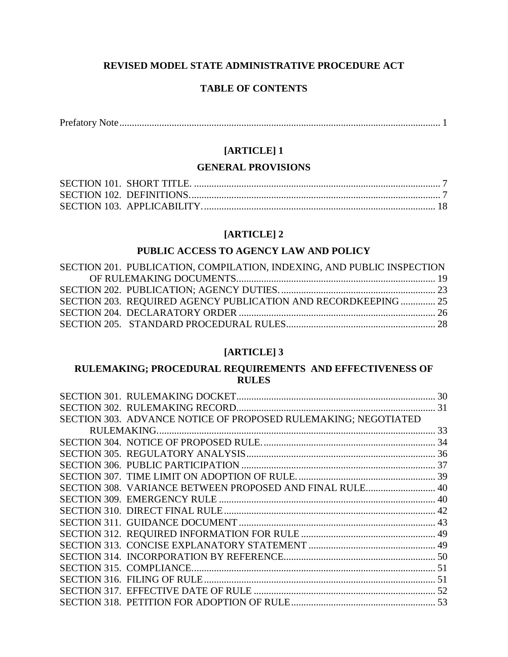# **REVISED MODEL STATE ADMINISTRATIVE PROCEDURE ACT**

# **TABLE OF CONTENTS**

# **[\[ARTICLE\] 1](#page-12-0)**

### **[GENERAL PROVISIONS](#page-12-1)**

# **[\[ARTICLE\] 2](#page-24-0)**

# **[PUBLIC ACCESS TO AGENCY LAW AND POLICY](#page-24-1)**

| SECTION 201. PUBLICATION, COMPILATION, INDEXING, AND PUBLIC INSPECTION |  |
|------------------------------------------------------------------------|--|
|                                                                        |  |
|                                                                        |  |
| SECTION 203. REQUIRED AGENCY PUBLICATION AND RECORDKEEPING 25          |  |
|                                                                        |  |
|                                                                        |  |
|                                                                        |  |

# **[\[ARTICLE\] 3](#page-35-0)**

# **[RULEMAKING; PROCEDURAL REQUIREMENTS AND EFFECTIVENESS OF](#page-35-1)  [RULES](#page-35-1)**

| SECTION 303. ADVANCE NOTICE OF PROPOSED RULEMAKING; NEGOTIATED |  |
|----------------------------------------------------------------|--|
|                                                                |  |
|                                                                |  |
|                                                                |  |
|                                                                |  |
|                                                                |  |
| SECTION 308. VARIANCE BETWEEN PROPOSED AND FINAL RULE 40       |  |
|                                                                |  |
|                                                                |  |
|                                                                |  |
|                                                                |  |
|                                                                |  |
|                                                                |  |
|                                                                |  |
|                                                                |  |
|                                                                |  |
|                                                                |  |
|                                                                |  |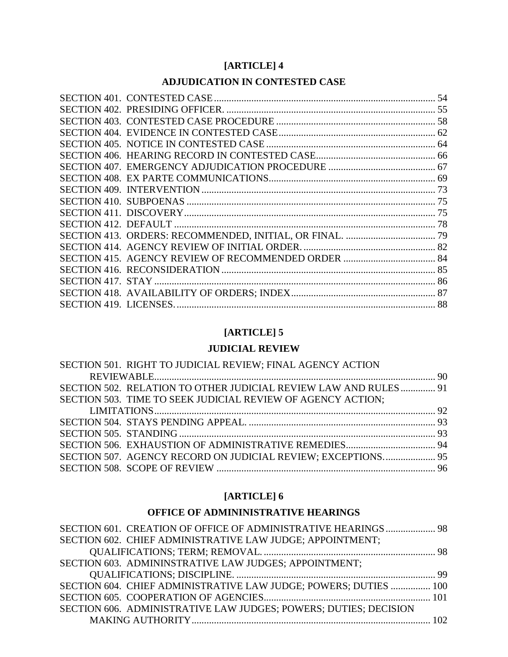# **[\[ARTICLE\] 4](#page-59-0)**

# **[ADJUDICATION IN CONTESTED CASE](#page-59-1)**

# **[\[ARTICLE\] 5](#page-95-0)**

# **[JUDICIAL REVIEW](#page-95-1)**

| SECTION 501. RIGHT TO JUDICIAL REVIEW; FINAL AGENCY ACTION      |  |
|-----------------------------------------------------------------|--|
|                                                                 |  |
| SECTION 502. RELATION TO OTHER JUDICIAL REVIEW LAW AND RULES 91 |  |
| SECTION 503. TIME TO SEEK JUDICIAL REVIEW OF AGENCY ACTION;     |  |
|                                                                 |  |
|                                                                 |  |
|                                                                 |  |
|                                                                 |  |
| SECTION 507. AGENCY RECORD ON JUDICIAL REVIEW; EXCEPTIONS 95    |  |
|                                                                 |  |
|                                                                 |  |

# **[\[ARTICLE\] 6](#page-103-0)**

# **[OFFICE OF ADMININISTRATIVE HEARINGS](#page-103-1)**

| SECTION 601. CREATION OF OFFICE OF ADMINISTRATIVE HEARINGS 98    |  |
|------------------------------------------------------------------|--|
| SECTION 602. CHIEF ADMINISTRATIVE LAW JUDGE; APPOINTMENT;        |  |
|                                                                  |  |
| SECTION 603. ADMININSTRATIVE LAW JUDGES; APPOINTMENT;            |  |
|                                                                  |  |
| SECTION 604. CHIEF ADMINISTRATIVE LAW JUDGE; POWERS; DUTIES  100 |  |
|                                                                  |  |
| SECTION 606. ADMINISTRATIVE LAW JUDGES; POWERS; DUTIES; DECISION |  |
|                                                                  |  |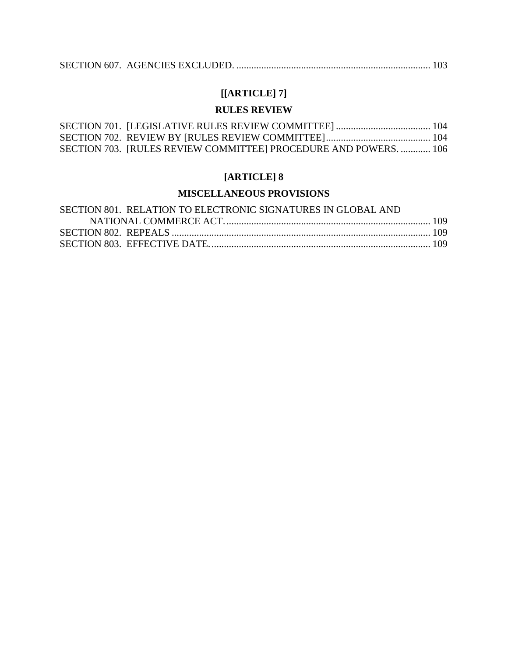# **[\[\[ARTICLE\] 7\]](#page-109-0)**

# **[RULES REVIEW](#page-109-1)**

| SECTION 703. [RULES REVIEW COMMITTEE] PROCEDURE AND POWERS.  106 |  |
|------------------------------------------------------------------|--|

# **[\[ARTICLE\] 8](#page-114-0)**

# **[MISCELLANEOUS PROVISIONS](#page-114-1)**

| SECTION 801. RELATION TO ELECTRONIC SIGNATURES IN GLOBAL AND |  |
|--------------------------------------------------------------|--|
|                                                              |  |
|                                                              |  |
|                                                              |  |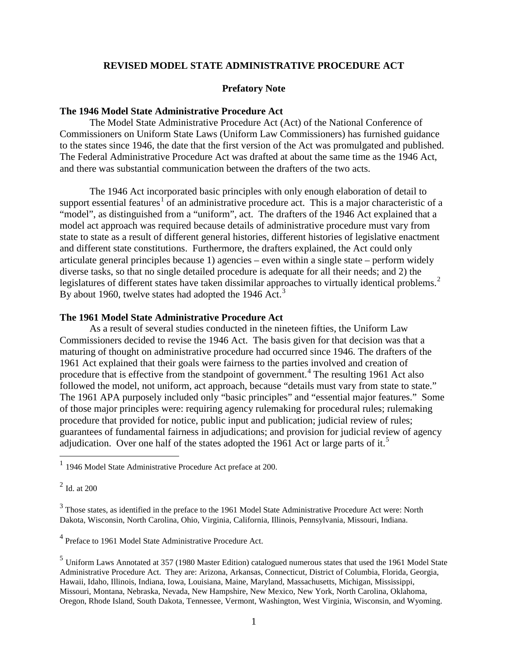#### **REVISED MODEL STATE ADMINISTRATIVE PROCEDURE ACT**

#### **Prefatory Note**

#### <span id="page-6-0"></span>**The 1946 Model State Administrative Procedure Act**

The Model State Administrative Procedure Act (Act) of the National Conference of Commissioners on Uniform State Laws (Uniform Law Commissioners) has furnished guidance to the states since 1946, the date that the first version of the Act was promulgated and published. The Federal Administrative Procedure Act was drafted at about the same time as the 1946 Act, and there was substantial communication between the drafters of the two acts.

The 1946 Act incorporated basic principles with only enough elaboration of detail to support essential features<sup>[1](#page-6-1)</sup> of an administrative procedure act. This is a major characteristic of a "model", as distinguished from a "uniform", act. The drafters of the 1946 Act explained that a model act approach was required because details of administrative procedure must vary from state to state as a result of different general histories, different histories of legislative enactment and different state constitutions. Furthermore, the drafters explained, the Act could only articulate general principles because 1) agencies – even within a single state – perform widely diverse tasks, so that no single detailed procedure is adequate for all their needs; and 2) the legislatures of different states have taken dissimilar approaches to virtually identical problems.<sup>[2](#page-6-2)</sup> By about 1960, twelve states had adopted the 1946 Act.<sup>[3](#page-6-3)</sup>

#### **The 1961 Model State Administrative Procedure Act**

As a result of several studies conducted in the nineteen fifties, the Uniform Law Commissioners decided to revise the 1946 Act. The basis given for that decision was that a maturing of thought on administrative procedure had occurred since 1946. The drafters of the 1961 Act explained that their goals were fairness to the parties involved and creation of procedure that is effective from the standpoint of government.<sup>[4](#page-6-4)</sup> The resulting 1961 Act also followed the model, not uniform, act approach, because "details must vary from state to state." The 1961 APA purposely included only "basic principles" and "essential major features." Some of those major principles were: requiring agency rulemaking for procedural rules; rulemaking procedure that provided for notice, public input and publication; judicial review of rules; guarantees of fundamental fairness in adjudications; and provision for judicial review of agency adjudication. Over one half of the states adopted the 1961 Act or large parts of it.<sup>[5](#page-6-5)</sup>

<span id="page-6-4"></span><sup>4</sup> Preface to 1961 Model State Administrative Procedure Act.

<span id="page-6-5"></span><sup>5</sup> Uniform Laws Annotated at 357 (1980 Master Edition) catalogued numerous states that used the 1961 Model State Administrative Procedure Act. They are: Arizona, Arkansas, Connecticut, District of Columbia, Florida, Georgia, Hawaii, Idaho, Illinois, Indiana, Iowa, Louisiana, Maine, Maryland, Massachusetts, Michigan, Mississippi, Missouri, Montana, Nebraska, Nevada, New Hampshire, New Mexico, New York, North Carolina, Oklahoma, Oregon, Rhode Island, South Dakota, Tennessee, Vermont, Washington, West Virginia, Wisconsin, and Wyoming.

<span id="page-6-1"></span> $1$  1946 Model State Administrative Procedure Act preface at 200.

<span id="page-6-2"></span> $2$  Id. at 200

<span id="page-6-3"></span><sup>&</sup>lt;sup>3</sup> Those states, as identified in the preface to the 1961 Model State Administrative Procedure Act were: North Dakota, Wisconsin, North Carolina, Ohio, Virginia, California, Illinois, Pennsylvania, Missouri, Indiana.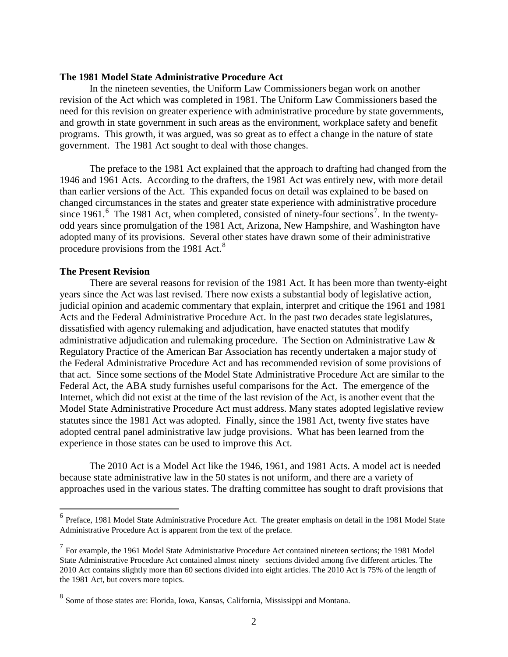#### **The 1981 Model State Administrative Procedure Act**

In the nineteen seventies, the Uniform Law Commissioners began work on another revision of the Act which was completed in 1981. The Uniform Law Commissioners based the need for this revision on greater experience with administrative procedure by state governments, and growth in state government in such areas as the environment, workplace safety and benefit programs. This growth, it was argued, was so great as to effect a change in the nature of state government. The 1981 Act sought to deal with those changes.

The preface to the 1981 Act explained that the approach to drafting had changed from the 1946 and 1961 Acts. According to the drafters, the 1981 Act was entirely new, with more detail than earlier versions of the Act. This expanded focus on detail was explained to be based on changed circumstances in the states and greater state experience with administrative procedure since  $1961$  $1961$  $1961$ .<sup>6</sup> The 1981 Act, when completed, consisted of ninety-four sections<sup>[7](#page-7-1)</sup>. In the twentyodd years since promulgation of the 1981 Act, Arizona, New Hampshire, and Washington have adopted many of its provisions. Several other states have drawn some of their administrative procedure provisions from the 19[8](#page-7-2)1 Act.<sup>8</sup>

#### **The Present Revision**

There are several reasons for revision of the 1981 Act. It has been more than twenty-eight years since the Act was last revised. There now exists a substantial body of legislative action, judicial opinion and academic commentary that explain, interpret and critique the 1961 and 1981 Acts and the Federal Administrative Procedure Act. In the past two decades state legislatures, dissatisfied with agency rulemaking and adjudication, have enacted statutes that modify administrative adjudication and rulemaking procedure. The Section on Administrative Law & Regulatory Practice of the American Bar Association has recently undertaken a major study of the Federal Administrative Procedure Act and has recommended revision of some provisions of that act. Since some sections of the Model State Administrative Procedure Act are similar to the Federal Act, the ABA study furnishes useful comparisons for the Act. The emergence of the Internet, which did not exist at the time of the last revision of the Act, is another event that the Model State Administrative Procedure Act must address. Many states adopted legislative review statutes since the 1981 Act was adopted. Finally, since the 1981 Act, twenty five states have adopted central panel administrative law judge provisions. What has been learned from the experience in those states can be used to improve this Act.

The 2010 Act is a Model Act like the 1946, 1961, and 1981 Acts. A model act is needed because state administrative law in the 50 states is not uniform, and there are a variety of approaches used in the various states. The drafting committee has sought to draft provisions that

<span id="page-7-0"></span> <sup>6</sup> Preface, 1981 Model State Administrative Procedure Act. The greater emphasis on detail in the 1981 Model State Administrative Procedure Act is apparent from the text of the preface.

<span id="page-7-1"></span><sup>&</sup>lt;sup>7</sup> For example, the 1961 Model State Administrative Procedure Act contained nineteen sections; the 1981 Model State Administrative Procedure Act contained almost ninety sections divided among five different articles. The 2010 Act contains slightly more than 60 sections divided into eight articles. The 2010 Act is 75% of the length of the 1981 Act, but covers more topics.

<span id="page-7-2"></span><sup>8</sup> Some of those states are: Florida, Iowa, Kansas, California, Mississippi and Montana.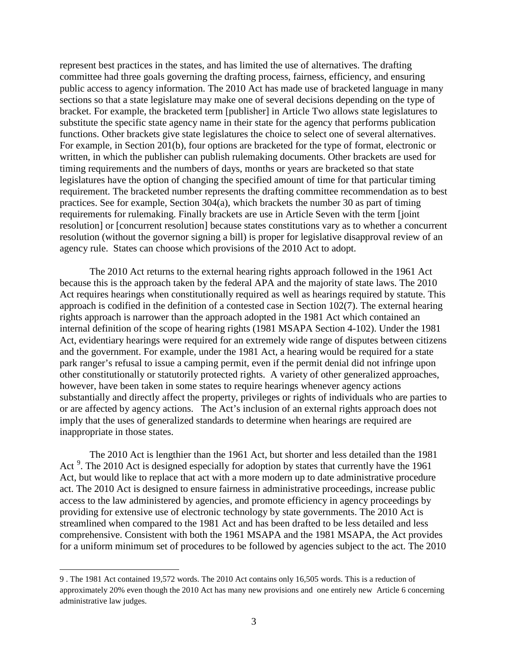represent best practices in the states, and has limited the use of alternatives. The drafting committee had three goals governing the drafting process, fairness, efficiency, and ensuring public access to agency information. The 2010 Act has made use of bracketed language in many sections so that a state legislature may make one of several decisions depending on the type of bracket. For example, the bracketed term [publisher] in Article Two allows state legislatures to substitute the specific state agency name in their state for the agency that performs publication functions. Other brackets give state legislatures the choice to select one of several alternatives. For example, in Section 201(b), four options are bracketed for the type of format, electronic or written, in which the publisher can publish rulemaking documents. Other brackets are used for timing requirements and the numbers of days, months or years are bracketed so that state legislatures have the option of changing the specified amount of time for that particular timing requirement. The bracketed number represents the drafting committee recommendation as to best practices. See for example, Section 304(a), which brackets the number 30 as part of timing requirements for rulemaking. Finally brackets are use in Article Seven with the term [joint resolution] or [concurrent resolution] because states constitutions vary as to whether a concurrent resolution (without the governor signing a bill) is proper for legislative disapproval review of an agency rule. States can choose which provisions of the 2010 Act to adopt.

The 2010 Act returns to the external hearing rights approach followed in the 1961 Act because this is the approach taken by the federal APA and the majority of state laws. The 2010 Act requires hearings when constitutionally required as well as hearings required by statute. This approach is codified in the definition of a contested case in Section 102(7). The external hearing rights approach is narrower than the approach adopted in the 1981 Act which contained an internal definition of the scope of hearing rights (1981 MSAPA Section 4-102). Under the 1981 Act, evidentiary hearings were required for an extremely wide range of disputes between citizens and the government. For example, under the 1981 Act, a hearing would be required for a state park ranger's refusal to issue a camping permit, even if the permit denial did not infringe upon other constitutionally or statutorily protected rights. A variety of other generalized approaches, however, have been taken in some states to require hearings whenever agency actions substantially and directly affect the property, privileges or rights of individuals who are parties to or are affected by agency actions. The Act's inclusion of an external rights approach does not imply that the uses of generalized standards to determine when hearings are required are inappropriate in those states.

The 2010 Act is lengthier than the 1961 Act, but shorter and less detailed than the 1981 Act<sup>[9](#page-8-0)</sup>. The 2010 Act is designed especially for adoption by states that currently have the 1961 Act, but would like to replace that act with a more modern up to date administrative procedure act. The 2010 Act is designed to ensure fairness in administrative proceedings, increase public access to the law administered by agencies, and promote efficiency in agency proceedings by providing for extensive use of electronic technology by state governments. The 2010 Act is streamlined when compared to the 1981 Act and has been drafted to be less detailed and less comprehensive. Consistent with both the 1961 MSAPA and the 1981 MSAPA, the Act provides for a uniform minimum set of procedures to be followed by agencies subject to the act. The 2010

 $\overline{a}$ 

<span id="page-8-0"></span><sup>9</sup> . The 1981 Act contained 19,572 words. The 2010 Act contains only 16,505 words. This is a reduction of approximately 20% even though the 2010 Act has many new provisions and one entirely new Article 6 concerning administrative law judges.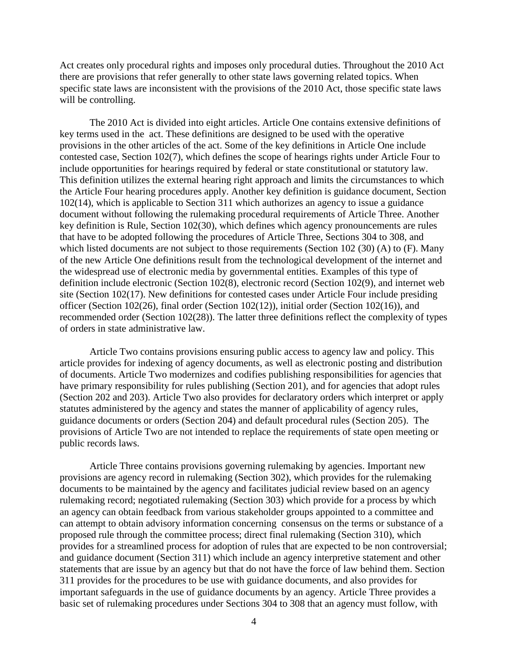Act creates only procedural rights and imposes only procedural duties. Throughout the 2010 Act there are provisions that refer generally to other state laws governing related topics. When specific state laws are inconsistent with the provisions of the 2010 Act, those specific state laws will be controlling.

The 2010 Act is divided into eight articles. Article One contains extensive definitions of key terms used in the act. These definitions are designed to be used with the operative provisions in the other articles of the act. Some of the key definitions in Article One include contested case, Section 102(7), which defines the scope of hearings rights under Article Four to include opportunities for hearings required by federal or state constitutional or statutory law. This definition utilizes the external hearing right approach and limits the circumstances to which the Article Four hearing procedures apply. Another key definition is guidance document, Section 102(14), which is applicable to Section 311 which authorizes an agency to issue a guidance document without following the rulemaking procedural requirements of Article Three. Another key definition is Rule, Section 102(30), which defines which agency pronouncements are rules that have to be adopted following the procedures of Article Three, Sections 304 to 308, and which listed documents are not subject to those requirements (Section 102 (30) (A) to (F). Many of the new Article One definitions result from the technological development of the internet and the widespread use of electronic media by governmental entities. Examples of this type of definition include electronic (Section 102(8), electronic record (Section 102(9), and internet web site (Section 102(17). New definitions for contested cases under Article Four include presiding officer (Section 102(26), final order (Section 102(12)), initial order (Section 102(16)), and recommended order (Section 102(28)). The latter three definitions reflect the complexity of types of orders in state administrative law.

Article Two contains provisions ensuring public access to agency law and policy. This article provides for indexing of agency documents, as well as electronic posting and distribution of documents. Article Two modernizes and codifies publishing responsibilities for agencies that have primary responsibility for rules publishing (Section 201), and for agencies that adopt rules (Section 202 and 203). Article Two also provides for declaratory orders which interpret or apply statutes administered by the agency and states the manner of applicability of agency rules, guidance documents or orders (Section 204) and default procedural rules (Section 205). The provisions of Article Two are not intended to replace the requirements of state open meeting or public records laws.

Article Three contains provisions governing rulemaking by agencies. Important new provisions are agency record in rulemaking (Section 302), which provides for the rulemaking documents to be maintained by the agency and facilitates judicial review based on an agency rulemaking record; negotiated rulemaking (Section 303) which provide for a process by which an agency can obtain feedback from various stakeholder groups appointed to a committee and can attempt to obtain advisory information concerning consensus on the terms or substance of a proposed rule through the committee process; direct final rulemaking (Section 310), which provides for a streamlined process for adoption of rules that are expected to be non controversial; and guidance document (Section 311) which include an agency interpretive statement and other statements that are issue by an agency but that do not have the force of law behind them. Section 311 provides for the procedures to be use with guidance documents, and also provides for important safeguards in the use of guidance documents by an agency. Article Three provides a basic set of rulemaking procedures under Sections 304 to 308 that an agency must follow, with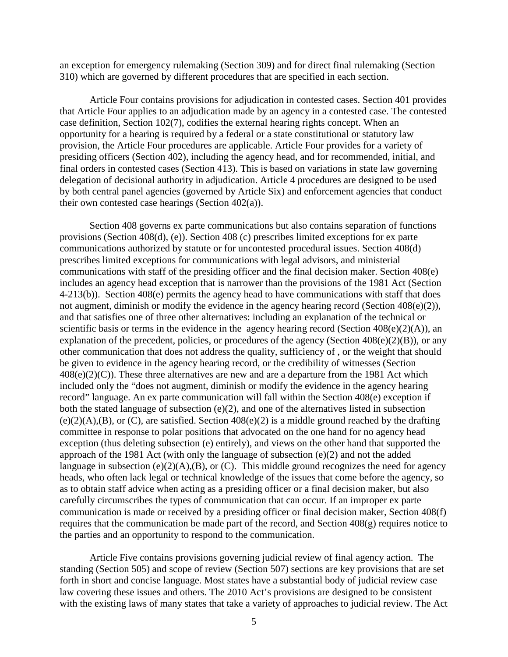an exception for emergency rulemaking (Section 309) and for direct final rulemaking (Section 310) which are governed by different procedures that are specified in each section.

Article Four contains provisions for adjudication in contested cases. Section 401 provides that Article Four applies to an adjudication made by an agency in a contested case. The contested case definition, Section 102(7), codifies the external hearing rights concept. When an opportunity for a hearing is required by a federal or a state constitutional or statutory law provision, the Article Four procedures are applicable. Article Four provides for a variety of presiding officers (Section 402), including the agency head, and for recommended, initial, and final orders in contested cases (Section 413). This is based on variations in state law governing delegation of decisional authority in adjudication. Article 4 procedures are designed to be used by both central panel agencies (governed by Article Six) and enforcement agencies that conduct their own contested case hearings (Section 402(a)).

Section 408 governs ex parte communications but also contains separation of functions provisions (Section 408(d), (e)). Section 408 (c) prescribes limited exceptions for ex parte communications authorized by statute or for uncontested procedural issues. Section 408(d) prescribes limited exceptions for communications with legal advisors, and ministerial communications with staff of the presiding officer and the final decision maker. Section 408(e) includes an agency head exception that is narrower than the provisions of the 1981 Act (Section 4-213(b)). Section 408(e) permits the agency head to have communications with staff that does not augment, diminish or modify the evidence in the agency hearing record (Section 408(e)(2)), and that satisfies one of three other alternatives: including an explanation of the technical or scientific basis or terms in the evidence in the agency hearing record (Section  $408(e)(2)(A)$ ), an explanation of the precedent, policies, or procedures of the agency (Section  $408(e)(2)(B)$ ), or any other communication that does not address the quality, sufficiency of , or the weight that should be given to evidence in the agency hearing record, or the credibility of witnesses (Section  $408(e)(2)(C)$ ). These three alternatives are new and are a departure from the 1981 Act which included only the "does not augment, diminish or modify the evidence in the agency hearing record" language. An ex parte communication will fall within the Section 408(e) exception if both the stated language of subsection (e)(2), and one of the alternatives listed in subsection  $(e)(2)(A)$ ,  $(B)$ , or  $(C)$ , are satisfied. Section 408 $(e)(2)$  is a middle ground reached by the drafting committee in response to polar positions that advocated on the one hand for no agency head exception (thus deleting subsection (e) entirely), and views on the other hand that supported the approach of the 1981 Act (with only the language of subsection (e)(2) and not the added language in subsection (e)(2)(A),(B), or (C). This middle ground recognizes the need for agency heads, who often lack legal or technical knowledge of the issues that come before the agency, so as to obtain staff advice when acting as a presiding officer or a final decision maker, but also carefully circumscribes the types of communication that can occur. If an improper ex parte communication is made or received by a presiding officer or final decision maker, Section 408(f) requires that the communication be made part of the record, and Section 408(g) requires notice to the parties and an opportunity to respond to the communication.

Article Five contains provisions governing judicial review of final agency action. The standing (Section 505) and scope of review (Section 507) sections are key provisions that are set forth in short and concise language. Most states have a substantial body of judicial review case law covering these issues and others. The 2010 Act's provisions are designed to be consistent with the existing laws of many states that take a variety of approaches to judicial review. The Act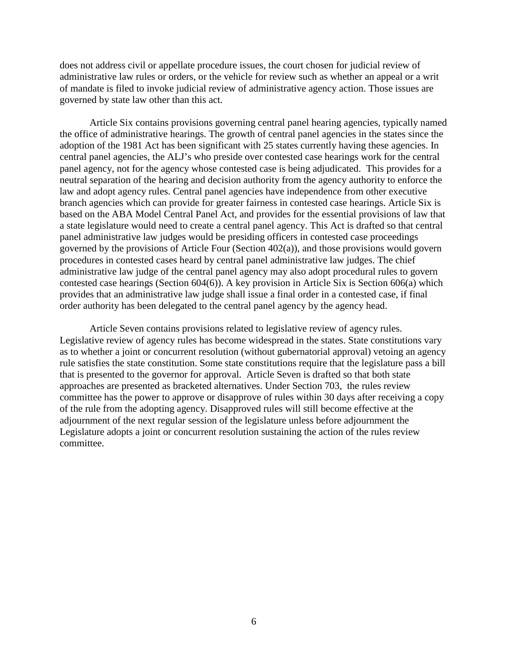does not address civil or appellate procedure issues, the court chosen for judicial review of administrative law rules or orders, or the vehicle for review such as whether an appeal or a writ of mandate is filed to invoke judicial review of administrative agency action. Those issues are governed by state law other than this act.

Article Six contains provisions governing central panel hearing agencies, typically named the office of administrative hearings. The growth of central panel agencies in the states since the adoption of the 1981 Act has been significant with 25 states currently having these agencies. In central panel agencies, the ALJ's who preside over contested case hearings work for the central panel agency, not for the agency whose contested case is being adjudicated. This provides for a neutral separation of the hearing and decision authority from the agency authority to enforce the law and adopt agency rules. Central panel agencies have independence from other executive branch agencies which can provide for greater fairness in contested case hearings. Article Six is based on the ABA Model Central Panel Act, and provides for the essential provisions of law that a state legislature would need to create a central panel agency. This Act is drafted so that central panel administrative law judges would be presiding officers in contested case proceedings governed by the provisions of Article Four (Section 402(a)), and those provisions would govern procedures in contested cases heard by central panel administrative law judges. The chief administrative law judge of the central panel agency may also adopt procedural rules to govern contested case hearings (Section 604(6)). A key provision in Article Six is Section 606(a) which provides that an administrative law judge shall issue a final order in a contested case, if final order authority has been delegated to the central panel agency by the agency head.

Article Seven contains provisions related to legislative review of agency rules. Legislative review of agency rules has become widespread in the states. State constitutions vary as to whether a joint or concurrent resolution (without gubernatorial approval) vetoing an agency rule satisfies the state constitution. Some state constitutions require that the legislature pass a bill that is presented to the governor for approval. Article Seven is drafted so that both state approaches are presented as bracketed alternatives. Under Section 703, the rules review committee has the power to approve or disapprove of rules within 30 days after receiving a copy of the rule from the adopting agency. Disapproved rules will still become effective at the adjournment of the next regular session of the legislature unless before adjournment the Legislature adopts a joint or concurrent resolution sustaining the action of the rules review committee.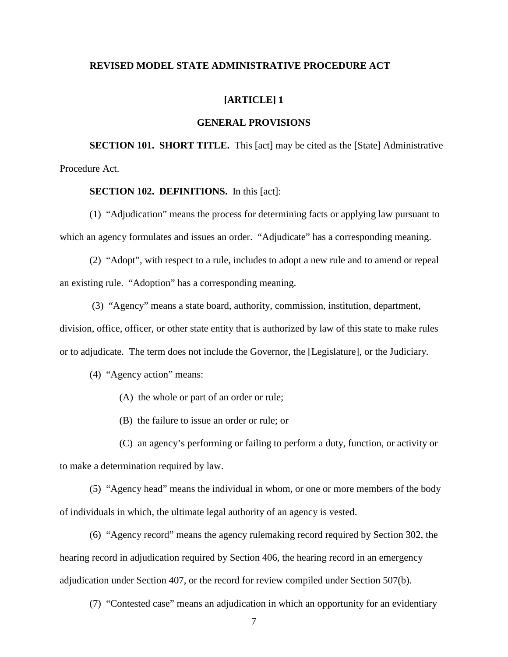#### <span id="page-12-0"></span>**REVISED MODEL STATE ADMINISTRATIVE PROCEDURE ACT**

#### **[ARTICLE] 1**

### **GENERAL PROVISIONS**

<span id="page-12-2"></span><span id="page-12-1"></span>**SECTION 101. SHORT TITLE.** This [act] may be cited as the [State] Administrative Procedure Act.

### **SECTION 102. DEFINITIONS.** In this [act]:

<span id="page-12-3"></span>(1) "Adjudication" means the process for determining facts or applying law pursuant to which an agency formulates and issues an order. "Adjudicate" has a corresponding meaning.

(2) "Adopt", with respect to a rule, includes to adopt a new rule and to amend or repeal an existing rule. "Adoption" has a corresponding meaning.

(3) "Agency" means a state board, authority, commission, institution, department, division, office, officer, or other state entity that is authorized by law of this state to make rules or to adjudicate. The term does not include the Governor, the [Legislature], or the Judiciary.

(4) "Agency action" means:

(A) the whole or part of an order or rule;

(B) the failure to issue an order or rule; or

(C) an agency's performing or failing to perform a duty, function, or activity or to make a determination required by law.

(5) "Agency head" means the individual in whom, or one or more members of the body of individuals in which, the ultimate legal authority of an agency is vested.

(6) "Agency record" means the agency rulemaking record required by Section 302, the hearing record in adjudication required by Section 406, the hearing record in an emergency adjudication under Section 407, or the record for review compiled under Section 507(b).

(7) "Contested case" means an adjudication in which an opportunity for an evidentiary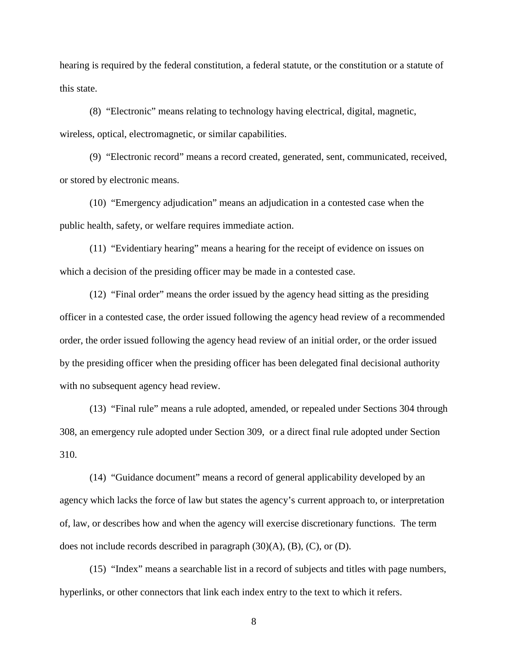hearing is required by the federal constitution, a federal statute, or the constitution or a statute of this state.

(8) "Electronic" means relating to technology having electrical, digital, magnetic, wireless, optical, electromagnetic, or similar capabilities.

(9) "Electronic record" means a record created, generated, sent, communicated, received, or stored by electronic means.

(10) "Emergency adjudication" means an adjudication in a contested case when the public health, safety, or welfare requires immediate action.

(11) "Evidentiary hearing" means a hearing for the receipt of evidence on issues on which a decision of the presiding officer may be made in a contested case.

(12) "Final order" means the order issued by the agency head sitting as the presiding officer in a contested case, the order issued following the agency head review of a recommended order, the order issued following the agency head review of an initial order, or the order issued by the presiding officer when the presiding officer has been delegated final decisional authority with no subsequent agency head review.

(13) "Final rule" means a rule adopted, amended, or repealed under Sections 304 through 308, an emergency rule adopted under Section 309, or a direct final rule adopted under Section 310.

(14) "Guidance document" means a record of general applicability developed by an agency which lacks the force of law but states the agency's current approach to, or interpretation of, law, or describes how and when the agency will exercise discretionary functions. The term does not include records described in paragraph (30)(A), (B), (C), or (D).

(15) "Index" means a searchable list in a record of subjects and titles with page numbers, hyperlinks, or other connectors that link each index entry to the text to which it refers.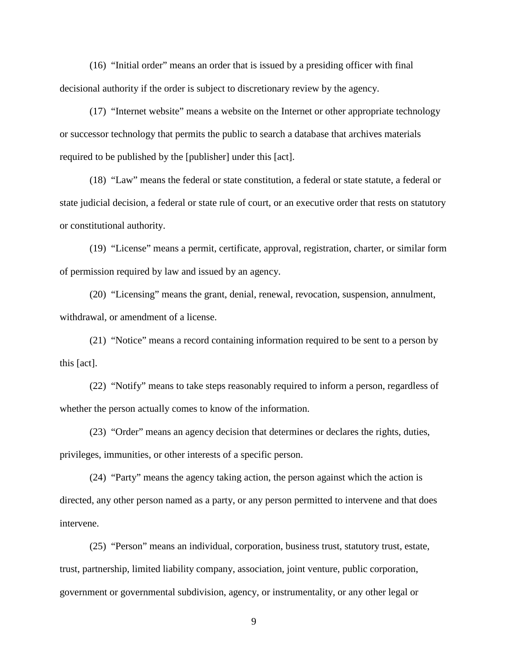(16) "Initial order" means an order that is issued by a presiding officer with final decisional authority if the order is subject to discretionary review by the agency.

(17) "Internet website" means a website on the Internet or other appropriate technology or successor technology that permits the public to search a database that archives materials required to be published by the [publisher] under this [act].

(18) "Law" means the federal or state constitution, a federal or state statute, a federal or state judicial decision, a federal or state rule of court, or an executive order that rests on statutory or constitutional authority.

(19) "License" means a permit, certificate, approval, registration, charter, or similar form of permission required by law and issued by an agency.

(20) "Licensing" means the grant, denial, renewal, revocation, suspension, annulment, withdrawal, or amendment of a license.

(21) "Notice" means a record containing information required to be sent to a person by this [act].

(22) "Notify" means to take steps reasonably required to inform a person, regardless of whether the person actually comes to know of the information.

(23) "Order" means an agency decision that determines or declares the rights, duties, privileges, immunities, or other interests of a specific person.

(24) "Party" means the agency taking action, the person against which the action is directed, any other person named as a party, or any person permitted to intervene and that does intervene.

(25) "Person" means an individual, corporation, business trust, statutory trust, estate, trust, partnership, limited liability company, association, joint venture, public corporation, government or governmental subdivision, agency, or instrumentality, or any other legal or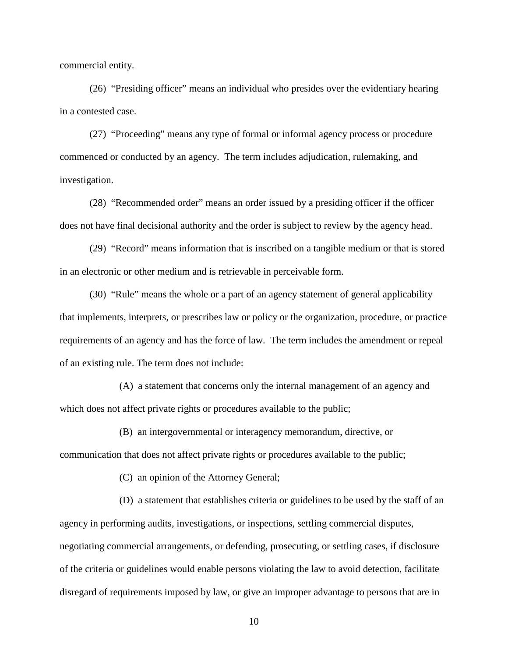commercial entity.

(26) "Presiding officer" means an individual who presides over the evidentiary hearing in a contested case.

(27) "Proceeding" means any type of formal or informal agency process or procedure commenced or conducted by an agency. The term includes adjudication, rulemaking, and investigation.

(28) "Recommended order" means an order issued by a presiding officer if the officer does not have final decisional authority and the order is subject to review by the agency head.

(29) "Record" means information that is inscribed on a tangible medium or that is stored in an electronic or other medium and is retrievable in perceivable form.

(30) "Rule" means the whole or a part of an agency statement of general applicability that implements, interprets, or prescribes law or policy or the organization, procedure, or practice requirements of an agency and has the force of law. The term includes the amendment or repeal of an existing rule. The term does not include:

(A) a statement that concerns only the internal management of an agency and which does not affect private rights or procedures available to the public;

(B) an intergovernmental or interagency memorandum, directive, or communication that does not affect private rights or procedures available to the public;

(C) an opinion of the Attorney General;

(D) a statement that establishes criteria or guidelines to be used by the staff of an agency in performing audits, investigations, or inspections, settling commercial disputes, negotiating commercial arrangements, or defending, prosecuting, or settling cases, if disclosure of the criteria or guidelines would enable persons violating the law to avoid detection, facilitate disregard of requirements imposed by law, or give an improper advantage to persons that are in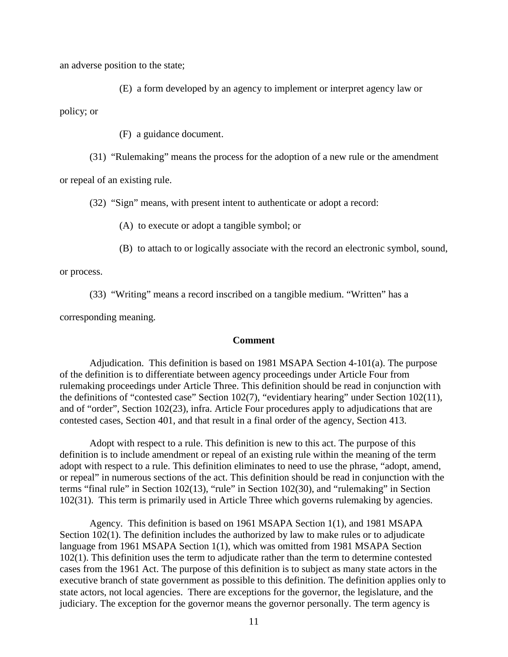an adverse position to the state;

(E) a form developed by an agency to implement or interpret agency law or

policy; or

(F) a guidance document.

(31) "Rulemaking" means the process for the adoption of a new rule or the amendment

or repeal of an existing rule.

(32) "Sign" means, with present intent to authenticate or adopt a record:

(A) to execute or adopt a tangible symbol; or

(B) to attach to or logically associate with the record an electronic symbol, sound,

or process.

(33) "Writing" means a record inscribed on a tangible medium. "Written" has a

corresponding meaning.

#### **Comment**

Adjudication. This definition is based on 1981 MSAPA Section  $4-101(a)$ . The purpose of the definition is to differentiate between agency proceedings under Article Four from rulemaking proceedings under Article Three. This definition should be read in conjunction with the definitions of "contested case" Section 102(7), "evidentiary hearing" under Section 102(11), and of "order", Section 102(23), infra. Article Four procedures apply to adjudications that are contested cases, Section 401, and that result in a final order of the agency, Section 413.

Adopt with respect to a rule. This definition is new to this act. The purpose of this definition is to include amendment or repeal of an existing rule within the meaning of the term adopt with respect to a rule. This definition eliminates to need to use the phrase, "adopt, amend, or repeal" in numerous sections of the act. This definition should be read in conjunction with the terms "final rule" in Section 102(13), "rule" in Section 102(30), and "rulemaking" in Section 102(31). This term is primarily used in Article Three which governs rulemaking by agencies.

Agency. This definition is based on 1961 MSAPA Section 1(1), and 1981 MSAPA Section 102(1). The definition includes the authorized by law to make rules or to adjudicate language from 1961 MSAPA Section 1(1), which was omitted from 1981 MSAPA Section 102(1). This definition uses the term to adjudicate rather than the term to determine contested cases from the 1961 Act. The purpose of this definition is to subject as many state actors in the executive branch of state government as possible to this definition. The definition applies only to state actors, not local agencies. There are exceptions for the governor, the legislature, and the judiciary. The exception for the governor means the governor personally. The term agency is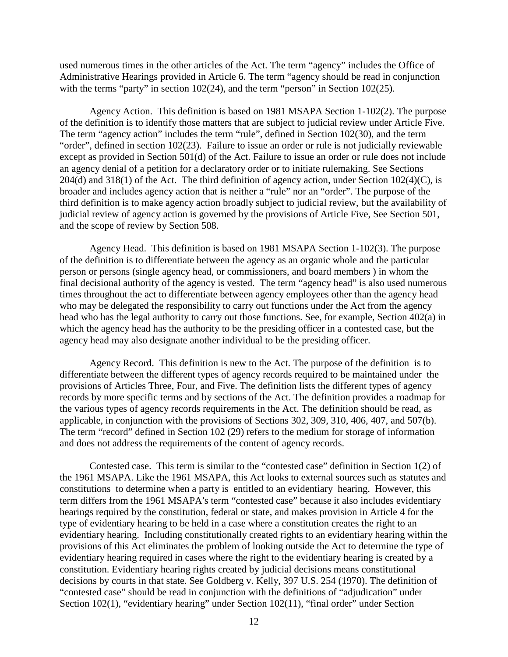used numerous times in the other articles of the Act. The term "agency" includes the Office of Administrative Hearings provided in Article 6. The term "agency should be read in conjunction with the terms "party" in section 102(24), and the term "person" in Section 102(25).

Agency Action. This definition is based on 1981 MSAPA Section 1-102(2). The purpose of the definition is to identify those matters that are subject to judicial review under Article Five. The term "agency action" includes the term "rule", defined in Section 102(30), and the term "order", defined in section 102(23). Failure to issue an order or rule is not judicially reviewable except as provided in Section 501(d) of the Act. Failure to issue an order or rule does not include an agency denial of a petition for a declaratory order or to initiate rulemaking. See Sections  $204(d)$  and  $318(1)$  of the Act. The third definition of agency action, under Section 102(4)(C), is broader and includes agency action that is neither a "rule" nor an "order". The purpose of the third definition is to make agency action broadly subject to judicial review, but the availability of judicial review of agency action is governed by the provisions of Article Five, See Section 501, and the scope of review by Section 508.

Agency Head. This definition is based on 1981 MSAPA Section 1-102(3). The purpose of the definition is to differentiate between the agency as an organic whole and the particular person or persons (single agency head, or commissioners, and board members ) in whom the final decisional authority of the agency is vested. The term "agency head" is also used numerous times throughout the act to differentiate between agency employees other than the agency head who may be delegated the responsibility to carry out functions under the Act from the agency head who has the legal authority to carry out those functions. See, for example, Section 402(a) in which the agency head has the authority to be the presiding officer in a contested case, but the agency head may also designate another individual to be the presiding officer.

Agency Record. This definition is new to the Act. The purpose of the definition is to differentiate between the different types of agency records required to be maintained under the provisions of Articles Three, Four, and Five. The definition lists the different types of agency records by more specific terms and by sections of the Act. The definition provides a roadmap for the various types of agency records requirements in the Act. The definition should be read, as applicable, in conjunction with the provisions of Sections 302, 309, 310, 406, 407, and 507(b). The term "record" defined in Section 102 (29) refers to the medium for storage of information and does not address the requirements of the content of agency records.

Contested case. This term is similar to the "contested case" definition in Section 1(2) of the 1961 MSAPA. Like the 1961 MSAPA, this Act looks to external sources such as statutes and constitutions to determine when a party is entitled to an evidentiary hearing. However, this term differs from the 1961 MSAPA's term "contested case" because it also includes evidentiary hearings required by the constitution, federal or state, and makes provision in Article 4 for the type of evidentiary hearing to be held in a case where a constitution creates the right to an evidentiary hearing. Including constitutionally created rights to an evidentiary hearing within the provisions of this Act eliminates the problem of looking outside the Act to determine the type of evidentiary hearing required in cases where the right to the evidentiary hearing is created by a constitution. Evidentiary hearing rights created by judicial decisions means constitutional decisions by courts in that state. See Goldberg v. Kelly, 397 U.S. 254 (1970). The definition of "contested case" should be read in conjunction with the definitions of "adjudication" under Section 102(1), "evidentiary hearing" under Section 102(11), "final order" under Section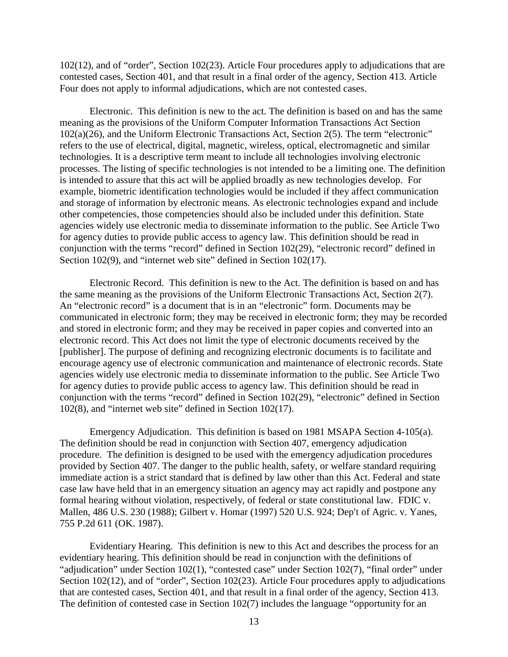102(12), and of "order", Section 102(23). Article Four procedures apply to adjudications that are contested cases, Section 401, and that result in a final order of the agency, Section 413. Article Four does not apply to informal adjudications, which are not contested cases.

Electronic. This definition is new to the act. The definition is based on and has the same meaning as the provisions of the Uniform Computer Information Transactions Act Section 102(a)(26), and the Uniform Electronic Transactions Act, Section 2(5). The term "electronic" refers to the use of electrical, digital, magnetic, wireless, optical, electromagnetic and similar technologies. It is a descriptive term meant to include all technologies involving electronic processes. The listing of specific technologies is not intended to be a limiting one. The definition is intended to assure that this act will be applied broadly as new technologies develop. For example, biometric identification technologies would be included if they affect communication and storage of information by electronic means. As electronic technologies expand and include other competencies, those competencies should also be included under this definition. State agencies widely use electronic media to disseminate information to the public. See Article Two for agency duties to provide public access to agency law. This definition should be read in conjunction with the terms "record" defined in Section 102(29), "electronic record" defined in Section 102(9), and "internet web site" defined in Section 102(17).

Electronic Record. This definition is new to the Act. The definition is based on and has the same meaning as the provisions of the Uniform Electronic Transactions Act, Section 2(7). An "electronic record" is a document that is in an "electronic" form. Documents may be communicated in electronic form; they may be received in electronic form; they may be recorded and stored in electronic form; and they may be received in paper copies and converted into an electronic record. This Act does not limit the type of electronic documents received by the [publisher]. The purpose of defining and recognizing electronic documents is to facilitate and encourage agency use of electronic communication and maintenance of electronic records. State agencies widely use electronic media to disseminate information to the public. See Article Two for agency duties to provide public access to agency law. This definition should be read in conjunction with the terms "record" defined in Section 102(29), "electronic" defined in Section 102(8), and "internet web site" defined in Section 102(17).

Emergency Adjudication. This definition is based on 1981 MSAPA Section 4-105(a). The definition should be read in conjunction with Section 407, emergency adjudication procedure. The definition is designed to be used with the emergency adjudication procedures provided by Section 407. The danger to the public health, safety, or welfare standard requiring immediate action is a strict standard that is defined by law other than this Act. Federal and state case law have held that in an emergency situation an agency may act rapidly and postpone any formal hearing without violation, respectively, of federal or state constitutional law. FDIC v. Mallen, 486 U.S. 230 (1988); Gilbert v. Homar (1997) 520 U.S. 924; Dep't of Agric. v. Yanes, 755 P.2d 611 (OK. 1987).

Evidentiary Hearing. This definition is new to this Act and describes the process for an evidentiary hearing. This definition should be read in conjunction with the definitions of "adjudication" under Section 102(1), "contested case" under Section 102(7), "final order" under Section 102(12), and of "order", Section 102(23). Article Four procedures apply to adjudications that are contested cases, Section 401, and that result in a final order of the agency, Section 413. The definition of contested case in Section 102(7) includes the language "opportunity for an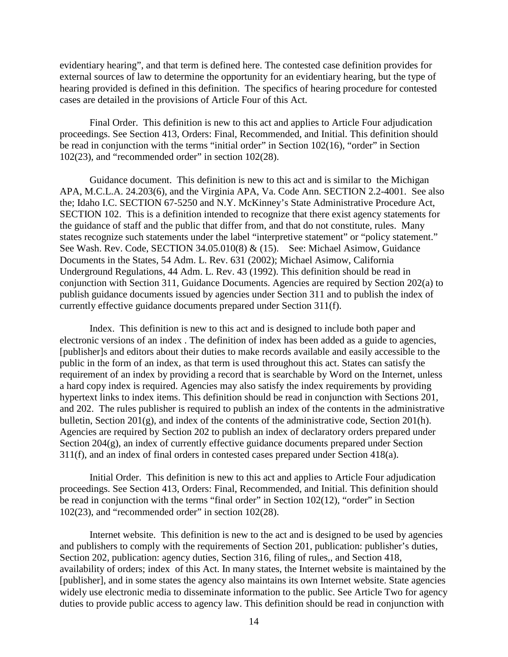evidentiary hearing", and that term is defined here. The contested case definition provides for external sources of law to determine the opportunity for an evidentiary hearing, but the type of hearing provided is defined in this definition. The specifics of hearing procedure for contested cases are detailed in the provisions of Article Four of this Act.

Final Order. This definition is new to this act and applies to Article Four adjudication proceedings. See Section 413, Orders: Final, Recommended, and Initial. This definition should be read in conjunction with the terms "initial order" in Section 102(16), "order" in Section 102(23), and "recommended order" in section 102(28).

Guidance document. This definition is new to this act and is similar to the Michigan APA, M.C.L.A. 24.203(6), and the Virginia APA, Va. Code Ann. SECTION 2.2-4001. See also the; Idaho I.C. SECTION 67-5250 and N.Y. McKinney's State Administrative Procedure Act, SECTION 102. This is a definition intended to recognize that there exist agency statements for the guidance of staff and the public that differ from, and that do not constitute, rules. Many states recognize such statements under the label "interpretive statement" or "policy statement." See Wash. Rev. Code, SECTION 34.05.010(8) & (15). See: Michael Asimow, Guidance Documents in the States, 54 Adm. L. Rev. 631 (2002); Michael Asimow, California Underground Regulations, 44 Adm. L. Rev. 43 (1992). This definition should be read in conjunction with Section 311, Guidance Documents. Agencies are required by Section 202(a) to publish guidance documents issued by agencies under Section 311 and to publish the index of currently effective guidance documents prepared under Section 311(f).

Index. This definition is new to this act and is designed to include both paper and electronic versions of an index . The definition of index has been added as a guide to agencies, [publisher]s and editors about their duties to make records available and easily accessible to the public in the form of an index, as that term is used throughout this act. States can satisfy the requirement of an index by providing a record that is searchable by Word on the Internet, unless a hard copy index is required. Agencies may also satisfy the index requirements by providing hypertext links to index items. This definition should be read in conjunction with Sections 201, and 202. The rules publisher is required to publish an index of the contents in the administrative bulletin, Section 201(g), and index of the contents of the administrative code, Section 201(h). Agencies are required by Section 202 to publish an index of declaratory orders prepared under Section 204(g), an index of currently effective guidance documents prepared under Section 311(f), and an index of final orders in contested cases prepared under Section 418(a).

Initial Order. This definition is new to this act and applies to Article Four adjudication proceedings. See Section 413, Orders: Final, Recommended, and Initial. This definition should be read in conjunction with the terms "final order" in Section 102(12), "order" in Section 102(23), and "recommended order" in section 102(28).

Internet website. This definition is new to the act and is designed to be used by agencies and publishers to comply with the requirements of Section 201, publication: publisher's duties, Section 202, publication: agency duties, Section 316, filing of rules,, and Section 418, availability of orders; index of this Act. In many states, the Internet website is maintained by the [publisher], and in some states the agency also maintains its own Internet website. State agencies widely use electronic media to disseminate information to the public. See Article Two for agency duties to provide public access to agency law. This definition should be read in conjunction with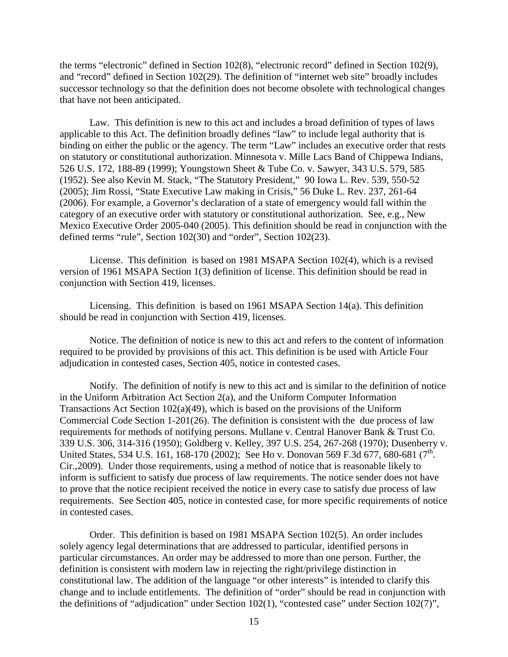the terms "electronic" defined in Section 102(8), "electronic record" defined in Section 102(9), and "record" defined in Section 102(29). The definition of "internet web site" broadly includes successor technology so that the definition does not become obsolete with technological changes that have not been anticipated.

Law. This definition is new to this act and includes a broad definition of types of laws applicable to this Act. The definition broadly defines "law" to include legal authority that is binding on either the public or the agency. The term "Law" includes an executive order that rests on statutory or constitutional authorization. Minnesota v. Mille Lacs [Band of Chippewa Indians,](http://web2.westlaw.com/find/default.wl?tf=-1&rs=WLW9.09&referencepositiontype=S&serialnum=1999085330&fn=_top&sv=Split&referenceposition=188&pbc=FC3FD354&tc=-1&ordoc=0304049604&findtype=Y&db=780&vr=2.0&rp=%2ffind%2fdefault.wl&mt=51)  [526 U.S. 172, 188-89 \(1999\);](http://web2.westlaw.com/find/default.wl?tf=-1&rs=WLW9.09&referencepositiontype=S&serialnum=1999085330&fn=_top&sv=Split&referenceposition=188&pbc=FC3FD354&tc=-1&ordoc=0304049604&findtype=Y&db=780&vr=2.0&rp=%2ffind%2fdefault.wl&mt=51) [Youngstown Sheet & Tube Co. v. Sawyer, 343 U.S. 579, 585](http://web2.westlaw.com/find/default.wl?tf=-1&rs=WLW9.09&referencepositiontype=S&serialnum=1952120254&fn=_top&sv=Split&referenceposition=585&pbc=FC3FD354&tc=-1&ordoc=0304049604&findtype=Y&db=780&vr=2.0&rp=%2ffind%2fdefault.wl&mt=51)  [\(1952\).](http://web2.westlaw.com/find/default.wl?tf=-1&rs=WLW9.09&referencepositiontype=S&serialnum=1952120254&fn=_top&sv=Split&referenceposition=585&pbc=FC3FD354&tc=-1&ordoc=0304049604&findtype=Y&db=780&vr=2.0&rp=%2ffind%2fdefault.wl&mt=51) See also Kevin M. Stack, "The Statutory President," 90 Iowa L. Rev. 539, 550-52 (2005); Jim Rossi, "State Executive Law making in Crisis," 56 Duke L. Rev. 237, 261-64 (2006). For example, a Governor's declaration of a state of emergency would fall within the category of an executive order with statutory or constitutional authorization. See, e.g., New Mexico Executive Order 2005-040 (2005). This definition should be read in conjunction with the defined terms "rule", Section 102(30) and "order", Section 102(23).

License. This definition is based on 1981 MSAPA Section 102(4), which is a revised version of 1961 MSAPA Section 1(3) definition of license. This definition should be read in conjunction with Section 419, licenses.

Licensing. This definition is based on 1961 MSAPA Section 14(a). This definition should be read in conjunction with Section 419, licenses.

Notice. The definition of notice is new to this act and refers to the content of information required to be provided by provisions of this act. This definition is be used with Article Four adjudication in contested cases, Section 405, notice in contested cases.

Notify. The definition of notify is new to this act and is similar to the definition of notice in the Uniform Arbitration Act Section 2(a), and the Uniform Computer Information Transactions Act Section  $102(a)(49)$ , which is based on the provisions of the Uniform Commercial Code Section 1-201(26). The definition is consistent with the due process of law requirements for methods of notifying persons. Mullane v. Central Hanover Bank & Trust Co. 339 U.S. 306, 314-316 (1950); Goldberg v. Kelley, 397 U.S. 254, 267-268 (1970); Dusenberry v. United States, 534 U.S. 161, 168-170 (2002); See Ho v. Donovan 569 F.3d 677, 680-681 (7<sup>th</sup>. Cir.,2009). Under those requirements, using a method of notice that is reasonable likely to inform is sufficient to satisfy due process of law requirements. The notice sender does not have to prove that the notice recipient received the notice in every case to satisfy due process of law requirements. See Section 405, notice in contested case, for more specific requirements of notice in contested cases.

Order. This definition is based on 1981 MSAPA Section 102(5). An order includes solely agency legal determinations that are addressed to particular, identified persons in particular circumstances. An order may be addressed to more than one person. Further, the definition is consistent with modern law in rejecting the right/privilege distinction in constitutional law. The addition of the language "or other interests" is intended to clarify this change and to include entitlements. The definition of "order" should be read in conjunction with the definitions of "adjudication" under Section 102(1), "contested case" under Section 102(7)",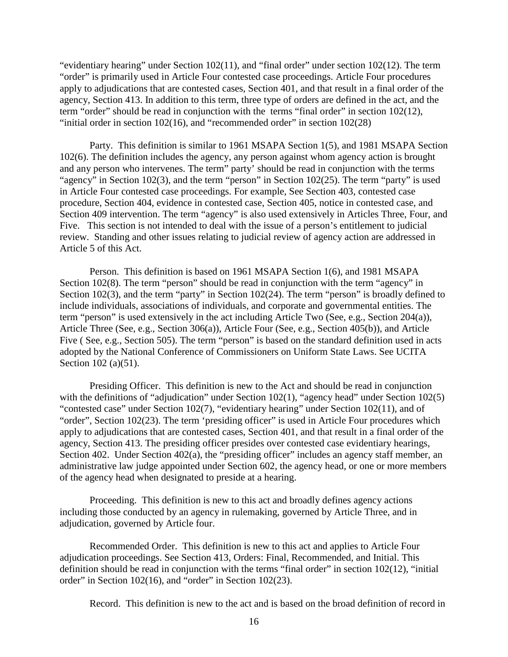"evidentiary hearing" under Section 102(11), and "final order" under section 102(12). The term "order" is primarily used in Article Four contested case proceedings. Article Four procedures apply to adjudications that are contested cases, Section 401, and that result in a final order of the agency, Section 413. In addition to this term, three type of orders are defined in the act, and the term "order" should be read in conjunction with the terms "final order" in section 102(12), "initial order in section  $102(16)$ , and "recommended order" in section  $102(28)$ 

Party. This definition is similar to 1961 MSAPA Section 1(5), and 1981 MSAPA Section 102(6). The definition includes the agency, any person against whom agency action is brought and any person who intervenes. The term" party' should be read in conjunction with the terms "agency" in Section 102(3), and the term "person" in Section 102(25). The term "party" is used in Article Four contested case proceedings. For example, See Section 403, contested case procedure, Section 404, evidence in contested case, Section 405, notice in contested case, and Section 409 intervention. The term "agency" is also used extensively in Articles Three, Four, and Five. This section is not intended to deal with the issue of a person's entitlement to judicial review. Standing and other issues relating to judicial review of agency action are addressed in Article 5 of this Act.

Person. This definition is based on 1961 MSAPA Section 1(6), and 1981 MSAPA Section 102(8). The term "person" should be read in conjunction with the term "agency" in Section 102(3), and the term "party" in Section 102(24). The term "person" is broadly defined to include individuals, associations of individuals, and corporate and governmental entities. The term "person" is used extensively in the act including Article Two (See, e.g., Section 204(a)), Article Three (See, e.g., Section 306(a)), Article Four (See, e.g., Section 405(b)), and Article Five ( See, e.g., Section 505). The term "person" is based on the standard definition used in acts adopted by the National Conference of Commissioners on Uniform State Laws. See UCITA Section 102 (a)(51).

Presiding Officer. This definition is new to the Act and should be read in conjunction with the definitions of "adjudication" under Section 102(1), "agency head" under Section 102(5) "contested case" under Section 102(7), "evidentiary hearing" under Section 102(11), and of "order", Section 102(23). The term 'presiding officer" is used in Article Four procedures which apply to adjudications that are contested cases, Section 401, and that result in a final order of the agency, Section 413. The presiding officer presides over contested case evidentiary hearings, Section 402. Under Section 402(a), the "presiding officer" includes an agency staff member, an administrative law judge appointed under Section 602, the agency head, or one or more members of the agency head when designated to preside at a hearing.

Proceeding. This definition is new to this act and broadly defines agency actions including those conducted by an agency in rulemaking, governed by Article Three, and in adjudication, governed by Article four.

Recommended Order. This definition is new to this act and applies to Article Four adjudication proceedings. See Section 413, Orders: Final, Recommended, and Initial. This definition should be read in conjunction with the terms "final order" in section 102(12), "initial order" in Section 102(16), and "order" in Section 102(23).

Record. This definition is new to the act and is based on the broad definition of record in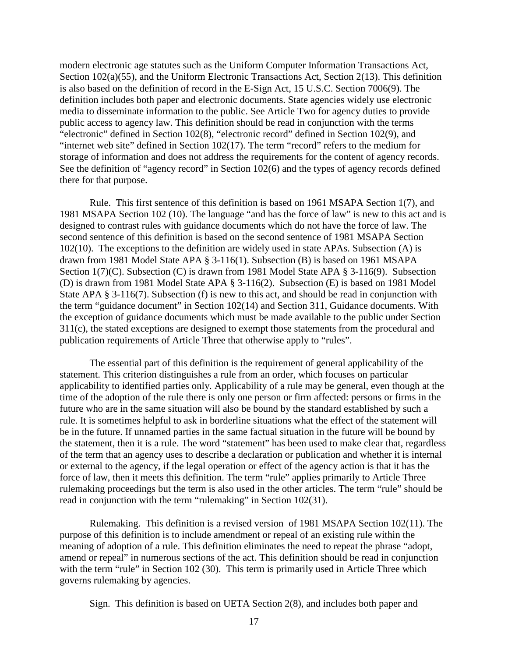modern electronic age statutes such as the Uniform Computer Information Transactions Act, Section 102(a)(55), and the Uniform Electronic Transactions Act, Section 2(13). This definition is also based on the definition of record in the E-Sign Act, 15 U.S.C. Section 7006(9). The definition includes both paper and electronic documents. State agencies widely use electronic media to disseminate information to the public. See Article Two for agency duties to provide public access to agency law. This definition should be read in conjunction with the terms "electronic" defined in Section 102(8), "electronic record" defined in Section 102(9), and "internet web site" defined in Section 102(17). The term "record" refers to the medium for storage of information and does not address the requirements for the content of agency records. See the definition of "agency record" in Section 102(6) and the types of agency records defined there for that purpose.

Rule. This first sentence of this definition is based on 1961 MSAPA Section 1(7), and 1981 MSAPA Section 102 (10). The language "and has the force of law" is new to this act and is designed to contrast rules with guidance documents which do not have the force of law. The second sentence of this definition is based on the second sentence of 1981 MSAPA Section 102(10). The exceptions to the definition are widely used in state APAs. Subsection (A) is drawn from 1981 Model State APA § 3-116(1). Subsection (B) is based on 1961 MSAPA Section 1(7)(C). Subsection (C) is drawn from 1981 Model State APA § 3-116(9). Subsection (D) is drawn from 1981 Model State APA § 3-116(2). Subsection (E) is based on 1981 Model State APA § 3-116(7). Subsection (f) is new to this act, and should be read in conjunction with the term "guidance document" in Section 102(14) and Section 311, Guidance documents. With the exception of guidance documents which must be made available to the public under Section 311(c), the stated exceptions are designed to exempt those statements from the procedural and publication requirements of Article Three that otherwise apply to "rules".

The essential part of this definition is the requirement of general applicability of the statement. This criterion distinguishes a rule from an order, which focuses on particular applicability to identified parties only. Applicability of a rule may be general, even though at the time of the adoption of the rule there is only one person or firm affected: persons or firms in the future who are in the same situation will also be bound by the standard established by such a rule. It is sometimes helpful to ask in borderline situations what the effect of the statement will be in the future. If unnamed parties in the same factual situation in the future will be bound by the statement, then it is a rule. The word "statement" has been used to make clear that, regardless of the term that an agency uses to describe a declaration or publication and whether it is internal or external to the agency, if the legal operation or effect of the agency action is that it has the force of law, then it meets this definition. The term "rule" applies primarily to Article Three rulemaking proceedings but the term is also used in the other articles. The term "rule" should be read in conjunction with the term "rulemaking" in Section 102(31).

Rulemaking. This definition is a revised version of 1981 MSAPA Section 102(11). The purpose of this definition is to include amendment or repeal of an existing rule within the meaning of adoption of a rule. This definition eliminates the need to repeat the phrase "adopt, amend or repeal" in numerous sections of the act. This definition should be read in conjunction with the term "rule" in Section 102 (30). This term is primarily used in Article Three which governs rulemaking by agencies.

Sign. This definition is based on UETA Section 2(8), and includes both paper and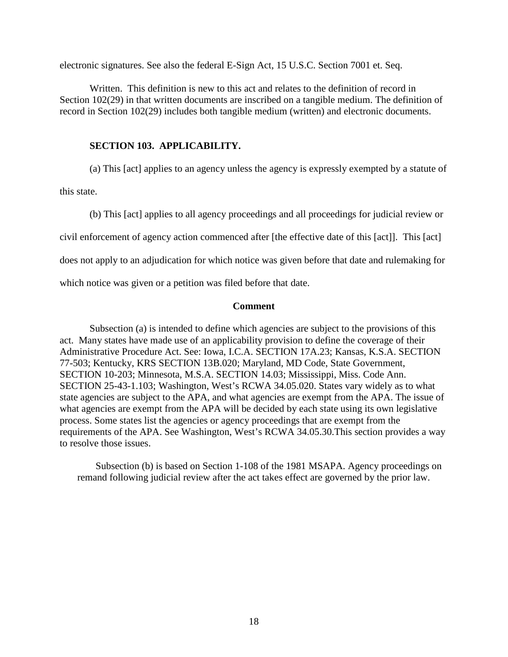electronic signatures. See also the federal E-Sign Act, 15 U.S.C. Section 7001 et. Seq.

Written. This definition is new to this act and relates to the definition of record in Section 102(29) in that written documents are inscribed on a tangible medium. The definition of record in Section 102(29) includes both tangible medium (written) and electronic documents.

### <span id="page-23-0"></span>**SECTION 103. APPLICABILITY.**

(a) This [act] applies to an agency unless the agency is expressly exempted by a statute of

this state.

(b) This [act] applies to all agency proceedings and all proceedings for judicial review or

civil enforcement of agency action commenced after [the effective date of this [act]]. This [act]

does not apply to an adjudication for which notice was given before that date and rulemaking for

which notice was given or a petition was filed before that date.

### **Comment**

Subsection (a) is intended to define which agencies are subject to the provisions of this act. Many states have made use of an applicability provision to define the coverage of their Administrative Procedure Act. See: Iowa, I.C.A. SECTION 17A.23; Kansas, K.S.A. SECTION 77-503; Kentucky, KRS SECTION 13B.020; Maryland, MD Code, State Government, SECTION 10-203; Minnesota, M.S.A. SECTION 14.03; Mississippi, Miss. Code Ann. SECTION 25-43-1.103; Washington, West's RCWA 34.05.020. States vary widely as to what state agencies are subject to the APA, and what agencies are exempt from the APA. The issue of what agencies are exempt from the APA will be decided by each state using its own legislative process. Some states list the agencies or agency proceedings that are exempt from the requirements of the APA. See Washington, West's RCWA 34.05.30.This section provides a way to resolve those issues.

Subsection (b) is based on Section 1-108 of the 1981 MSAPA. Agency proceedings on remand following judicial review after the act takes effect are governed by the prior law.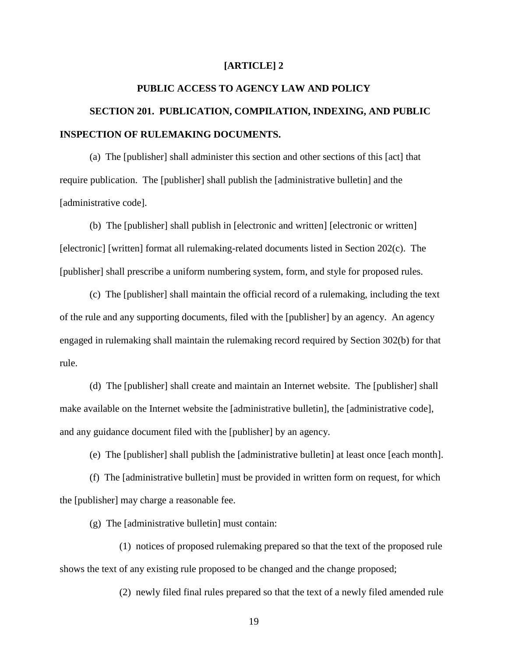#### **[ARTICLE] 2**

# <span id="page-24-2"></span><span id="page-24-1"></span><span id="page-24-0"></span>**PUBLIC ACCESS TO AGENCY LAW AND POLICY SECTION 201. PUBLICATION, COMPILATION, INDEXING, AND PUBLIC INSPECTION OF RULEMAKING DOCUMENTS.**

(a) The [publisher] shall administer this section and other sections of this [act] that require publication. The [publisher] shall publish the [administrative bulletin] and the [administrative code].

(b) The [publisher] shall publish in [electronic and written] [electronic or written] [electronic] [written] format all rulemaking-related documents listed in Section 202(c). The [publisher] shall prescribe a uniform numbering system, form, and style for proposed rules.

(c) The [publisher] shall maintain the official record of a rulemaking, including the text of the rule and any supporting documents, filed with the [publisher] by an agency. An agency engaged in rulemaking shall maintain the rulemaking record required by Section 302(b) for that rule.

(d) The [publisher] shall create and maintain an Internet website. The [publisher] shall make available on the Internet website the [administrative bulletin], the [administrative code], and any guidance document filed with the [publisher] by an agency.

(e) The [publisher] shall publish the [administrative bulletin] at least once [each month].

(f) The [administrative bulletin] must be provided in written form on request, for which the [publisher] may charge a reasonable fee.

(g) The [administrative bulletin] must contain:

(1) notices of proposed rulemaking prepared so that the text of the proposed rule shows the text of any existing rule proposed to be changed and the change proposed;

(2) newly filed final rules prepared so that the text of a newly filed amended rule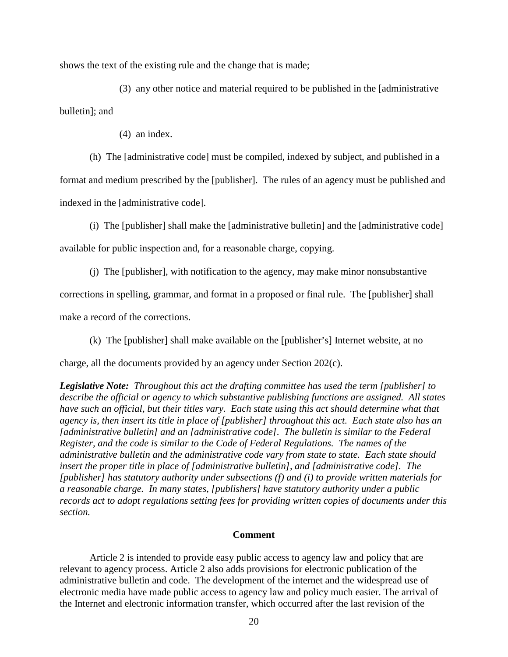shows the text of the existing rule and the change that is made;

(3) any other notice and material required to be published in the [administrative bulletin]; and

(4) an index.

(h) The [administrative code] must be compiled, indexed by subject, and published in a format and medium prescribed by the [publisher]. The rules of an agency must be published and indexed in the [administrative code].

(i) The [publisher] shall make the [administrative bulletin] and the [administrative code] available for public inspection and, for a reasonable charge, copying.

(j) The [publisher], with notification to the agency, may make minor nonsubstantive corrections in spelling, grammar, and format in a proposed or final rule. The [publisher] shall make a record of the corrections.

(k) The [publisher] shall make available on the [publisher's] Internet website, at no

charge, all the documents provided by an agency under Section 202(c).

*Legislative Note: Throughout this act the drafting committee has used the term [publisher] to describe the official or agency to which substantive publishing functions are assigned. All states have such an official, but their titles vary. Each state using this act should determine what that agency is, then insert its title in place of [publisher] throughout this act. Each state also has an [administrative bulletin] and an [administrative code]. The bulletin is similar to the Federal Register, and the code is similar to the Code of Federal Regulations. The names of the administrative bulletin and the administrative code vary from state to state. Each state should insert the proper title in place of [administrative bulletin], and [administrative code]. The [publisher] has statutory authority under subsections (f) and (i) to provide written materials for a reasonable charge. In many states, [publishers] have statutory authority under a public records act to adopt regulations setting fees for providing written copies of documents under this section.* 

#### **Comment**

Article 2 is intended to provide easy public access to agency law and policy that are relevant to agency process. Article 2 also adds provisions for electronic publication of the administrative bulletin and code. The development of the internet and the widespread use of electronic media have made public access to agency law and policy much easier. The arrival of the Internet and electronic information transfer, which occurred after the last revision of the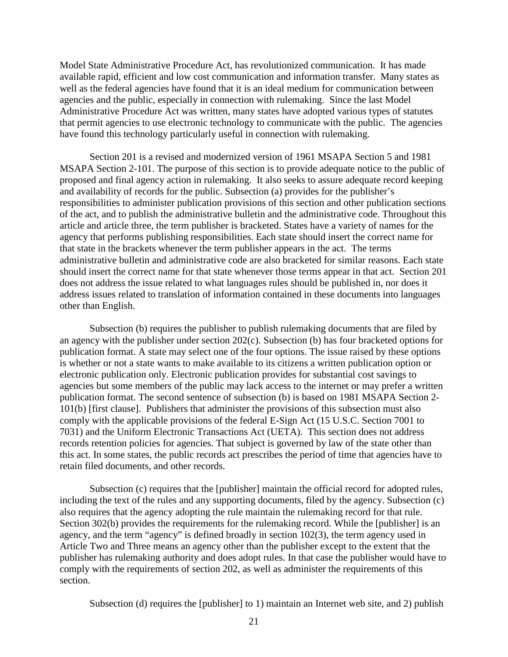Model State Administrative Procedure Act, has revolutionized communication. It has made available rapid, efficient and low cost communication and information transfer. Many states as well as the federal agencies have found that it is an ideal medium for communication between agencies and the public, especially in connection with rulemaking. Since the last Model Administrative Procedure Act was written, many states have adopted various types of statutes that permit agencies to use electronic technology to communicate with the public. The agencies have found this technology particularly useful in connection with rulemaking.

Section 201 is a revised and modernized version of 1961 MSAPA Section 5 and 1981 MSAPA Section 2-101. The purpose of this section is to provide adequate notice to the public of proposed and final agency action in rulemaking. It also seeks to assure adequate record keeping and availability of records for the public. Subsection (a) provides for the publisher's responsibilities to administer publication provisions of this section and other publication sections of the act, and to publish the administrative bulletin and the administrative code. Throughout this article and article three, the term publisher is bracketed. States have a variety of names for the agency that performs publishing responsibilities. Each state should insert the correct name for that state in the brackets whenever the term publisher appears in the act. The terms administrative bulletin and administrative code are also bracketed for similar reasons. Each state should insert the correct name for that state whenever those terms appear in that act. Section 201 does not address the issue related to what languages rules should be published in, nor does it address issues related to translation of information contained in these documents into languages other than English.

Subsection (b) requires the publisher to publish rulemaking documents that are filed by an agency with the publisher under section 202(c). Subsection (b) has four bracketed options for publication format. A state may select one of the four options. The issue raised by these options is whether or not a state wants to make available to its citizens a written publication option or electronic publication only. Electronic publication provides for substantial cost savings to agencies but some members of the public may lack access to the internet or may prefer a written publication format. The second sentence of subsection (b) is based on 1981 MSAPA Section 2- 101(b) [first clause]. Publishers that administer the provisions of this subsection must also comply with the applicable provisions of the federal E-Sign Act (15 U.S.C. Section 7001 to 7031) and the Uniform Electronic Transactions Act (UETA). This section does not address records retention policies for agencies. That subject is governed by law of the state other than this act. In some states, the public records act prescribes the period of time that agencies have to retain filed documents, and other records.

Subsection (c) requires that the [publisher] maintain the official record for adopted rules, including the text of the rules and any supporting documents, filed by the agency. Subsection (c) also requires that the agency adopting the rule maintain the rulemaking record for that rule. Section 302(b) provides the requirements for the rulemaking record. While the [publisher] is an agency, and the term "agency" is defined broadly in section 102(3), the term agency used in Article Two and Three means an agency other than the publisher except to the extent that the publisher has rulemaking authority and does adopt rules. In that case the publisher would have to comply with the requirements of section 202, as well as administer the requirements of this section.

Subsection (d) requires the [publisher] to 1) maintain an Internet web site, and 2) publish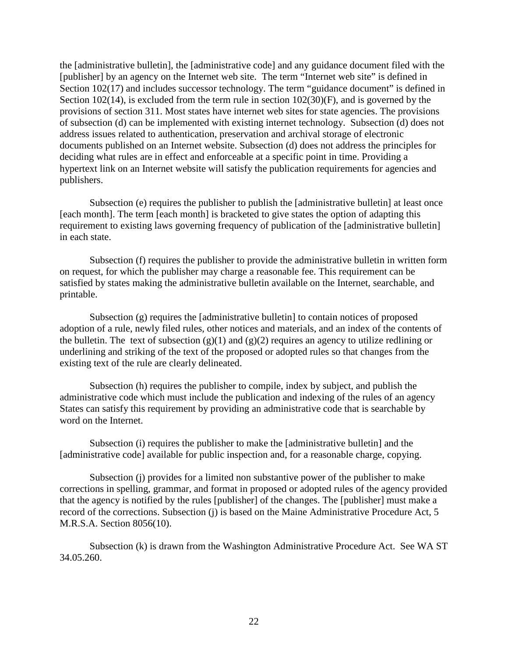the [administrative bulletin], the [administrative code] and any guidance document filed with the [publisher] by an agency on the Internet web site. The term "Internet web site" is defined in Section 102(17) and includes successor technology. The term "guidance document" is defined in Section 102(14), is excluded from the term rule in section 102(30)(F), and is governed by the provisions of section 311. Most states have internet web sites for state agencies. The provisions of subsection (d) can be implemented with existing internet technology. Subsection (d) does not address issues related to authentication, preservation and archival storage of electronic documents published on an Internet website. Subsection (d) does not address the principles for deciding what rules are in effect and enforceable at a specific point in time. Providing a hypertext link on an Internet website will satisfy the publication requirements for agencies and publishers.

Subsection (e) requires the publisher to publish the [administrative bulletin] at least once [each month]. The term [each month] is bracketed to give states the option of adapting this requirement to existing laws governing frequency of publication of the [administrative bulletin] in each state.

Subsection (f) requires the publisher to provide the administrative bulletin in written form on request, for which the publisher may charge a reasonable fee. This requirement can be satisfied by states making the administrative bulletin available on the Internet, searchable, and printable.

Subsection (g) requires the [administrative bulletin] to contain notices of proposed adoption of a rule, newly filed rules, other notices and materials, and an index of the contents of the bulletin. The text of subsection  $(g)(1)$  and  $(g)(2)$  requires an agency to utilize redlining or underlining and striking of the text of the proposed or adopted rules so that changes from the existing text of the rule are clearly delineated.

Subsection (h) requires the publisher to compile, index by subject, and publish the administrative code which must include the publication and indexing of the rules of an agency States can satisfy this requirement by providing an administrative code that is searchable by word on the Internet.

Subsection (i) requires the publisher to make the [administrative bulletin] and the [administrative code] available for public inspection and, for a reasonable charge, copying.

Subsection (j) provides for a limited non substantive power of the publisher to make corrections in spelling, grammar, and format in proposed or adopted rules of the agency provided that the agency is notified by the rules [publisher] of the changes. The [publisher] must make a record of the corrections. Subsection (j) is based on the Maine Administrative Procedure Act, 5 M.R.S.A. Section 8056(10).

Subsection (k) is drawn from the Washington Administrative Procedure Act. See WA ST 34.05.260.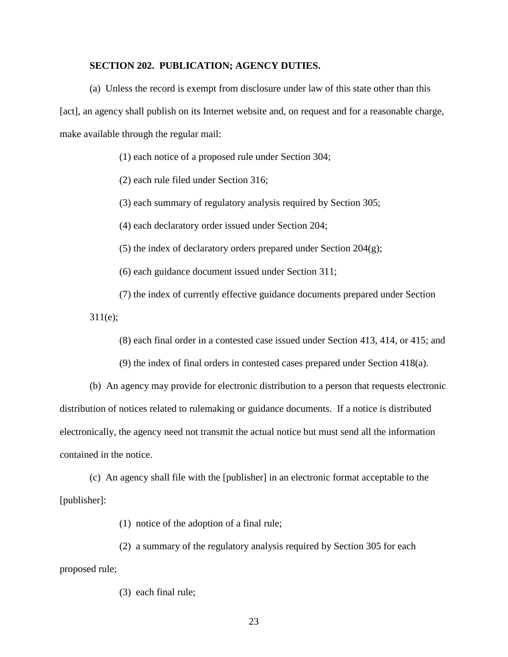#### <span id="page-28-0"></span>**SECTION 202. PUBLICATION; AGENCY DUTIES.**

(a) Unless the record is exempt from disclosure under law of this state other than this [act], an agency shall publish on its Internet website and, on request and for a reasonable charge, make available through the regular mail:

(1) each notice of a proposed rule under Section 304;

(2) each rule filed under Section 316;

(3) each summary of regulatory analysis required by Section 305;

(4) each declaratory order issued under Section 204;

(5) the index of declaratory orders prepared under Section 204(g);

(6) each guidance document issued under Section 311;

(7) the index of currently effective guidance documents prepared under Section  $311(e);$ 

(8) each final order in a contested case issued under Section 413, 414, or 415; and

(9) the index of final orders in contested cases prepared under Section 418(a).

(b) An agency may provide for electronic distribution to a person that requests electronic distribution of notices related to rulemaking or guidance documents. If a notice is distributed electronically, the agency need not transmit the actual notice but must send all the information contained in the notice.

(c) An agency shall file with the [publisher] in an electronic format acceptable to the [publisher]:

(1) notice of the adoption of a final rule;

(2) a summary of the regulatory analysis required by Section 305 for each proposed rule;

(3) each final rule;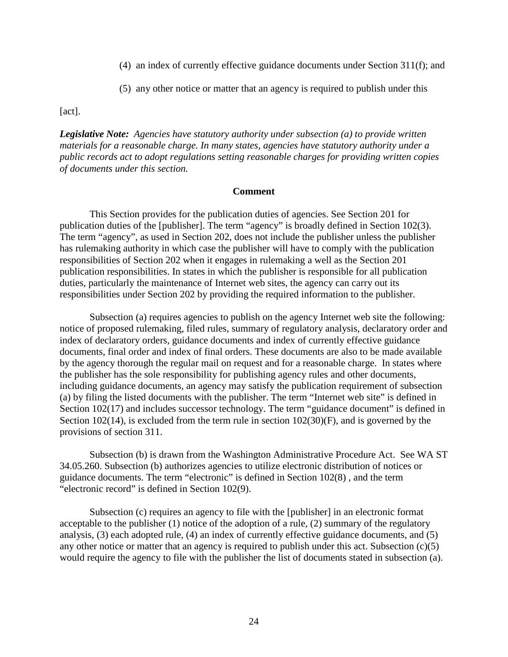(4) an index of currently effective guidance documents under Section 311(f); and

(5) any other notice or matter that an agency is required to publish under this

[act].

*Legislative Note: Agencies have statutory authority under subsection (a) to provide written materials for a reasonable charge. In many states, agencies have statutory authority under a public records act to adopt regulations setting reasonable charges for providing written copies of documents under this section.*

#### **Comment**

This Section provides for the publication duties of agencies. See Section 201 for publication duties of the [publisher]. The term "agency" is broadly defined in Section 102(3). The term "agency", as used in Section 202, does not include the publisher unless the publisher has rulemaking authority in which case the publisher will have to comply with the publication responsibilities of Section 202 when it engages in rulemaking a well as the Section 201 publication responsibilities. In states in which the publisher is responsible for all publication duties, particularly the maintenance of Internet web sites, the agency can carry out its responsibilities under Section 202 by providing the required information to the publisher.

Subsection (a) requires agencies to publish on the agency Internet web site the following: notice of proposed rulemaking, filed rules, summary of regulatory analysis, declaratory order and index of declaratory orders, guidance documents and index of currently effective guidance documents, final order and index of final orders. These documents are also to be made available by the agency thorough the regular mail on request and for a reasonable charge. In states where the publisher has the sole responsibility for publishing agency rules and other documents, including guidance documents, an agency may satisfy the publication requirement of subsection (a) by filing the listed documents with the publisher. The term "Internet web site" is defined in Section 102(17) and includes successor technology. The term "guidance document" is defined in Section 102(14), is excluded from the term rule in section 102(30)(F), and is governed by the provisions of section 311.

Subsection (b) is drawn from the Washington Administrative Procedure Act. See WA ST 34.05.260. Subsection (b) authorizes agencies to utilize electronic distribution of notices or guidance documents. The term "electronic" is defined in Section 102(8) , and the term "electronic record" is defined in Section 102(9).

Subsection (c) requires an agency to file with the [publisher] in an electronic format acceptable to the publisher (1) notice of the adoption of a rule, (2) summary of the regulatory analysis, (3) each adopted rule, (4) an index of currently effective guidance documents, and (5) any other notice or matter that an agency is required to publish under this act. Subsection (c)(5) would require the agency to file with the publisher the list of documents stated in subsection (a).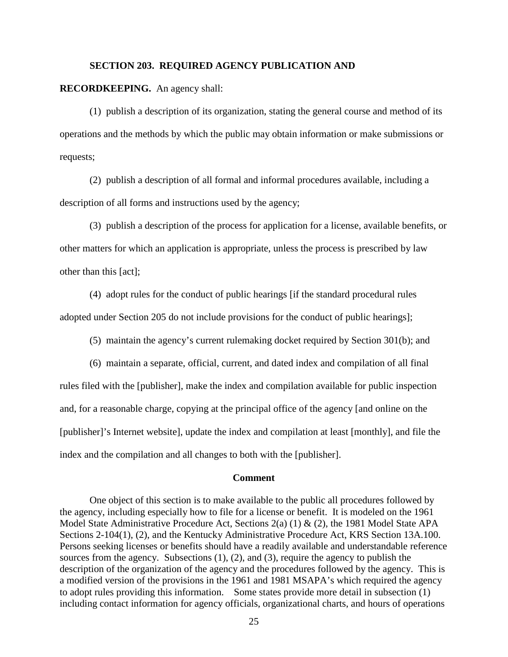#### **SECTION 203. REQUIRED AGENCY PUBLICATION AND**

#### <span id="page-30-0"></span>**RECORDKEEPING.** An agency shall:

(1) publish a description of its organization, stating the general course and method of its operations and the methods by which the public may obtain information or make submissions or requests;

(2) publish a description of all formal and informal procedures available, including a description of all forms and instructions used by the agency;

(3) publish a description of the process for application for a license, available benefits, or other matters for which an application is appropriate, unless the process is prescribed by law other than this [act];

(4) adopt rules for the conduct of public hearings [if the standard procedural rules adopted under Section 205 do not include provisions for the conduct of public hearings];

(5) maintain the agency's current rulemaking docket required by Section 301(b); and

(6) maintain a separate, official, current, and dated index and compilation of all final rules filed with the [publisher], make the index and compilation available for public inspection and, for a reasonable charge, copying at the principal office of the agency [and online on the [publisher]'s Internet website], update the index and compilation at least [monthly], and file the index and the compilation and all changes to both with the [publisher].

#### **Comment**

One object of this section is to make available to the public all procedures followed by the agency, including especially how to file for a license or benefit. It is modeled on the 1961 Model State Administrative Procedure Act, Sections 2(a) (1) & (2), the 1981 Model State APA Sections 2-104(1), (2), and the Kentucky Administrative Procedure Act, KRS Section 13A.100. Persons seeking licenses or benefits should have a readily available and understandable reference sources from the agency. Subsections (1), (2), and (3), require the agency to publish the description of the organization of the agency and the procedures followed by the agency. This is a modified version of the provisions in the 1961 and 1981 MSAPA's which required the agency to adopt rules providing this information. Some states provide more detail in subsection (1) including contact information for agency officials, organizational charts, and hours of operations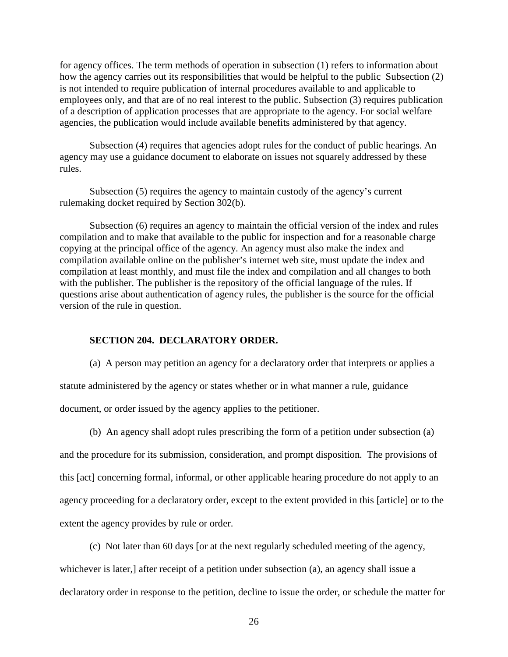for agency offices. The term methods of operation in subsection (1) refers to information about how the agency carries out its responsibilities that would be helpful to the public Subsection (2) is not intended to require publication of internal procedures available to and applicable to employees only, and that are of no real interest to the public. Subsection (3) requires publication of a description of application processes that are appropriate to the agency. For social welfare agencies, the publication would include available benefits administered by that agency.

Subsection (4) requires that agencies adopt rules for the conduct of public hearings. An agency may use a guidance document to elaborate on issues not squarely addressed by these rules.

Subsection (5) requires the agency to maintain custody of the agency's current rulemaking docket required by Section 302(b).

Subsection (6) requires an agency to maintain the official version of the index and rules compilation and to make that available to the public for inspection and for a reasonable charge copying at the principal office of the agency. An agency must also make the index and compilation available online on the publisher's internet web site, must update the index and compilation at least monthly, and must file the index and compilation and all changes to both with the publisher. The publisher is the repository of the official language of the rules. If questions arise about authentication of agency rules, the publisher is the source for the official version of the rule in question.

#### **SECTION 204. DECLARATORY ORDER.**

<span id="page-31-0"></span>(a) A person may petition an agency for a declaratory order that interprets or applies a statute administered by the agency or states whether or in what manner a rule, guidance document, or order issued by the agency applies to the petitioner.

(b) An agency shall adopt rules prescribing the form of a petition under subsection (a) and the procedure for its submission, consideration, and prompt disposition. The provisions of this [act] concerning formal, informal, or other applicable hearing procedure do not apply to an agency proceeding for a declaratory order, except to the extent provided in this [article] or to the extent the agency provides by rule or order.

(c) Not later than 60 days [or at the next regularly scheduled meeting of the agency, whichever is later,] after receipt of a petition under subsection (a), an agency shall issue a declaratory order in response to the petition, decline to issue the order, or schedule the matter for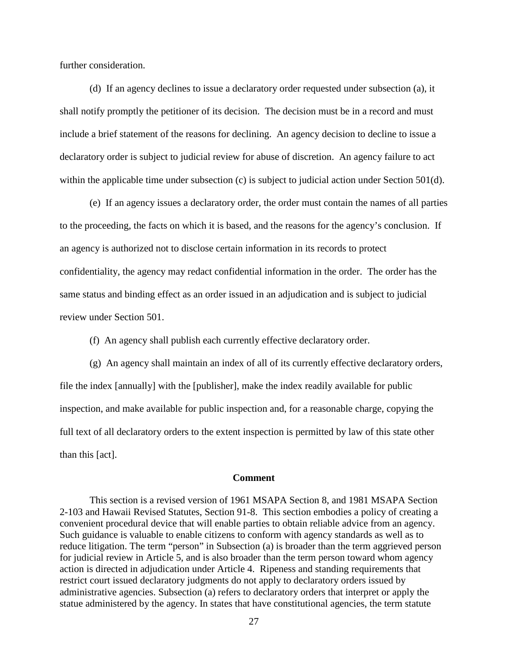further consideration.

(d) If an agency declines to issue a declaratory order requested under subsection (a), it shall notify promptly the petitioner of its decision. The decision must be in a record and must include a brief statement of the reasons for declining. An agency decision to decline to issue a declaratory order is subject to judicial review for abuse of discretion. An agency failure to act within the applicable time under subsection (c) is subject to judicial action under Section 501(d).

(e) If an agency issues a declaratory order, the order must contain the names of all parties to the proceeding, the facts on which it is based, and the reasons for the agency's conclusion. If an agency is authorized not to disclose certain information in its records to protect confidentiality, the agency may redact confidential information in the order. The order has the same status and binding effect as an order issued in an adjudication and is subject to judicial review under Section 501.

(f) An agency shall publish each currently effective declaratory order.

(g) An agency shall maintain an index of all of its currently effective declaratory orders, file the index [annually] with the [publisher], make the index readily available for public inspection, and make available for public inspection and, for a reasonable charge, copying the full text of all declaratory orders to the extent inspection is permitted by law of this state other than this [act].

#### **Comment**

This section is a revised version of 1961 MSAPA Section 8, and 1981 MSAPA Section 2-103 and Hawaii Revised Statutes, Section 91-8. This section embodies a policy of creating a convenient procedural device that will enable parties to obtain reliable advice from an agency. Such guidance is valuable to enable citizens to conform with agency standards as well as to reduce litigation. The term "person" in Subsection (a) is broader than the term aggrieved person for judicial review in Article 5, and is also broader than the term person toward whom agency action is directed in adjudication under Article 4. Ripeness and standing requirements that restrict court issued declaratory judgments do not apply to declaratory orders issued by administrative agencies. Subsection (a) refers to declaratory orders that interpret or apply the statue administered by the agency. In states that have constitutional agencies, the term statute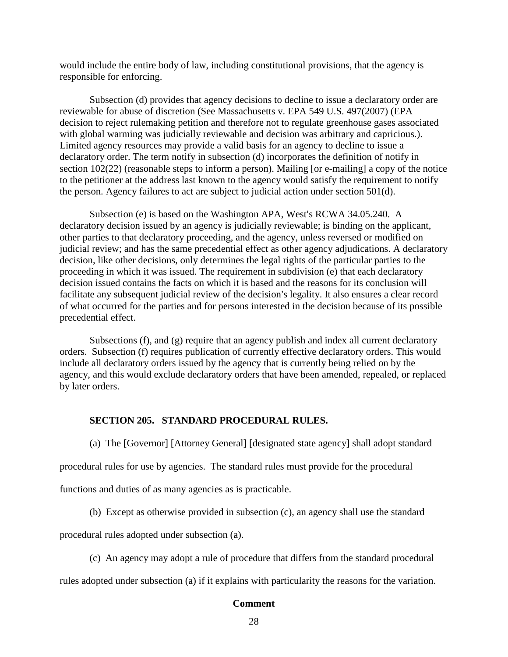would include the entire body of law, including constitutional provisions, that the agency is responsible for enforcing.

Subsection (d) provides that agency decisions to decline to issue a declaratory order are reviewable for abuse of discretion (See Massachusetts v. EPA 549 U.S. 497(2007) (EPA decision to reject rulemaking petition and therefore not to regulate greenhouse gases associated with global warming was judicially reviewable and decision was arbitrary and capricious.). Limited agency resources may provide a valid basis for an agency to decline to issue a declaratory order. The term notify in subsection (d) incorporates the definition of notify in section 102(22) (reasonable steps to inform a person). Mailing [or e-mailing] a copy of the notice to the petitioner at the address last known to the agency would satisfy the requirement to notify the person. Agency failures to act are subject to judicial action under section 501(d).

Subsection (e) is based on the Washington APA, West's RCWA 34.05.240. A declaratory decision issued by an agency is judicially reviewable; is binding on the applicant, other parties to that declaratory proceeding, and the agency, unless reversed or modified on judicial review; and has the same precedential effect as other agency adjudications. A declaratory decision, like other decisions, only determines the legal rights of the particular parties to the proceeding in which it was issued. The requirement in subdivision (e) that each declaratory decision issued contains the facts on which it is based and the reasons for its conclusion will facilitate any subsequent judicial review of the decision's legality. It also ensures a clear record of what occurred for the parties and for persons interested in the decision because of its possible precedential effect.

Subsections (f), and (g) require that an agency publish and index all current declaratory orders. Subsection (f) requires publication of currently effective declaratory orders. This would include all declaratory orders issued by the agency that is currently being relied on by the agency, and this would exclude declaratory orders that have been amended, repealed, or replaced by later orders.

### <span id="page-33-0"></span>**SECTION 205. STANDARD PROCEDURAL RULES.**

(a) The [Governor] [Attorney General] [designated state agency] shall adopt standard

procedural rules for use by agencies. The standard rules must provide for the procedural

functions and duties of as many agencies as is practicable.

(b) Except as otherwise provided in subsection (c), an agency shall use the standard

procedural rules adopted under subsection (a).

(c) An agency may adopt a rule of procedure that differs from the standard procedural

rules adopted under subsection (a) if it explains with particularity the reasons for the variation.

### **Comment**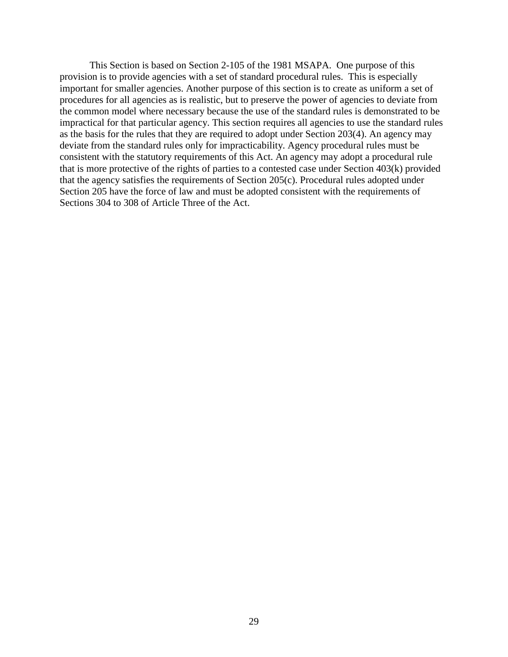This Section is based on Section 2-105 of the 1981 MSAPA. One purpose of this provision is to provide agencies with a set of standard procedural rules. This is especially important for smaller agencies. Another purpose of this section is to create as uniform a set of procedures for all agencies as is realistic, but to preserve the power of agencies to deviate from the common model where necessary because the use of the standard rules is demonstrated to be impractical for that particular agency. This section requires all agencies to use the standard rules as the basis for the rules that they are required to adopt under Section 203(4). An agency may deviate from the standard rules only for impracticability. Agency procedural rules must be consistent with the statutory requirements of this Act. An agency may adopt a procedural rule that is more protective of the rights of parties to a contested case under Section 403(k) provided that the agency satisfies the requirements of Section 205(c). Procedural rules adopted under Section 205 have the force of law and must be adopted consistent with the requirements of Sections 304 to 308 of Article Three of the Act.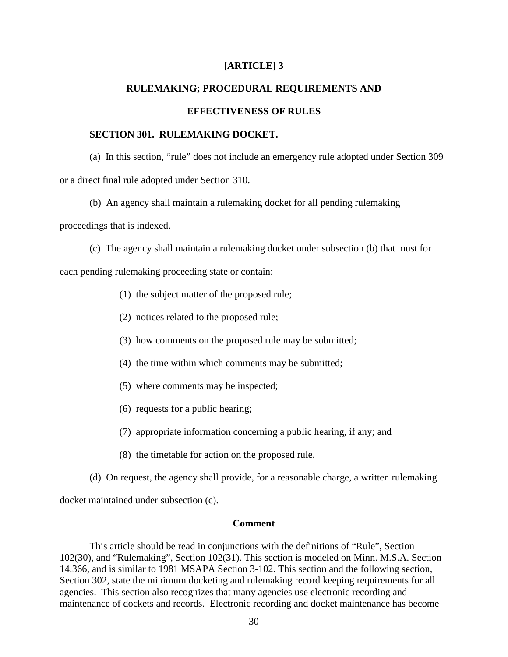#### **[ARTICLE] 3**

# <span id="page-35-0"></span>**RULEMAKING; PROCEDURAL REQUIREMENTS AND**

# **EFFECTIVENESS OF RULES**

#### <span id="page-35-2"></span><span id="page-35-1"></span>**SECTION 301. RULEMAKING DOCKET.**

(a) In this section, "rule" does not include an emergency rule adopted under Section 309 or a direct final rule adopted under Section 310.

(b) An agency shall maintain a rulemaking docket for all pending rulemaking proceedings that is indexed.

(c) The agency shall maintain a rulemaking docket under subsection (b) that must for

each pending rulemaking proceeding state or contain:

- (1) the subject matter of the proposed rule;
- (2) notices related to the proposed rule;
- (3) how comments on the proposed rule may be submitted;
- (4) the time within which comments may be submitted;
- (5) where comments may be inspected;
- (6) requests for a public hearing;
- (7) appropriate information concerning a public hearing, if any; and
- (8) the timetable for action on the proposed rule.
- (d) On request, the agency shall provide, for a reasonable charge, a written rulemaking

docket maintained under subsection (c).

#### **Comment**

This article should be read in conjunctions with the definitions of "Rule", Section 102(30), and "Rulemaking", Section 102(31). This section is modeled on Minn. M.S.A. Section 14.366, and is similar to 1981 MSAPA Section 3-102. This section and the following section, Section 302, state the minimum docketing and rulemaking record keeping requirements for all agencies. This section also recognizes that many agencies use electronic recording and maintenance of dockets and records. Electronic recording and docket maintenance has become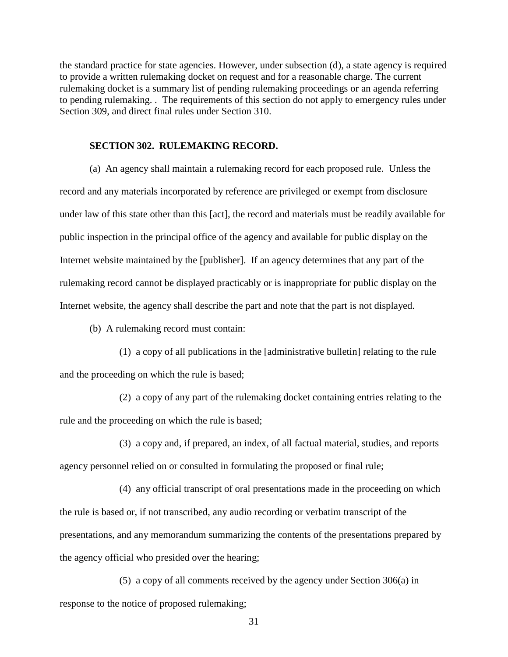the standard practice for state agencies. However, under subsection (d), a state agency is required to provide a written rulemaking docket on request and for a reasonable charge. The current rulemaking docket is a summary list of pending rulemaking proceedings or an agenda referring to pending rulemaking. . The requirements of this section do not apply to emergency rules under Section 309, and direct final rules under Section 310.

## **SECTION 302. RULEMAKING RECORD.**

(a) An agency shall maintain a rulemaking record for each proposed rule. Unless the record and any materials incorporated by reference are privileged or exempt from disclosure under law of this state other than this [act], the record and materials must be readily available for public inspection in the principal office of the agency and available for public display on the Internet website maintained by the [publisher]. If an agency determines that any part of the rulemaking record cannot be displayed practicably or is inappropriate for public display on the Internet website, the agency shall describe the part and note that the part is not displayed.

(b) A rulemaking record must contain:

(1) a copy of all publications in the [administrative bulletin] relating to the rule and the proceeding on which the rule is based;

(2) a copy of any part of the rulemaking docket containing entries relating to the rule and the proceeding on which the rule is based;

(3) a copy and, if prepared, an index, of all factual material, studies, and reports agency personnel relied on or consulted in formulating the proposed or final rule;

(4) any official transcript of oral presentations made in the proceeding on which the rule is based or, if not transcribed, any audio recording or verbatim transcript of the presentations, and any memorandum summarizing the contents of the presentations prepared by the agency official who presided over the hearing;

(5) a copy of all comments received by the agency under Section 306(a) in response to the notice of proposed rulemaking;

31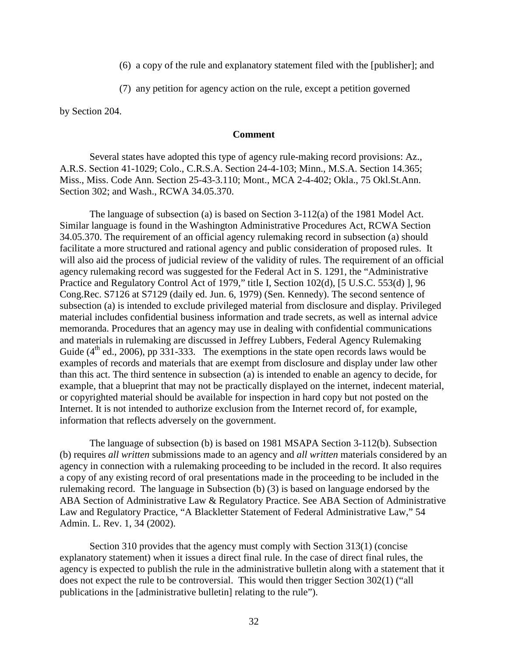(6) a copy of the rule and explanatory statement filed with the [publisher]; and

(7) any petition for agency action on the rule, except a petition governed

by Section 204.

### **Comment**

Several states have adopted this type of agency rule-making record provisions: Az., A.R.S. Section 41-1029; Colo., C.R.S.A. Section 24-4-103; Minn., M.S.A. Section 14.365; Miss., Miss. Code Ann. Section 25-43-3.110; Mont., MCA 2-4-402; Okla., 75 Okl.St.Ann. Section 302; and Wash., RCWA 34.05.370.

The language of subsection (a) is based on Section 3-112(a) of the 1981 Model Act. Similar language is found in the Washington Administrative Procedures Act, RCWA Section 34.05.370. The requirement of an official agency rulemaking record in subsection (a) should facilitate a more structured and rational agency and public consideration of proposed rules. It will also aid the process of judicial review of the validity of rules. The requirement of an official agency rulemaking record was suggested for the Federal Act in S. 1291, the "Administrative Practice and Regulatory Control Act of 1979," title I, Section 102(d), [5 U.S.C. 553(d) ], 96 Cong.Rec. S7126 at S7129 (daily ed. Jun. 6, 1979) (Sen. Kennedy). The second sentence of subsection (a) is intended to exclude privileged material from disclosure and display. Privileged material includes confidential business information and trade secrets, as well as internal advice memoranda. Procedures that an agency may use in dealing with confidential communications and materials in rulemaking are discussed in Jeffrey Lubbers, Federal Agency Rulemaking Guide  $(4<sup>th</sup>$  ed., 2006), pp 331-333. The exemptions in the state open records laws would be examples of records and materials that are exempt from disclosure and display under law other than this act. The third sentence in subsection (a) is intended to enable an agency to decide, for example, that a blueprint that may not be practically displayed on the internet, indecent material, or copyrighted material should be available for inspection in hard copy but not posted on the Internet. It is not intended to authorize exclusion from the Internet record of, for example, information that reflects adversely on the government.

The language of subsection (b) is based on 1981 MSAPA Section 3-112(b). Subsection (b) requires *all written* submissions made to an agency and *all written* materials considered by an agency in connection with a rulemaking proceeding to be included in the record. It also requires a copy of any existing record of oral presentations made in the proceeding to be included in the rulemaking record. The language in Subsection (b) (3) is based on language endorsed by the ABA Section of Administrative Law & Regulatory Practice. See ABA Section of Administrative Law and Regulatory Practice, "A Blackletter Statement of Federal Administrative Law," 54 Admin. L. Rev. 1, 34 (2002).

Section 310 provides that the agency must comply with Section 313(1) (concise explanatory statement) when it issues a direct final rule. In the case of direct final rules, the agency is expected to publish the rule in the administrative bulletin along with a statement that it does not expect the rule to be controversial. This would then trigger Section 302(1) ("all publications in the [administrative bulletin] relating to the rule").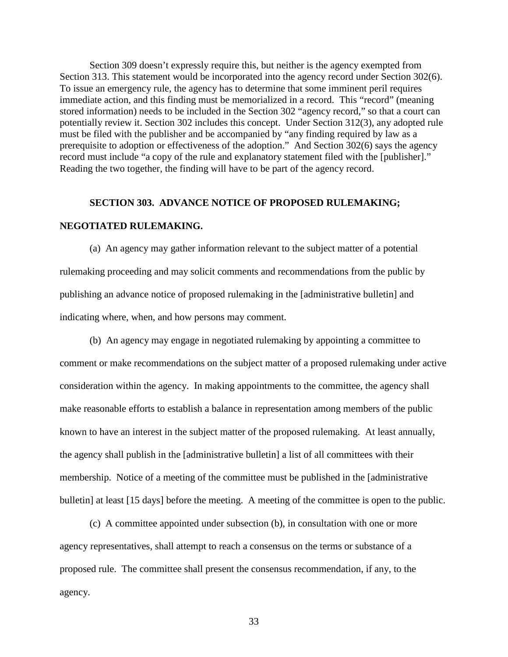Section 309 doesn't expressly require this, but neither is the agency exempted from Section 313. This statement would be incorporated into the agency record under Section 302(6). To issue an emergency rule, the agency has to determine that some imminent peril requires immediate action, and this finding must be memorialized in a record. This "record" (meaning stored information) needs to be included in the Section 302 "agency record," so that a court can potentially review it. Section 302 includes this concept. Under Section 312(3), any adopted rule must be filed with the publisher and be accompanied by "any finding required by law as a prerequisite to adoption or effectiveness of the adoption." And Section 302(6) says the agency record must include "a copy of the rule and explanatory statement filed with the [publisher]." Reading the two together, the finding will have to be part of the agency record.

#### **SECTION 303. ADVANCE NOTICE OF PROPOSED RULEMAKING;**

#### **NEGOTIATED RULEMAKING.**

(a) An agency may gather information relevant to the subject matter of a potential rulemaking proceeding and may solicit comments and recommendations from the public by publishing an advance notice of proposed rulemaking in the [administrative bulletin] and indicating where, when, and how persons may comment.

(b) An agency may engage in negotiated rulemaking by appointing a committee to comment or make recommendations on the subject matter of a proposed rulemaking under active consideration within the agency. In making appointments to the committee, the agency shall make reasonable efforts to establish a balance in representation among members of the public known to have an interest in the subject matter of the proposed rulemaking. At least annually, the agency shall publish in the [administrative bulletin] a list of all committees with their membership. Notice of a meeting of the committee must be published in the [administrative bulletin] at least [15 days] before the meeting. A meeting of the committee is open to the public.

(c) A committee appointed under subsection (b), in consultation with one or more agency representatives, shall attempt to reach a consensus on the terms or substance of a proposed rule. The committee shall present the consensus recommendation, if any, to the agency.

33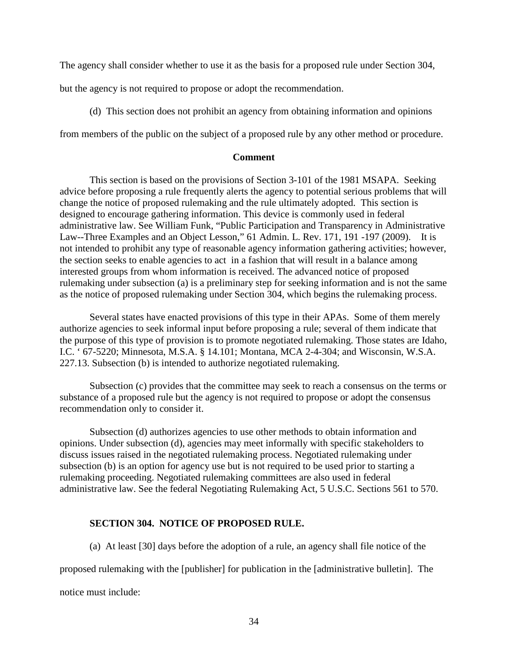The agency shall consider whether to use it as the basis for a proposed rule under Section 304,

but the agency is not required to propose or adopt the recommendation.

(d) This section does not prohibit an agency from obtaining information and opinions

from members of the public on the subject of a proposed rule by any other method or procedure.

### **Comment**

This section is based on the provisions of Section 3-101 of the 1981 MSAPA. Seeking advice before proposing a rule frequently alerts the agency to potential serious problems that will change the notice of proposed rulemaking and the rule ultimately adopted. This section is designed to encourage gathering information. This device is commonly used in federal administrative law. See William Funk, "Public Participation and Transparency in Administrative Law--Three Examples and an Object Lesson," 61 Admin. L. Rev. 171, 191 -197 (2009). It is not intended to prohibit any type of reasonable agency information gathering activities; however, the section seeks to enable agencies to act in a fashion that will result in a balance among interested groups from whom information is received. The advanced notice of proposed rulemaking under subsection (a) is a preliminary step for seeking information and is not the same as the notice of proposed rulemaking under Section 304, which begins the rulemaking process.

Several states have enacted provisions of this type in their APAs. Some of them merely authorize agencies to seek informal input before proposing a rule; several of them indicate that the purpose of this type of provision is to promote negotiated rulemaking. Those states are Idaho, I.C. ' 67-5220; Minnesota, M.S.A. § 14.101; Montana, MCA 2-4-304; and Wisconsin, W.S.A. 227.13. Subsection (b) is intended to authorize negotiated rulemaking.

Subsection (c) provides that the committee may seek to reach a consensus on the terms or substance of a proposed rule but the agency is not required to propose or adopt the consensus recommendation only to consider it.

Subsection (d) authorizes agencies to use other methods to obtain information and opinions. Under subsection (d), agencies may meet informally with specific stakeholders to discuss issues raised in the negotiated rulemaking process. Negotiated rulemaking under subsection (b) is an option for agency use but is not required to be used prior to starting a rulemaking proceeding. Negotiated rulemaking committees are also used in federal administrative law. See the federal Negotiating Rulemaking Act, 5 U.S.C. Sections 561 to 570.

### **SECTION 304. NOTICE OF PROPOSED RULE.**

(a) At least [30] days before the adoption of a rule, an agency shall file notice of the

proposed rulemaking with the [publisher] for publication in the [administrative bulletin]. The

notice must include: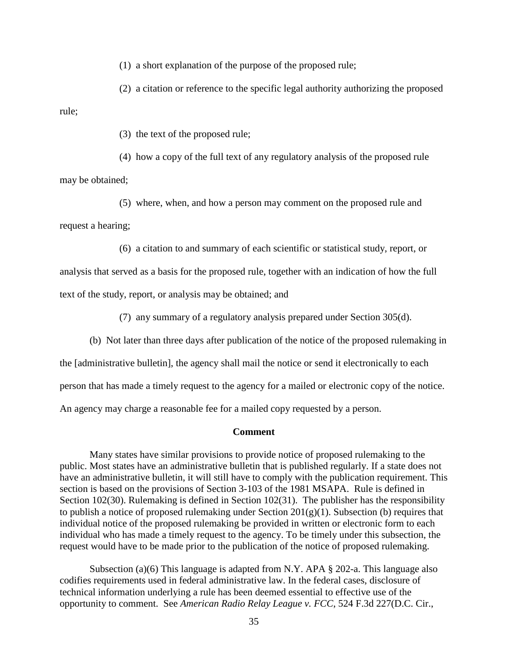(1) a short explanation of the purpose of the proposed rule;

(2) a citation or reference to the specific legal authority authorizing the proposed rule;

(3) the text of the proposed rule;

(4) how a copy of the full text of any regulatory analysis of the proposed rule may be obtained;

(5) where, when, and how a person may comment on the proposed rule and request a hearing;

(6) a citation to and summary of each scientific or statistical study, report, or analysis that served as a basis for the proposed rule, together with an indication of how the full text of the study, report, or analysis may be obtained; and

(7) any summary of a regulatory analysis prepared under Section 305(d).

(b) Not later than three days after publication of the notice of the proposed rulemaking in

the [administrative bulletin], the agency shall mail the notice or send it electronically to each

person that has made a timely request to the agency for a mailed or electronic copy of the notice.

An agency may charge a reasonable fee for a mailed copy requested by a person.

# **Comment**

Many states have similar provisions to provide notice of proposed rulemaking to the public. Most states have an administrative bulletin that is published regularly. If a state does not have an administrative bulletin, it will still have to comply with the publication requirement. This section is based on the provisions of Section 3-103 of the 1981 MSAPA. Rule is defined in Section 102(30). Rulemaking is defined in Section 102(31). The publisher has the responsibility to publish a notice of proposed rulemaking under Section  $201(g)(1)$ . Subsection (b) requires that individual notice of the proposed rulemaking be provided in written or electronic form to each individual who has made a timely request to the agency. To be timely under this subsection, the request would have to be made prior to the publication of the notice of proposed rulemaking.

Subsection (a)(6) This language is adapted from N.Y. APA  $\S$  202-a. This language also codifies requirements used in federal administrative law. In the federal cases, disclosure of technical information underlying a rule has been deemed essential to effective use of the opportunity to comment. See *American Radio Relay League v. FCC*, 524 F.3d 227(D.C. Cir.,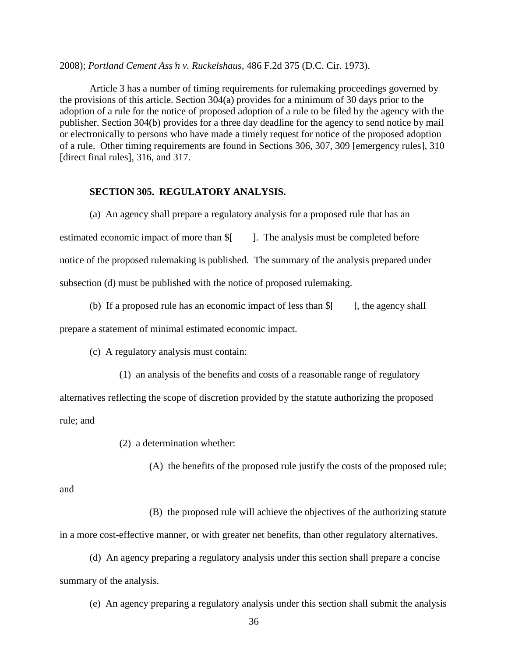2008); *Portland Cement Ass*=*n v. Ruckelshaus,* 486 F.2d 375 (D.C. Cir. 1973).

Article 3 has a number of timing requirements for rulemaking proceedings governed by the provisions of this article. Section 304(a) provides for a minimum of 30 days prior to the adoption of a rule for the notice of proposed adoption of a rule to be filed by the agency with the publisher. Section 304(b) provides for a three day deadline for the agency to send notice by mail or electronically to persons who have made a timely request for notice of the proposed adoption of a rule. Other timing requirements are found in Sections 306, 307, 309 [emergency rules], 310 [direct final rules], 316, and 317.

## **SECTION 305. REGULATORY ANALYSIS.**

(a) An agency shall prepare a regulatory analysis for a proposed rule that has an estimated economic impact of more than  $\{\}$  ]. The analysis must be completed before notice of the proposed rulemaking is published. The summary of the analysis prepared under subsection (d) must be published with the notice of proposed rulemaking.

(b) If a proposed rule has an economic impact of less than  $\frac{1}{2}$  [, the agency shall

prepare a statement of minimal estimated economic impact.

(c) A regulatory analysis must contain:

(1) an analysis of the benefits and costs of a reasonable range of regulatory

alternatives reflecting the scope of discretion provided by the statute authorizing the proposed rule; and

(2) a determination whether:

(A) the benefits of the proposed rule justify the costs of the proposed rule;

### and

(B) the proposed rule will achieve the objectives of the authorizing statute in a more cost-effective manner, or with greater net benefits, than other regulatory alternatives.

(d) An agency preparing a regulatory analysis under this section shall prepare a concise summary of the analysis.

(e) An agency preparing a regulatory analysis under this section shall submit the analysis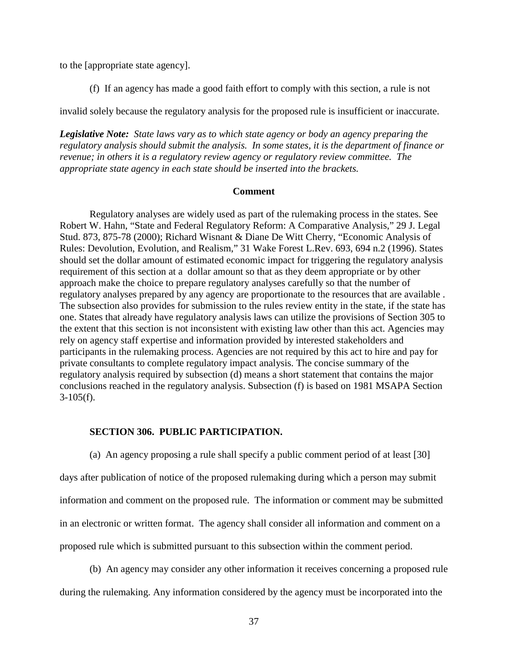to the [appropriate state agency].

(f) If an agency has made a good faith effort to comply with this section, a rule is not

invalid solely because the regulatory analysis for the proposed rule is insufficient or inaccurate.

*Legislative Note: State laws vary as to which state agency or body an agency preparing the regulatory analysis should submit the analysis. In some states, it is the department of finance or revenue; in others it is a regulatory review agency or regulatory review committee. The appropriate state agency in each state should be inserted into the brackets.* 

### **Comment**

Regulatory analyses are widely used as part of the rulemaking process in the states. See Robert W. Hahn, "State and Federal Regulatory Reform: A Comparative Analysis," 29 J. Legal Stud. 873, 875-78 (2000); Richard Wisnant & Diane De Witt Cherry, "Economic Analysis of Rules: Devolution, Evolution, and Realism," 31 Wake Forest L.Rev. 693, 694 n.2 (1996). States should set the dollar amount of estimated economic impact for triggering the regulatory analysis requirement of this section at a dollar amount so that as they deem appropriate or by other approach make the choice to prepare regulatory analyses carefully so that the number of regulatory analyses prepared by any agency are proportionate to the resources that are available . The subsection also provides for submission to the rules review entity in the state, if the state has one. States that already have regulatory analysis laws can utilize the provisions of Section 305 to the extent that this section is not inconsistent with existing law other than this act. Agencies may rely on agency staff expertise and information provided by interested stakeholders and participants in the rulemaking process. Agencies are not required by this act to hire and pay for private consultants to complete regulatory impact analysis. The concise summary of the regulatory analysis required by subsection (d) means a short statement that contains the major conclusions reached in the regulatory analysis. Subsection (f) is based on 1981 MSAPA Section  $3-105(f)$ .

#### **SECTION 306. PUBLIC PARTICIPATION.**

(a) An agency proposing a rule shall specify a public comment period of at least [30]

days after publication of notice of the proposed rulemaking during which a person may submit information and comment on the proposed rule. The information or comment may be submitted in an electronic or written format. The agency shall consider all information and comment on a proposed rule which is submitted pursuant to this subsection within the comment period.

(b) An agency may consider any other information it receives concerning a proposed rule during the rulemaking. Any information considered by the agency must be incorporated into the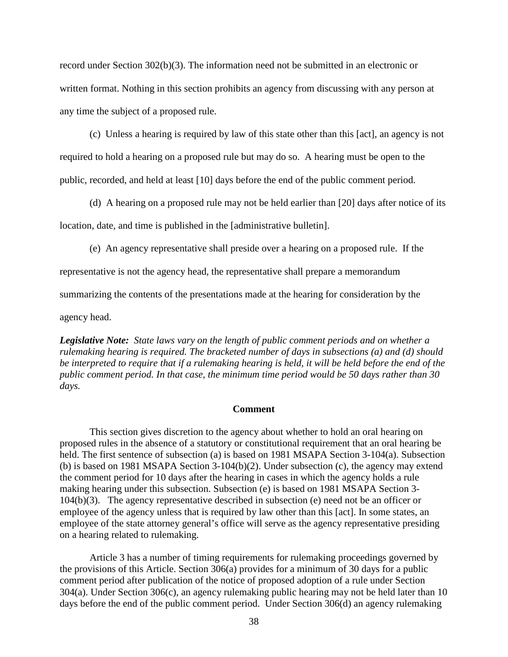record under Section 302(b)(3). The information need not be submitted in an electronic or written format. Nothing in this section prohibits an agency from discussing with any person at any time the subject of a proposed rule.

(c) Unless a hearing is required by law of this state other than this [act], an agency is not required to hold a hearing on a proposed rule but may do so. A hearing must be open to the public, recorded, and held at least [10] days before the end of the public comment period.

(d) A hearing on a proposed rule may not be held earlier than [20] days after notice of its location, date, and time is published in the [administrative bulletin].

(e) An agency representative shall preside over a hearing on a proposed rule. If the

representative is not the agency head, the representative shall prepare a memorandum

summarizing the contents of the presentations made at the hearing for consideration by the

agency head.

*Legislative Note: State laws vary on the length of public comment periods and on whether a rulemaking hearing is required. The bracketed number of days in subsections (a) and (d) should be interpreted to require that if a rulemaking hearing is held, it will be held before the end of the public comment period. In that case, the minimum time period would be 50 days rather than 30 days.* 

#### **Comment**

This section gives discretion to the agency about whether to hold an oral hearing on proposed rules in the absence of a statutory or constitutional requirement that an oral hearing be held. The first sentence of subsection (a) is based on 1981 MSAPA Section 3-104(a). Subsection (b) is based on 1981 MSAPA Section 3-104(b)(2). Under subsection (c), the agency may extend the comment period for 10 days after the hearing in cases in which the agency holds a rule making hearing under this subsection. Subsection (e) is based on 1981 MSAPA Section 3- 104(b)(3). The agency representative described in subsection (e) need not be an officer or employee of the agency unless that is required by law other than this [act]. In some states, an employee of the state attorney general's office will serve as the agency representative presiding on a hearing related to rulemaking.

Article 3 has a number of timing requirements for rulemaking proceedings governed by the provisions of this Article. Section 306(a) provides for a minimum of 30 days for a public comment period after publication of the notice of proposed adoption of a rule under Section 304(a). Under Section 306(c), an agency rulemaking public hearing may not be held later than 10 days before the end of the public comment period. Under Section 306(d) an agency rulemaking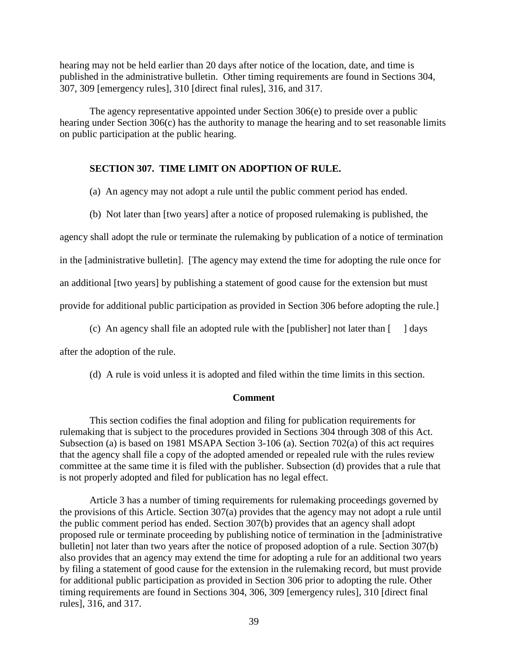hearing may not be held earlier than 20 days after notice of the location, date, and time is published in the administrative bulletin. Other timing requirements are found in Sections 304, 307, 309 [emergency rules], 310 [direct final rules], 316, and 317.

The agency representative appointed under Section 306(e) to preside over a public hearing under Section 306(c) has the authority to manage the hearing and to set reasonable limits on public participation at the public hearing.

### **SECTION 307. TIME LIMIT ON ADOPTION OF RULE.**

- (a) An agency may not adopt a rule until the public comment period has ended.
- (b) Not later than [two years] after a notice of proposed rulemaking is published, the

agency shall adopt the rule or terminate the rulemaking by publication of a notice of termination

in the [administrative bulletin]. [The agency may extend the time for adopting the rule once for

an additional [two years] by publishing a statement of good cause for the extension but must

provide for additional public participation as provided in Section 306 before adopting the rule.]

(c) An agency shall file an adopted rule with the [publisher] not later than  $\lceil \quad \rceil$  days

after the adoption of the rule.

(d) A rule is void unless it is adopted and filed within the time limits in this section.

### **Comment**

This section codifies the final adoption and filing for publication requirements for rulemaking that is subject to the procedures provided in Sections 304 through 308 of this Act. Subsection (a) is based on 1981 MSAPA Section 3-106 (a). Section 702(a) of this act requires that the agency shall file a copy of the adopted amended or repealed rule with the rules review committee at the same time it is filed with the publisher. Subsection (d) provides that a rule that is not properly adopted and filed for publication has no legal effect.

Article 3 has a number of timing requirements for rulemaking proceedings governed by the provisions of this Article. Section 307(a) provides that the agency may not adopt a rule until the public comment period has ended. Section 307(b) provides that an agency shall adopt proposed rule or terminate proceeding by publishing notice of termination in the [administrative bulletin] not later than two years after the notice of proposed adoption of a rule. Section 307(b) also provides that an agency may extend the time for adopting a rule for an additional two years by filing a statement of good cause for the extension in the rulemaking record, but must provide for additional public participation as provided in Section 306 prior to adopting the rule. Other timing requirements are found in Sections 304, 306, 309 [emergency rules], 310 [direct final rules], 316, and 317.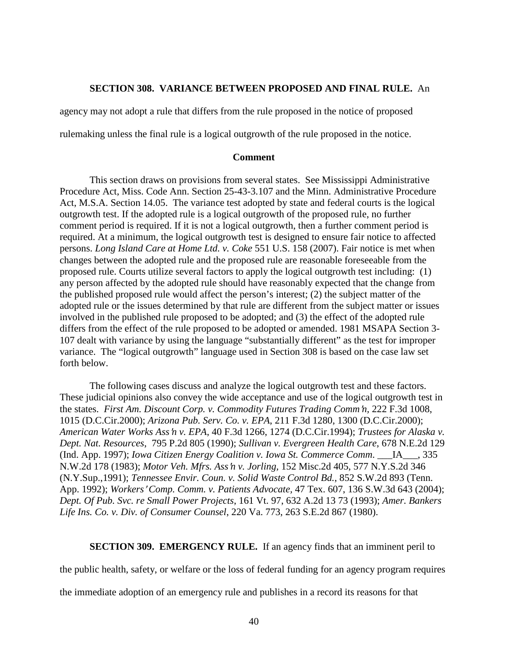### **SECTION 308. VARIANCE BETWEEN PROPOSED AND FINAL RULE.** An

agency may not adopt a rule that differs from the rule proposed in the notice of proposed

rulemaking unless the final rule is a logical outgrowth of the rule proposed in the notice.

### **Comment**

This section draws on provisions from several states. See Mississippi Administrative Procedure Act, Miss. Code Ann. Section 25-43-3.107 and the Minn. Administrative Procedure Act, M.S.A. Section 14.05. The variance test adopted by state and federal courts is the logical outgrowth test. If the adopted rule is a logical outgrowth of the proposed rule, no further comment period is required. If it is not a logical outgrowth, then a further comment period is required. At a minimum, the logical outgrowth test is designed to ensure fair notice to affected persons. *Long Island Care at Home Ltd. v. Coke* 551 U.S. 158 (2007). Fair notice is met when changes between the adopted rule and the proposed rule are reasonable foreseeable from the proposed rule. Courts utilize several factors to apply the logical outgrowth test including: (1) any person affected by the adopted rule should have reasonably expected that the change from the published proposed rule would affect the person's interest; (2) the subject matter of the adopted rule or the issues determined by that rule are different from the subject matter or issues involved in the published rule proposed to be adopted; and (3) the effect of the adopted rule differs from the effect of the rule proposed to be adopted or amended. 1981 MSAPA Section 3- 107 dealt with variance by using the language "substantially different" as the test for improper variance. The "logical outgrowth" language used in Section 308 is based on the case law set forth below.

The following cases discuss and analyze the logical outgrowth test and these factors. These judicial opinions also convey the wide acceptance and use of the logical outgrowth test in the states. *First Am. Discount Corp. v. Commodity Futures Trading Comm'n,* 222 F.3d 1008, 1015 (D.C.Cir.2000); *Arizona Pub. Serv. Co. v. EPA*, 211 F.3d 1280, 1300 (D.C.Cir.2000); *American Water Works Ass*=*n v. EPA*, 40 F.3d 1266, 1274 (D.C.Cir.1994); *Trustees for Alaska v. Dept. Nat. Resources*, 795 P.2d 805 (1990); *Sullivan v. Evergreen Health Care*, 678 N.E.2d 129 (Ind. App. 1997); *Iowa Citizen Energy Coalition v. Iowa St. Commerce Comm*. \_\_\_IA\_\_\_, 335 N.W.2d 178 (1983); *Motor Veh. Mfrs. Ass*=*n v. Jorling,* 152 Misc.2d 405, 577 N.Y.S.2d 346 (N.Y.Sup.,1991); *Tennessee Envir. Coun. v. Solid Waste Control Bd.*, 852 S.W.2d 893 (Tenn. App. 1992); *Workers*<sup>=</sup> *Comp. Comm. v. Patients Advocate,* 47 Tex. 607, 136 S.W.3d 643 (2004); *Dept. Of Pub. Svc. re Small Power Projects*, 161 Vt. 97, 632 A.2d 13 73 (1993); *Amer. Bankers Life Ins. Co. v. Div. of Consumer Counsel*, 220 Va. 773, 263 S.E.2d 867 (1980).

### **SECTION 309. EMERGENCY RULE.** If an agency finds that an imminent peril to

the public health, safety, or welfare or the loss of federal funding for an agency program requires

the immediate adoption of an emergency rule and publishes in a record its reasons for that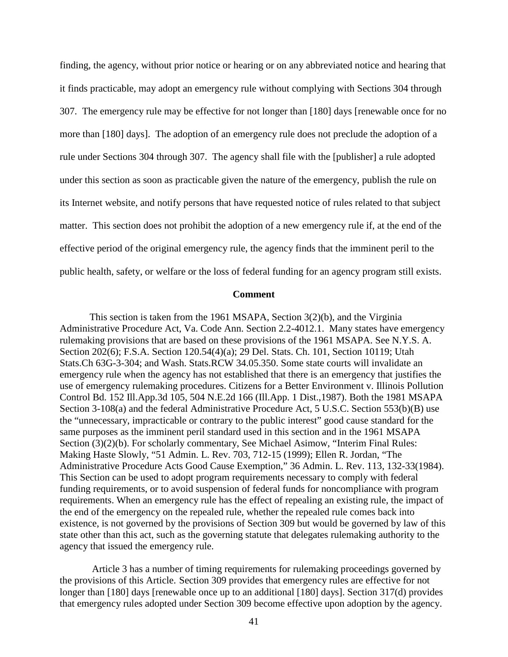finding, the agency, without prior notice or hearing or on any abbreviated notice and hearing that it finds practicable, may adopt an emergency rule without complying with Sections 304 through 307. The emergency rule may be effective for not longer than [180] days [renewable once for no more than [180] days]. The adoption of an emergency rule does not preclude the adoption of a rule under Sections 304 through 307. The agency shall file with the [publisher] a rule adopted under this section as soon as practicable given the nature of the emergency, publish the rule on its Internet website, and notify persons that have requested notice of rules related to that subject matter. This section does not prohibit the adoption of a new emergency rule if, at the end of the effective period of the original emergency rule, the agency finds that the imminent peril to the public health, safety, or welfare or the loss of federal funding for an agency program still exists.

#### **Comment**

This section is taken from the 1961 MSAPA, Section 3(2)(b), and the Virginia Administrative Procedure Act, Va. Code Ann. Section 2.2-4012.1. Many states have emergency rulemaking provisions that are based on these provisions of the 1961 MSAPA. See N.Y.S. A. Section 202(6); F.S.A. Section 120.54(4)(a); 29 Del. Stats. Ch. 101, Section 10119; Utah Stats.Ch 63G-3-304; and Wash. Stats.RCW 34.05.350. Some state courts will invalidate an emergency rule when the agency has not established that there is an emergency that justifies the use of emergency rulemaking procedures. Citizens for a Better Environment v. Illinois Pollution Control Bd. 152 Ill.App.3d 105, 504 N.E.2d 166 (Ill.App. 1 Dist.,1987). Both the 1981 MSAPA Section 3-108(a) and the federal Administrative Procedure Act, 5 U.S.C. Section 553(b)(B) use the "unnecessary, impracticable or contrary to the public interest" good cause standard for the same purposes as the imminent peril standard used in this section and in the 1961 MSAPA Section (3)(2)(b). For scholarly commentary, See Michael Asimow, "Interim Final Rules: Making Haste Slowly, "51 Admin. L. Rev. 703, 712-15 (1999); Ellen R. Jordan, "The Administrative Procedure Acts Good Cause Exemption," 36 Admin. L. Rev. 113, 132-33(1984). This Section can be used to adopt program requirements necessary to comply with federal funding requirements, or to avoid suspension of federal funds for noncompliance with program requirements. When an emergency rule has the effect of repealing an existing rule, the impact of the end of the emergency on the repealed rule, whether the repealed rule comes back into existence, is not governed by the provisions of Section 309 but would be governed by law of this state other than this act, such as the governing statute that delegates rulemaking authority to the agency that issued the emergency rule.

Article 3 has a number of timing requirements for rulemaking proceedings governed by the provisions of this Article. Section 309 provides that emergency rules are effective for not longer than [180] days [renewable once up to an additional [180] days]. Section 317(d) provides that emergency rules adopted under Section 309 become effective upon adoption by the agency.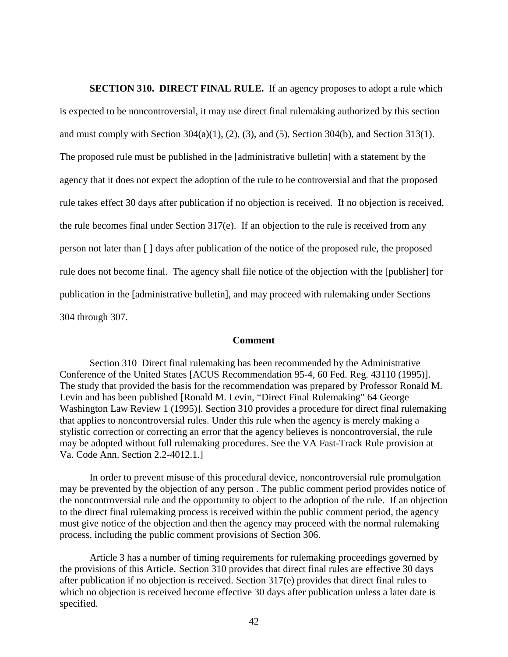**SECTION 310. DIRECT FINAL RULE.** If an agency proposes to adopt a rule which

is expected to be noncontroversial, it may use direct final rulemaking authorized by this section

and must comply with Section  $304(a)(1)$ ,  $(2)$ ,  $(3)$ , and  $(5)$ , Section  $304(b)$ , and Section  $313(1)$ .

The proposed rule must be published in the [administrative bulletin] with a statement by the

agency that it does not expect the adoption of the rule to be controversial and that the proposed

rule takes effect 30 days after publication if no objection is received. If no objection is received,

the rule becomes final under Section 317(e). If an objection to the rule is received from any

person not later than [ ] days after publication of the notice of the proposed rule, the proposed rule does not become final. The agency shall file notice of the objection with the [publisher] for

publication in the [administrative bulletin], and may proceed with rulemaking under Sections

304 through 307.

### **Comment**

Section 310 Direct final rulemaking has been recommended by the Administrative Conference of the United States [ACUS Recommendation 95-4, 60 Fed. Reg. 43110 (1995)]. The study that provided the basis for the recommendation was prepared by Professor Ronald M. Levin and has been published [Ronald M. Levin, "Direct Final Rulemaking" 64 George Washington Law Review 1 (1995)]. Section 310 provides a procedure for direct final rulemaking that applies to noncontroversial rules. Under this rule when the agency is merely making a stylistic correction or correcting an error that the agency believes is noncontroversial, the rule may be adopted without full rulemaking procedures. See the VA Fast-Track Rule provision at Va. Code Ann. Section 2.2-4012.1.]

In order to prevent misuse of this procedural device, noncontroversial rule promulgation may be prevented by the objection of any person . The public comment period provides notice of the noncontroversial rule and the opportunity to object to the adoption of the rule. If an objection to the direct final rulemaking process is received within the public comment period, the agency must give notice of the objection and then the agency may proceed with the normal rulemaking process, including the public comment provisions of Section 306.

Article 3 has a number of timing requirements for rulemaking proceedings governed by the provisions of this Article. Section 310 provides that direct final rules are effective 30 days after publication if no objection is received. Section 317(e) provides that direct final rules to which no objection is received become effective 30 days after publication unless a later date is specified.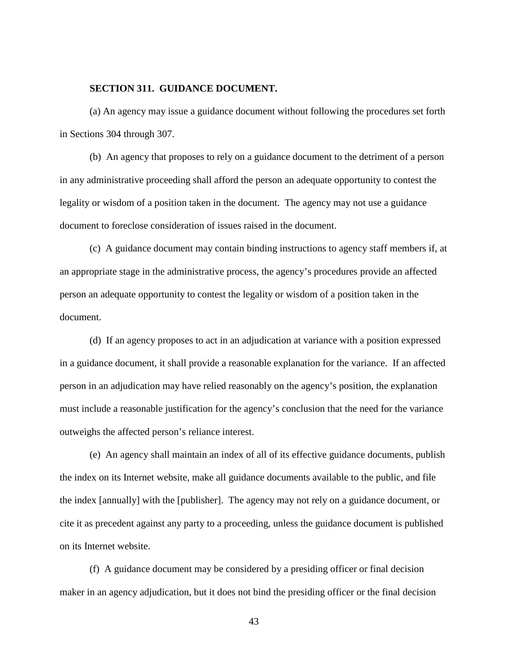#### **SECTION 311. GUIDANCE DOCUMENT.**

(a) An agency may issue a guidance document without following the procedures set forth in Sections 304 through 307.

(b) An agency that proposes to rely on a guidance document to the detriment of a person in any administrative proceeding shall afford the person an adequate opportunity to contest the legality or wisdom of a position taken in the document. The agency may not use a guidance document to foreclose consideration of issues raised in the document.

(c) A guidance document may contain binding instructions to agency staff members if, at an appropriate stage in the administrative process, the agency's procedures provide an affected person an adequate opportunity to contest the legality or wisdom of a position taken in the document.

(d) If an agency proposes to act in an adjudication at variance with a position expressed in a guidance document, it shall provide a reasonable explanation for the variance. If an affected person in an adjudication may have relied reasonably on the agency's position, the explanation must include a reasonable justification for the agency's conclusion that the need for the variance outweighs the affected person's reliance interest.

(e) An agency shall maintain an index of all of its effective guidance documents, publish the index on its Internet website, make all guidance documents available to the public, and file the index [annually] with the [publisher]. The agency may not rely on a guidance document, or cite it as precedent against any party to a proceeding, unless the guidance document is published on its Internet website.

(f) A guidance document may be considered by a presiding officer or final decision maker in an agency adjudication, but it does not bind the presiding officer or the final decision

43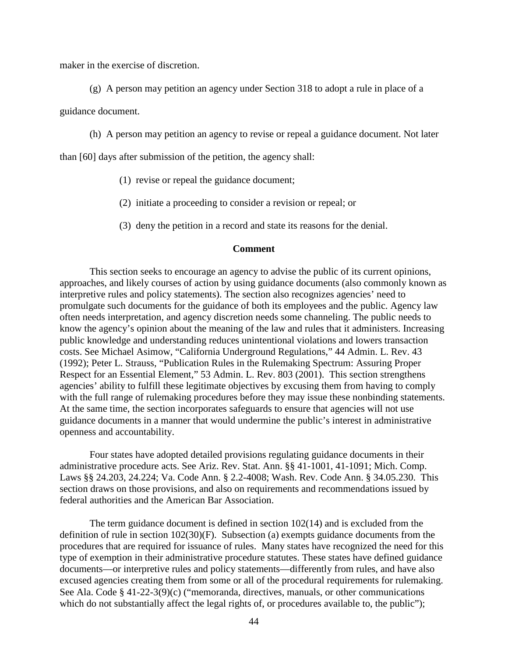maker in the exercise of discretion.

(g) A person may petition an agency under Section 318 to adopt a rule in place of a

guidance document.

(h) A person may petition an agency to revise or repeal a guidance document. Not later

than [60] days after submission of the petition, the agency shall:

- (1) revise or repeal the guidance document;
- (2) initiate a proceeding to consider a revision or repeal; or
- (3) deny the petition in a record and state its reasons for the denial.

### **Comment**

This section seeks to encourage an agency to advise the public of its current opinions, approaches, and likely courses of action by using guidance documents (also commonly known as interpretive rules and policy statements). The section also recognizes agencies' need to promulgate such documents for the guidance of both its employees and the public. Agency law often needs interpretation, and agency discretion needs some channeling. The public needs to know the agency's opinion about the meaning of the law and rules that it administers. Increasing public knowledge and understanding reduces unintentional violations and lowers transaction costs. See Michael Asimow, "California Underground Regulations," 44 Admin. L. Rev. 43 (1992); Peter L. Strauss, "Publication Rules in the Rulemaking Spectrum: Assuring Proper Respect for an Essential Element," 53 Admin. L. Rev. 803 (2001). This section strengthens agencies' ability to fulfill these legitimate objectives by excusing them from having to comply with the full range of rulemaking procedures before they may issue these nonbinding statements. At the same time, the section incorporates safeguards to ensure that agencies will not use guidance documents in a manner that would undermine the public's interest in administrative openness and accountability.

Four states have adopted detailed provisions regulating guidance documents in their administrative procedure acts. See Ariz. Rev. Stat. Ann. §§ 41-1001, 41-1091; Mich. Comp. Laws §§ 24.203, 24.224; Va. Code Ann. § 2.2-4008; Wash. Rev. Code Ann. § 34.05.230. This section draws on those provisions, and also on requirements and recommendations issued by federal authorities and the American Bar Association.

The term guidance document is defined in section  $102(14)$  and is excluded from the definition of rule in section 102(30)(F). Subsection (a) exempts guidance documents from the procedures that are required for issuance of rules. Many states have recognized the need for this type of exemption in their administrative procedure statutes. These states have defined guidance documents—or interpretive rules and policy statements—differently from rules, and have also excused agencies creating them from some or all of the procedural requirements for rulemaking. See Ala. Code § 41-22-3(9)(c) ("memoranda, directives, manuals, or other communications which do not substantially affect the legal rights of, or procedures available to, the public");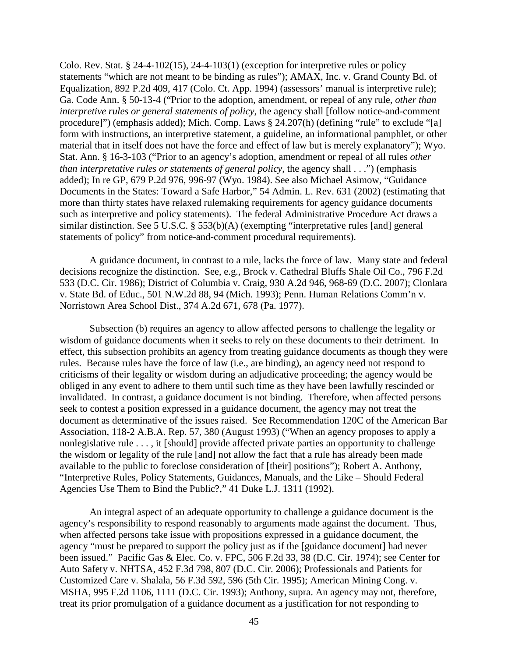Colo. Rev. Stat.  $\S$  24-4-102(15), 24-4-103(1) (exception for interpretive rules or policy statements "which are not meant to be binding as rules"); AMAX, Inc. v. Grand County Bd. of Equalization, 892 P.2d 409, 417 (Colo. Ct. App. 1994) (assessors' manual is interpretive rule); Ga. Code Ann. § 50-13-4 ("Prior to the adoption, amendment, or repeal of any rule, *other than interpretive rules or general statements of policy*, the agency shall [follow notice-and-comment procedure]") (emphasis added); Mich. Comp. Laws § 24.207(h) (defining "rule" to exclude "[a] form with instructions, an interpretive statement, a guideline, an informational pamphlet, or other material that in itself does not have the force and effect of law but is merely explanatory"); Wyo. Stat. Ann. § 16-3-103 ("Prior to an agency's adoption, amendment or repeal of all rules *other than interpretative rules or statements of general policy*, the agency shall . . .") (emphasis added); In re GP, 679 P.2d 976, 996-97 (Wyo. 1984). See also Michael Asimow, "Guidance Documents in the States: Toward a Safe Harbor," 54 Admin. L. Rev. 631 (2002) (estimating that more than thirty states have relaxed rulemaking requirements for agency guidance documents such as interpretive and policy statements). The federal Administrative Procedure Act draws a similar distinction. See 5 U.S.C. § 553(b)(A) (exempting "interpretative rules [and] general statements of policy" from notice-and-comment procedural requirements).

A guidance document, in contrast to a rule, lacks the force of law. Many state and federal decisions recognize the distinction. See, e.g., Brock v. Cathedral Bluffs Shale Oil Co., 796 F.2d 533 (D.C. Cir. 1986); District of Columbia v. Craig, 930 A.2d 946, 968-69 (D.C. 2007); Clonlara v. State Bd. of Educ., 501 N.W.2d 88, 94 (Mich. 1993); Penn. Human Relations Comm'n v. Norristown Area School Dist., 374 A.2d 671, 678 (Pa. 1977).

Subsection (b) requires an agency to allow affected persons to challenge the legality or wisdom of guidance documents when it seeks to rely on these documents to their detriment. In effect, this subsection prohibits an agency from treating guidance documents as though they were rules. Because rules have the force of law (i.e., are binding), an agency need not respond to criticisms of their legality or wisdom during an adjudicative proceeding; the agency would be obliged in any event to adhere to them until such time as they have been lawfully rescinded or invalidated. In contrast, a guidance document is not binding. Therefore, when affected persons seek to contest a position expressed in a guidance document, the agency may not treat the document as determinative of the issues raised. See Recommendation 120C of the American Bar Association, 118-2 A.B.A. Rep. 57, 380 (August 1993) ("When an agency proposes to apply a nonlegislative rule . . . , it [should] provide affected private parties an opportunity to challenge the wisdom or legality of the rule [and] not allow the fact that a rule has already been made available to the public to foreclose consideration of [their] positions"); Robert A. Anthony, "Interpretive Rules, Policy Statements, Guidances, Manuals, and the Like – Should Federal Agencies Use Them to Bind the Public?," 41 Duke L.J. 1311 (1992).

An integral aspect of an adequate opportunity to challenge a guidance document is the agency's responsibility to respond reasonably to arguments made against the document. Thus, when affected persons take issue with propositions expressed in a guidance document, the agency "must be prepared to support the policy just as if the [guidance document] had never been issued." Pacific Gas & Elec. Co. v. FPC, 506 F.2d 33, 38 (D.C. Cir. 1974); see Center for Auto Safety v. NHTSA, 452 F.3d 798, 807 (D.C. Cir. 2006); Professionals and Patients for Customized Care v. Shalala, 56 F.3d 592, 596 (5th Cir. 1995); American Mining Cong. v. MSHA, 995 F.2d 1106, 1111 (D.C. Cir. 1993); Anthony, supra. An agency may not, therefore, treat its prior promulgation of a guidance document as a justification for not responding to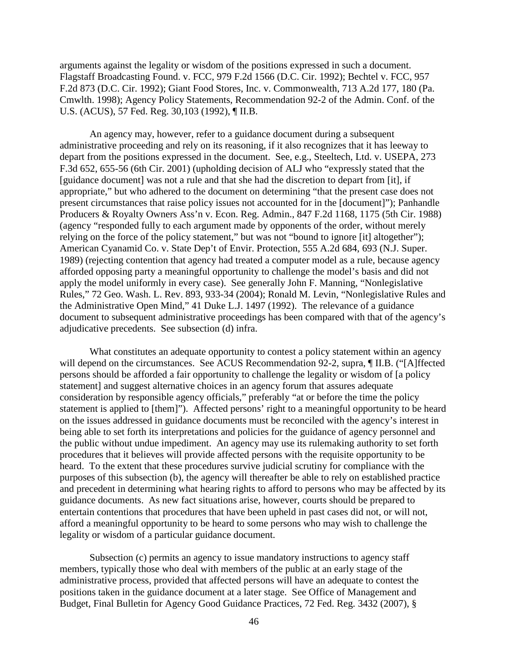arguments against the legality or wisdom of the positions expressed in such a document. Flagstaff Broadcasting Found. v. FCC, 979 F.2d 1566 (D.C. Cir. 1992); Bechtel v. FCC, 957 F.2d 873 (D.C. Cir. 1992); Giant Food Stores, Inc. v. Commonwealth, 713 A.2d 177, 180 (Pa. Cmwlth. 1998); Agency Policy Statements, Recommendation 92-2 of the Admin. Conf. of the U.S. (ACUS), 57 Fed. Reg. 30,103 (1992), ¶ II.B.

An agency may, however, refer to a guidance document during a subsequent administrative proceeding and rely on its reasoning, if it also recognizes that it has leeway to depart from the positions expressed in the document. See, e.g., Steeltech, Ltd. v. USEPA, 273 F.3d 652, 655-56 (6th Cir. 2001) (upholding decision of ALJ who "expressly stated that the [guidance document] was not a rule and that she had the discretion to depart from [it], if appropriate," but who adhered to the document on determining "that the present case does not present circumstances that raise policy issues not accounted for in the [document]"); Panhandle Producers & Royalty Owners Ass'n v. Econ. Reg. Admin., 847 F.2d 1168, 1175 (5th Cir. 1988) (agency "responded fully to each argument made by opponents of the order, without merely relying on the force of the policy statement," but was not "bound to ignore [it] altogether"); American Cyanamid Co. v. State Dep't of Envir. Protection, 555 A.2d 684, 693 (N.J. Super. 1989) (rejecting contention that agency had treated a computer model as a rule, because agency afforded opposing party a meaningful opportunity to challenge the model's basis and did not apply the model uniformly in every case). See generally John F. Manning, "Nonlegislative Rules," 72 Geo. Wash. L. Rev. 893, 933-34 (2004); Ronald M. Levin, "Nonlegislative Rules and the Administrative Open Mind," 41 Duke L.J. 1497 (1992). The relevance of a guidance document to subsequent administrative proceedings has been compared with that of the agency's adjudicative precedents. See subsection (d) infra.

What constitutes an adequate opportunity to contest a policy statement within an agency will depend on the circumstances. See ACUS Recommendation 92-2, supra, ¶ II.B. ("[A]ffected persons should be afforded a fair opportunity to challenge the legality or wisdom of [a policy statement] and suggest alternative choices in an agency forum that assures adequate consideration by responsible agency officials," preferably "at or before the time the policy statement is applied to [them]"). Affected persons' right to a meaningful opportunity to be heard on the issues addressed in guidance documents must be reconciled with the agency's interest in being able to set forth its interpretations and policies for the guidance of agency personnel and the public without undue impediment. An agency may use its rulemaking authority to set forth procedures that it believes will provide affected persons with the requisite opportunity to be heard. To the extent that these procedures survive judicial scrutiny for compliance with the purposes of this subsection (b), the agency will thereafter be able to rely on established practice and precedent in determining what hearing rights to afford to persons who may be affected by its guidance documents. As new fact situations arise, however, courts should be prepared to entertain contentions that procedures that have been upheld in past cases did not, or will not, afford a meaningful opportunity to be heard to some persons who may wish to challenge the legality or wisdom of a particular guidance document.

Subsection (c) permits an agency to issue mandatory instructions to agency staff members, typically those who deal with members of the public at an early stage of the administrative process, provided that affected persons will have an adequate to contest the positions taken in the guidance document at a later stage. See Office of Management and Budget, Final Bulletin for Agency Good Guidance Practices, 72 Fed. Reg. 3432 (2007), §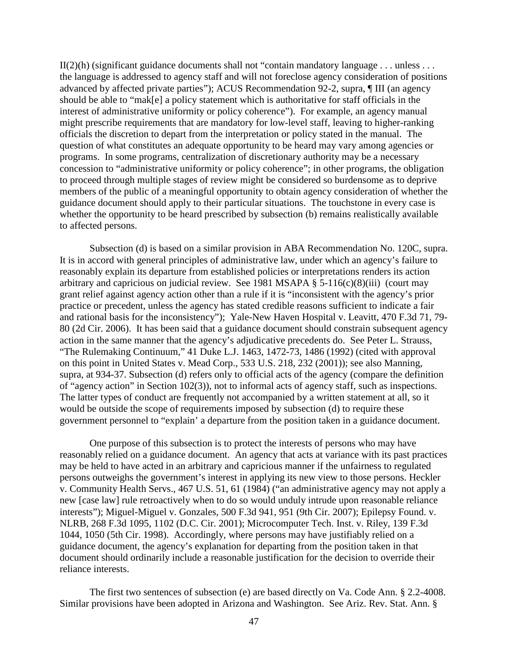$II(2)(h)$  (significant guidance documents shall not "contain mandatory language . . . unless . . . the language is addressed to agency staff and will not foreclose agency consideration of positions advanced by affected private parties"); ACUS Recommendation 92-2, supra, ¶ III (an agency should be able to "mak[e] a policy statement which is authoritative for staff officials in the interest of administrative uniformity or policy coherence"). For example, an agency manual might prescribe requirements that are mandatory for low-level staff, leaving to higher-ranking officials the discretion to depart from the interpretation or policy stated in the manual. The question of what constitutes an adequate opportunity to be heard may vary among agencies or programs. In some programs, centralization of discretionary authority may be a necessary concession to "administrative uniformity or policy coherence"; in other programs, the obligation to proceed through multiple stages of review might be considered so burdensome as to deprive members of the public of a meaningful opportunity to obtain agency consideration of whether the guidance document should apply to their particular situations. The touchstone in every case is whether the opportunity to be heard prescribed by subsection (b) remains realistically available to affected persons.

Subsection (d) is based on a similar provision in ABA Recommendation No. 120C, supra. It is in accord with general principles of administrative law, under which an agency's failure to reasonably explain its departure from established policies or interpretations renders its action arbitrary and capricious on judicial review. See 1981 MSAPA  $\S$  5-116(c)(8)(iii) (court may grant relief against agency action other than a rule if it is "inconsistent with the agency's prior practice or precedent, unless the agency has stated credible reasons sufficient to indicate a fair and rational basis for the inconsistency"); Yale-New Haven Hospital v. Leavitt, 470 F.3d 71, 79- 80 (2d Cir. 2006). It has been said that a guidance document should constrain subsequent agency action in the same manner that the agency's adjudicative precedents do. See Peter L. Strauss, "The Rulemaking Continuum," 41 Duke L.J. 1463, 1472-73, 1486 (1992) (cited with approval on this point in United States v. Mead Corp., 533 U.S. 218, 232 (2001)); see also Manning, supra, at 934-37. Subsection (d) refers only to official acts of the agency (compare the definition of "agency action" in Section 102(3)), not to informal acts of agency staff, such as inspections. The latter types of conduct are frequently not accompanied by a written statement at all, so it would be outside the scope of requirements imposed by subsection (d) to require these government personnel to "explain' a departure from the position taken in a guidance document.

One purpose of this subsection is to protect the interests of persons who may have reasonably relied on a guidance document. An agency that acts at variance with its past practices may be held to have acted in an arbitrary and capricious manner if the unfairness to regulated persons outweighs the government's interest in applying its new view to those persons. Heckler v. Community Health Servs., 467 U.S. 51, 61 (1984) ("an administrative agency may not apply a new [case law] rule retroactively when to do so would unduly intrude upon reasonable reliance interests"); Miguel-Miguel v. Gonzales, 500 F.3d 941, 951 (9th Cir. 2007); Epilepsy Found. v. NLRB, 268 F.3d 1095, 1102 (D.C. Cir. 2001); Microcomputer Tech. Inst. v. Riley, 139 F.3d 1044, 1050 (5th Cir. 1998). Accordingly, where persons may have justifiably relied on a guidance document, the agency's explanation for departing from the position taken in that document should ordinarily include a reasonable justification for the decision to override their reliance interests.

The first two sentences of subsection (e) are based directly on Va. Code Ann. § 2.2-4008. Similar provisions have been adopted in Arizona and Washington. See Ariz. Rev. Stat. Ann. §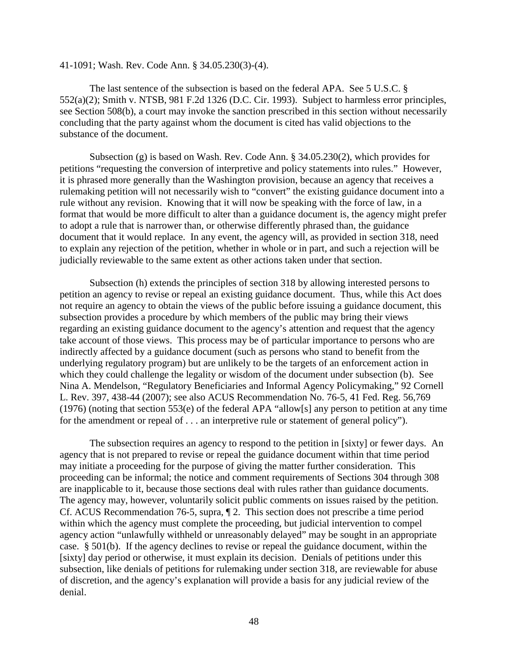#### 41-1091; Wash. Rev. Code Ann. § 34.05.230(3)-(4).

The last sentence of the subsection is based on the federal APA. See 5 U.S.C. § 552(a)(2); Smith v. NTSB, 981 F.2d 1326 (D.C. Cir. 1993). Subject to harmless error principles, see Section 508(b), a court may invoke the sanction prescribed in this section without necessarily concluding that the party against whom the document is cited has valid objections to the substance of the document.

Subsection (g) is based on Wash. Rev. Code Ann. § 34.05.230(2), which provides for petitions "requesting the conversion of interpretive and policy statements into rules." However, it is phrased more generally than the Washington provision, because an agency that receives a rulemaking petition will not necessarily wish to "convert" the existing guidance document into a rule without any revision. Knowing that it will now be speaking with the force of law, in a format that would be more difficult to alter than a guidance document is, the agency might prefer to adopt a rule that is narrower than, or otherwise differently phrased than, the guidance document that it would replace. In any event, the agency will, as provided in section 318, need to explain any rejection of the petition, whether in whole or in part, and such a rejection will be judicially reviewable to the same extent as other actions taken under that section.

Subsection (h) extends the principles of section 318 by allowing interested persons to petition an agency to revise or repeal an existing guidance document. Thus, while this Act does not require an agency to obtain the views of the public before issuing a guidance document, this subsection provides a procedure by which members of the public may bring their views regarding an existing guidance document to the agency's attention and request that the agency take account of those views. This process may be of particular importance to persons who are indirectly affected by a guidance document (such as persons who stand to benefit from the underlying regulatory program) but are unlikely to be the targets of an enforcement action in which they could challenge the legality or wisdom of the document under subsection (b). See Nina A. Mendelson, "Regulatory Beneficiaries and Informal Agency Policymaking," 92 Cornell L. Rev. 397, 438-44 (2007); see also ACUS Recommendation No. 76-5, 41 Fed. Reg. 56,769 (1976) (noting that section 553(e) of the federal APA "allow[s] any person to petition at any time for the amendment or repeal of . . . an interpretive rule or statement of general policy").

The subsection requires an agency to respond to the petition in [sixty] or fewer days. An agency that is not prepared to revise or repeal the guidance document within that time period may initiate a proceeding for the purpose of giving the matter further consideration. This proceeding can be informal; the notice and comment requirements of Sections 304 through 308 are inapplicable to it, because those sections deal with rules rather than guidance documents. The agency may, however, voluntarily solicit public comments on issues raised by the petition. Cf. ACUS Recommendation 76-5, supra, ¶ 2. This section does not prescribe a time period within which the agency must complete the proceeding, but judicial intervention to compel agency action "unlawfully withheld or unreasonably delayed" may be sought in an appropriate case. § 501(b). If the agency declines to revise or repeal the guidance document, within the [sixty] day period or otherwise, it must explain its decision. Denials of petitions under this subsection, like denials of petitions for rulemaking under section 318, are reviewable for abuse of discretion, and the agency's explanation will provide a basis for any judicial review of the denial.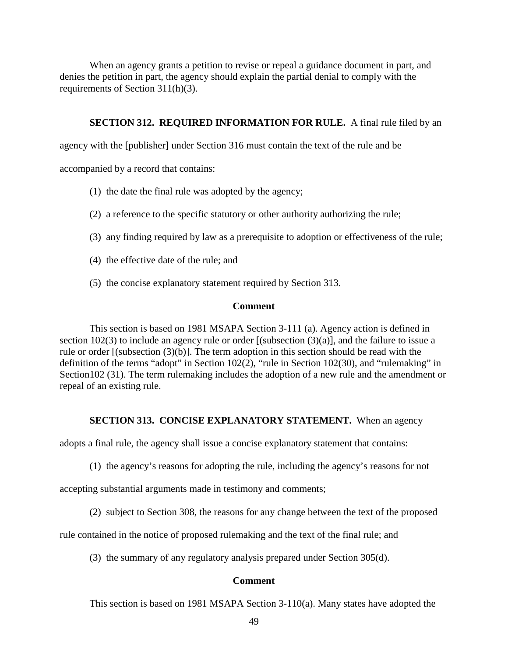When an agency grants a petition to revise or repeal a guidance document in part, and denies the petition in part, the agency should explain the partial denial to comply with the requirements of Section 311(h)(3).

## **SECTION 312. REQUIRED INFORMATION FOR RULE.** A final rule filed by an

agency with the [publisher] under Section 316 must contain the text of the rule and be

accompanied by a record that contains:

- (1) the date the final rule was adopted by the agency;
- (2) a reference to the specific statutory or other authority authorizing the rule;
- (3) any finding required by law as a prerequisite to adoption or effectiveness of the rule;
- (4) the effective date of the rule; and
- (5) the concise explanatory statement required by Section 313.

# **Comment**

This section is based on 1981 MSAPA Section 3-111 (a). Agency action is defined in section 102(3) to include an agency rule or order [(subsection (3)(a)], and the failure to issue a rule or order [(subsection (3)(b)]. The term adoption in this section should be read with the definition of the terms "adopt" in Section 102(2), "rule in Section 102(30), and "rulemaking" in Section 102 (31). The term rulemaking includes the adoption of a new rule and the amendment or repeal of an existing rule.

### **SECTION 313. CONCISE EXPLANATORY STATEMENT.** When an agency

adopts a final rule, the agency shall issue a concise explanatory statement that contains:

(1) the agency's reasons for adopting the rule, including the agency's reasons for not

accepting substantial arguments made in testimony and comments;

(2) subject to Section 308, the reasons for any change between the text of the proposed

rule contained in the notice of proposed rulemaking and the text of the final rule; and

(3) the summary of any regulatory analysis prepared under Section 305(d).

### **Comment**

This section is based on 1981 MSAPA Section 3-110(a). Many states have adopted the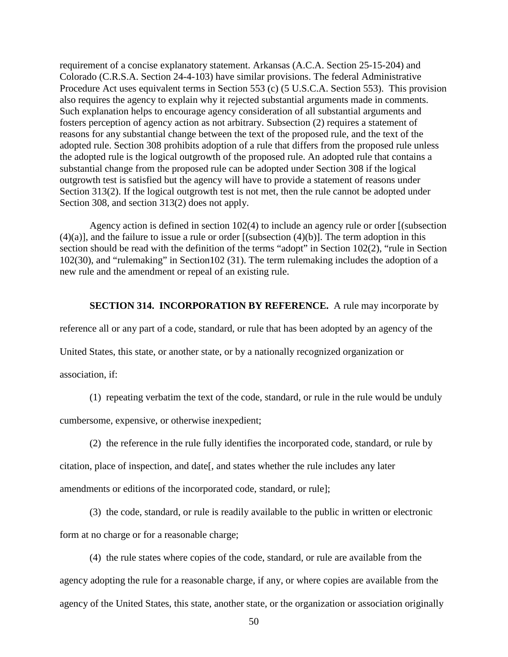requirement of a concise explanatory statement. Arkansas (A.C.A. Section 25-15-204) and Colorado (C.R.S.A. Section 24-4-103) have similar provisions. The federal Administrative Procedure Act uses equivalent terms in Section 553 (c) (5 U.S.C.A. Section 553). This provision also requires the agency to explain why it rejected substantial arguments made in comments. Such explanation helps to encourage agency consideration of all substantial arguments and fosters perception of agency action as not arbitrary. Subsection (2) requires a statement of reasons for any substantial change between the text of the proposed rule, and the text of the adopted rule. Section 308 prohibits adoption of a rule that differs from the proposed rule unless the adopted rule is the logical outgrowth of the proposed rule. An adopted rule that contains a substantial change from the proposed rule can be adopted under Section 308 if the logical outgrowth test is satisfied but the agency will have to provide a statement of reasons under Section 313(2). If the logical outgrowth test is not met, then the rule cannot be adopted under Section 308, and section 313(2) does not apply.

Agency action is defined in section 102(4) to include an agency rule or order [(subsection  $(4)(a)$ ], and the failure to issue a rule or order [(subsection  $(4)(b)$ ]. The term adoption in this section should be read with the definition of the terms "adopt" in Section 102(2), "rule in Section 102(30), and "rulemaking" in Section102 (31). The term rulemaking includes the adoption of a new rule and the amendment or repeal of an existing rule.

#### **SECTION 314. INCORPORATION BY REFERENCE.** A rule may incorporate by

reference all or any part of a code, standard, or rule that has been adopted by an agency of the

United States, this state, or another state, or by a nationally recognized organization or

association, if:

(1) repeating verbatim the text of the code, standard, or rule in the rule would be unduly

cumbersome, expensive, or otherwise inexpedient;

(2) the reference in the rule fully identifies the incorporated code, standard, or rule by

citation, place of inspection, and date[, and states whether the rule includes any later

amendments or editions of the incorporated code, standard, or rule];

(3) the code, standard, or rule is readily available to the public in written or electronic

form at no charge or for a reasonable charge;

(4) the rule states where copies of the code, standard, or rule are available from the agency adopting the rule for a reasonable charge, if any, or where copies are available from the agency of the United States, this state, another state, or the organization or association originally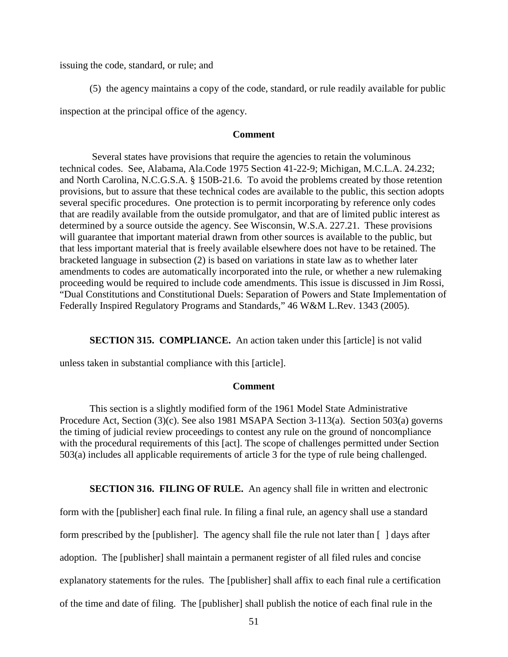issuing the code, standard, or rule; and

(5) the agency maintains a copy of the code, standard, or rule readily available for public

inspection at the principal office of the agency.

### **Comment**

Several states have provisions that require the agencies to retain the voluminous technical codes. See, Alabama, Ala.Code 1975 Section 41-22-9; Michigan, M.C.L.A. 24.232; and North Carolina, N.C.G.S.A. § 150B-21.6. To avoid the problems created by those retention provisions, but to assure that these technical codes are available to the public, this section adopts several specific procedures. One protection is to permit incorporating by reference only codes that are readily available from the outside promulgator, and that are of limited public interest as determined by a source outside the agency. See Wisconsin, W.S.A. 227.21. These provisions will guarantee that important material drawn from other sources is available to the public, but that less important material that is freely available elsewhere does not have to be retained. The bracketed language in subsection (2) is based on variations in state law as to whether later amendments to codes are automatically incorporated into the rule, or whether a new rulemaking proceeding would be required to include code amendments. This issue is discussed in Jim Rossi, "Dual Constitutions and Constitutional Duels: Separation of Powers and State Implementation of Federally Inspired Regulatory Programs and Standards," 46 W&M L.Rev. 1343 (2005).

### **SECTION 315. COMPLIANCE.** An action taken under this [article] is not valid

unless taken in substantial compliance with this [article].

### **Comment**

This section is a slightly modified form of the 1961 Model State Administrative Procedure Act, Section (3)(c). See also 1981 MSAPA Section 3-113(a). Section 503(a) governs the timing of judicial review proceedings to contest any rule on the ground of noncompliance with the procedural requirements of this [act]. The scope of challenges permitted under Section 503(a) includes all applicable requirements of article 3 for the type of rule being challenged.

**SECTION 316. FILING OF RULE.** An agency shall file in written and electronic

form with the [publisher] each final rule. In filing a final rule, an agency shall use a standard form prescribed by the [publisher]. The agency shall file the rule not later than [ ] days after adoption. The [publisher] shall maintain a permanent register of all filed rules and concise explanatory statements for the rules. The [publisher] shall affix to each final rule a certification of the time and date of filing. The [publisher] shall publish the notice of each final rule in the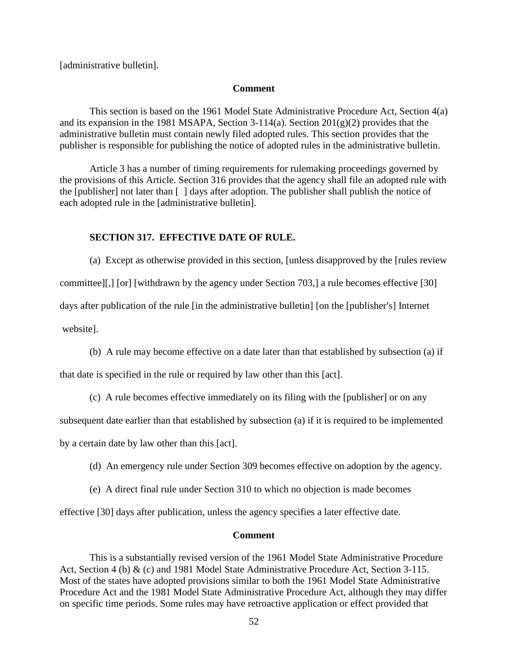[administrative bulletin].

#### **Comment**

This section is based on the 1961 Model State Administrative Procedure Act, Section 4(a) and its expansion in the 1981 MSAPA, Section 3-114(a). Section  $201(g)(2)$  provides that the administrative bulletin must contain newly filed adopted rules. This section provides that the publisher is responsible for publishing the notice of adopted rules in the administrative bulletin.

Article 3 has a number of timing requirements for rulemaking proceedings governed by the provisions of this Article. Section 316 provides that the agency shall file an adopted rule with the [publisher] not later than [ ] days after adoption. The publisher shall publish the notice of each adopted rule in the [administrative bulletin].

### **SECTION 317. EFFECTIVE DATE OF RULE.**

(a) Except as otherwise provided in this section, [unless disapproved by the [rules review

committee][,] [or] [withdrawn by the agency under Section 703,] a rule becomes effective [30]

days after publication of the rule [in the administrative bulletin] [on the [publisher's] Internet

website].

(b) A rule may become effective on a date later than that established by subsection (a) if

that date is specified in the rule or required by law other than this [act].

(c) A rule becomes effective immediately on its filing with the [publisher] or on any

subsequent date earlier than that established by subsection (a) if it is required to be implemented

by a certain date by law other than this [act].

- (d) An emergency rule under Section 309 becomes effective on adoption by the agency.
- (e) A direct final rule under Section 310 to which no objection is made becomes

effective [30] days after publication, unless the agency specifies a later effective date.

### **Comment**

This is a substantially revised version of the 1961 Model State Administrative Procedure Act, Section 4 (b) & (c) and 1981 Model State Administrative Procedure Act, Section 3-115. Most of the states have adopted provisions similar to both the 1961 Model State Administrative Procedure Act and the 1981 Model State Administrative Procedure Act, although they may differ on specific time periods. Some rules may have retroactive application or effect provided that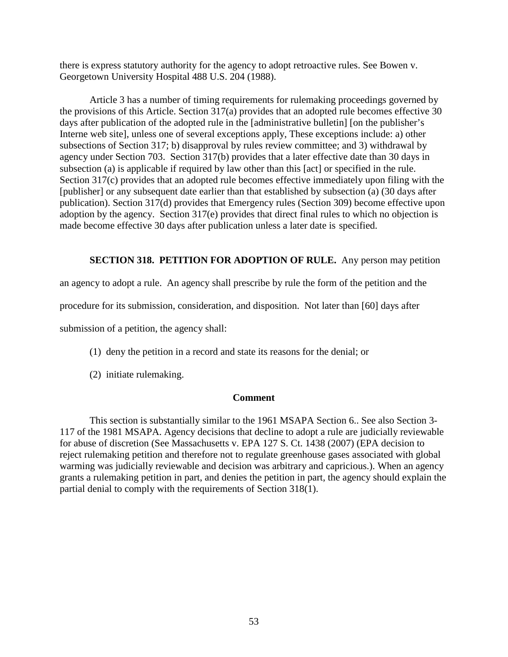there is express statutory authority for the agency to adopt retroactive rules. See Bowen v. Georgetown University Hospital 488 U.S. 204 (1988).

Article 3 has a number of timing requirements for rulemaking proceedings governed by the provisions of this Article. Section 317(a) provides that an adopted rule becomes effective 30 days after publication of the adopted rule in the [administrative bulletin] [on the publisher's Interne web site], unless one of several exceptions apply, These exceptions include: a) other subsections of Section 317; b) disapproval by rules review committee; and 3) withdrawal by agency under Section 703. Section 317(b) provides that a later effective date than 30 days in subsection (a) is applicable if required by law other than this [act] or specified in the rule. Section 317(c) provides that an adopted rule becomes effective immediately upon filing with the [publisher] or any subsequent date earlier than that established by subsection (a) (30 days after publication). Section 317(d) provides that Emergency rules (Section 309) become effective upon adoption by the agency. Section 317(e) provides that direct final rules to which no objection is made become effective 30 days after publication unless a later date is specified.

**SECTION 318. PETITION FOR ADOPTION OF RULE.** Any person may petition

an agency to adopt a rule. An agency shall prescribe by rule the form of the petition and the

procedure for its submission, consideration, and disposition. Not later than [60] days after

submission of a petition, the agency shall:

- (1) deny the petition in a record and state its reasons for the denial; or
- (2) initiate rulemaking.

### **Comment**

This section is substantially similar to the 1961 MSAPA Section 6.. See also Section 3- 117 of the 1981 MSAPA. Agency decisions that decline to adopt a rule are judicially reviewable for abuse of discretion (See Massachusetts v. EPA 127 S. Ct. 1438 (2007) (EPA decision to reject rulemaking petition and therefore not to regulate greenhouse gases associated with global warming was judicially reviewable and decision was arbitrary and capricious.). When an agency grants a rulemaking petition in part, and denies the petition in part, the agency should explain the partial denial to comply with the requirements of Section 318(1).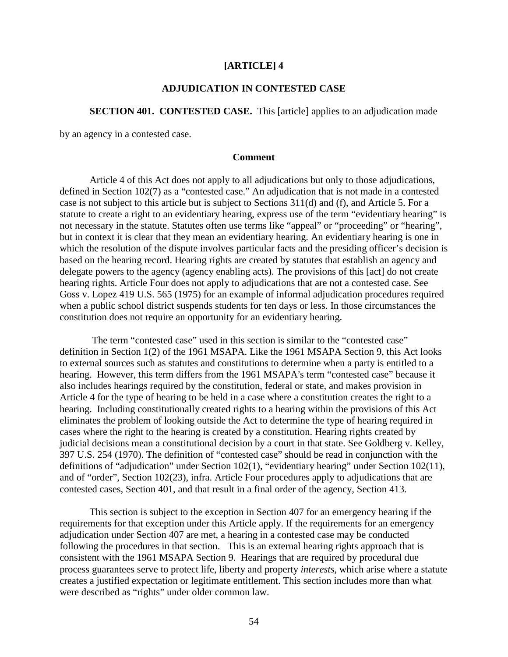## **[ARTICLE] 4**

# **ADJUDICATION IN CONTESTED CASE**

**SECTION 401. CONTESTED CASE.** This [article] applies to an adjudication made

by an agency in a contested case.

### **Comment**

Article 4 of this Act does not apply to all adjudications but only to those adjudications, defined in Section 102(7) as a "contested case." An adjudication that is not made in a contested case is not subject to this article but is subject to Sections 311(d) and (f), and Article 5. For a statute to create a right to an evidentiary hearing, express use of the term "evidentiary hearing" is not necessary in the statute. Statutes often use terms like "appeal" or "proceeding" or "hearing", but in context it is clear that they mean an evidentiary hearing. An evidentiary hearing is one in which the resolution of the dispute involves particular facts and the presiding officer's decision is based on the hearing record. Hearing rights are created by statutes that establish an agency and delegate powers to the agency (agency enabling acts). The provisions of this [act] do not create hearing rights. Article Four does not apply to adjudications that are not a contested case. See Goss v. Lopez 419 U.S. 565 (1975) for an example of informal adjudication procedures required when a public school district suspends students for ten days or less. In those circumstances the constitution does not require an opportunity for an evidentiary hearing.

The term "contested case" used in this section is similar to the "contested case" definition in Section 1(2) of the 1961 MSAPA. Like the 1961 MSAPA Section 9, this Act looks to external sources such as statutes and constitutions to determine when a party is entitled to a hearing. However, this term differs from the 1961 MSAPA's term "contested case" because it also includes hearings required by the constitution, federal or state, and makes provision in Article 4 for the type of hearing to be held in a case where a constitution creates the right to a hearing. Including constitutionally created rights to a hearing within the provisions of this Act eliminates the problem of looking outside the Act to determine the type of hearing required in cases where the right to the hearing is created by a constitution. Hearing rights created by judicial decisions mean a constitutional decision by a court in that state. See Goldberg v. Kelley, 397 U.S. 254 (1970). The definition of "contested case" should be read in conjunction with the definitions of "adjudication" under Section 102(1), "evidentiary hearing" under Section 102(11), and of "order", Section 102(23), infra. Article Four procedures apply to adjudications that are contested cases, Section 401, and that result in a final order of the agency, Section 413.

This section is subject to the exception in Section 407 for an emergency hearing if the requirements for that exception under this Article apply. If the requirements for an emergency adjudication under Section 407 are met, a hearing in a contested case may be conducted following the procedures in that section. This is an external hearing rights approach that is consistent with the 1961 MSAPA Section 9. Hearings that are required by procedural due process guarantees serve to protect life, liberty and property *interests*, which arise where a statute creates a justified expectation or legitimate entitlement. This section includes more than what were described as "rights" under older common law.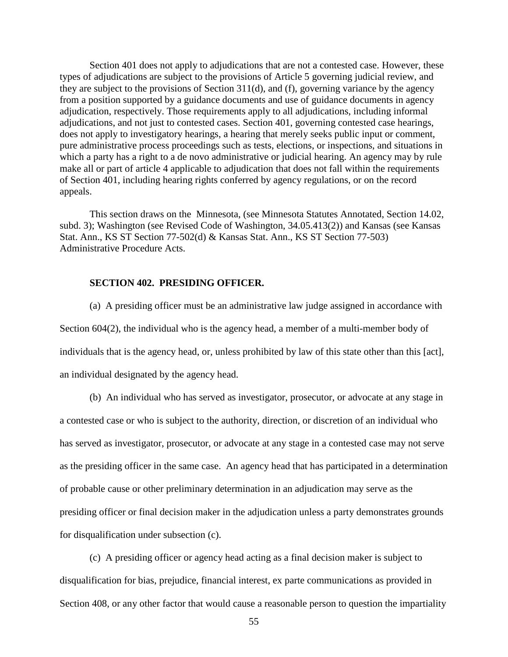Section 401 does not apply to adjudications that are not a contested case. However, these types of adjudications are subject to the provisions of Article 5 governing judicial review, and they are subject to the provisions of Section 311(d), and (f), governing variance by the agency from a position supported by a guidance documents and use of guidance documents in agency adjudication, respectively. Those requirements apply to all adjudications, including informal adjudications, and not just to contested cases. Section 401, governing contested case hearings, does not apply to investigatory hearings, a hearing that merely seeks public input or comment, pure administrative process proceedings such as tests, elections, or inspections, and situations in which a party has a right to a de novo administrative or judicial hearing. An agency may by rule make all or part of article 4 applicable to adjudication that does not fall within the requirements of Section 401, including hearing rights conferred by agency regulations, or on the record appeals.

This section draws on the Minnesota, (see Minnesota Statutes Annotated, Section 14.02, subd. 3); Washington (see Revised Code of Washington, 34.05.413(2)) and Kansas (see Kansas Stat. Ann., KS ST Section 77-502(d) & Kansas Stat. Ann., KS ST Section 77-503) Administrative Procedure Acts.

### **SECTION 402. PRESIDING OFFICER.**

(a) A presiding officer must be an administrative law judge assigned in accordance with Section 604(2), the individual who is the agency head, a member of a multi-member body of individuals that is the agency head, or, unless prohibited by law of this state other than this [act], an individual designated by the agency head.

(b) An individual who has served as investigator, prosecutor, or advocate at any stage in a contested case or who is subject to the authority, direction, or discretion of an individual who has served as investigator, prosecutor, or advocate at any stage in a contested case may not serve as the presiding officer in the same case. An agency head that has participated in a determination of probable cause or other preliminary determination in an adjudication may serve as the presiding officer or final decision maker in the adjudication unless a party demonstrates grounds for disqualification under subsection (c).

(c) A presiding officer or agency head acting as a final decision maker is subject to disqualification for bias, prejudice, financial interest, ex parte communications as provided in Section 408, or any other factor that would cause a reasonable person to question the impartiality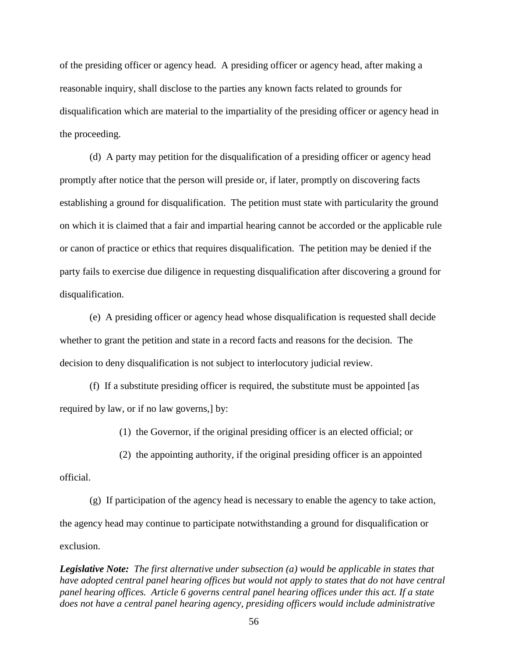of the presiding officer or agency head. A presiding officer or agency head, after making a reasonable inquiry, shall disclose to the parties any known facts related to grounds for disqualification which are material to the impartiality of the presiding officer or agency head in the proceeding.

(d) A party may petition for the disqualification of a presiding officer or agency head promptly after notice that the person will preside or, if later, promptly on discovering facts establishing a ground for disqualification. The petition must state with particularity the ground on which it is claimed that a fair and impartial hearing cannot be accorded or the applicable rule or canon of practice or ethics that requires disqualification. The petition may be denied if the party fails to exercise due diligence in requesting disqualification after discovering a ground for disqualification.

(e) A presiding officer or agency head whose disqualification is requested shall decide whether to grant the petition and state in a record facts and reasons for the decision. The decision to deny disqualification is not subject to interlocutory judicial review.

(f) If a substitute presiding officer is required, the substitute must be appointed [as required by law, or if no law governs,] by:

(1) the Governor, if the original presiding officer is an elected official; or

(2) the appointing authority, if the original presiding officer is an appointed

official.

(g) If participation of the agency head is necessary to enable the agency to take action, the agency head may continue to participate notwithstanding a ground for disqualification or exclusion.

*Legislative Note: The first alternative under subsection (a) would be applicable in states that have adopted central panel hearing offices but would not apply to states that do not have central panel hearing offices. Article 6 governs central panel hearing offices under this act. If a state does not have a central panel hearing agency, presiding officers would include administrative* 

56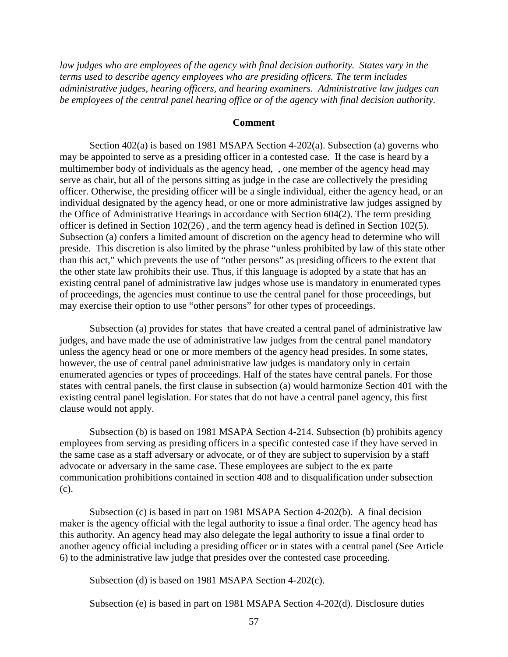*law judges who are employees of the agency with final decision authority. States vary in the terms used to describe agency employees who are presiding officers. The term includes administrative judges, hearing officers, and hearing examiners. Administrative law judges can be employees of the central panel hearing office or of the agency with final decision authority.*

#### **Comment**

Section 402(a) is based on 1981 MSAPA Section 4-202(a). Subsection (a) governs who may be appointed to serve as a presiding officer in a contested case. If the case is heard by a multimember body of individuals as the agency head, , one member of the agency head may serve as chair, but all of the persons sitting as judge in the case are collectively the presiding officer. Otherwise, the presiding officer will be a single individual, either the agency head, or an individual designated by the agency head, or one or more administrative law judges assigned by the Office of Administrative Hearings in accordance with Section 604(2). The term presiding officer is defined in Section 102(26) , and the term agency head is defined in Section 102(5). Subsection (a) confers a limited amount of discretion on the agency head to determine who will preside. This discretion is also limited by the phrase "unless prohibited by law of this state other than this act," which prevents the use of "other persons" as presiding officers to the extent that the other state law prohibits their use. Thus, if this language is adopted by a state that has an existing central panel of administrative law judges whose use is mandatory in enumerated types of proceedings, the agencies must continue to use the central panel for those proceedings, but may exercise their option to use "other persons" for other types of proceedings.

Subsection (a) provides for states that have created a central panel of administrative law judges, and have made the use of administrative law judges from the central panel mandatory unless the agency head or one or more members of the agency head presides. In some states, however, the use of central panel administrative law judges is mandatory only in certain enumerated agencies or types of proceedings. Half of the states have central panels. For those states with central panels, the first clause in subsection (a) would harmonize Section 401 with the existing central panel legislation. For states that do not have a central panel agency, this first clause would not apply.

Subsection (b) is based on 1981 MSAPA Section 4-214. Subsection (b) prohibits agency employees from serving as presiding officers in a specific contested case if they have served in the same case as a staff adversary or advocate, or of they are subject to supervision by a staff advocate or adversary in the same case. These employees are subject to the ex parte communication prohibitions contained in section 408 and to disqualification under subsection (c).

Subsection (c) is based in part on 1981 MSAPA Section 4-202(b). A final decision maker is the agency official with the legal authority to issue a final order. The agency head has this authority. An agency head may also delegate the legal authority to issue a final order to another agency official including a presiding officer or in states with a central panel (See Article 6) to the administrative law judge that presides over the contested case proceeding.

Subsection (d) is based on 1981 MSAPA Section 4-202(c).

Subsection (e) is based in part on 1981 MSAPA Section 4-202(d). Disclosure duties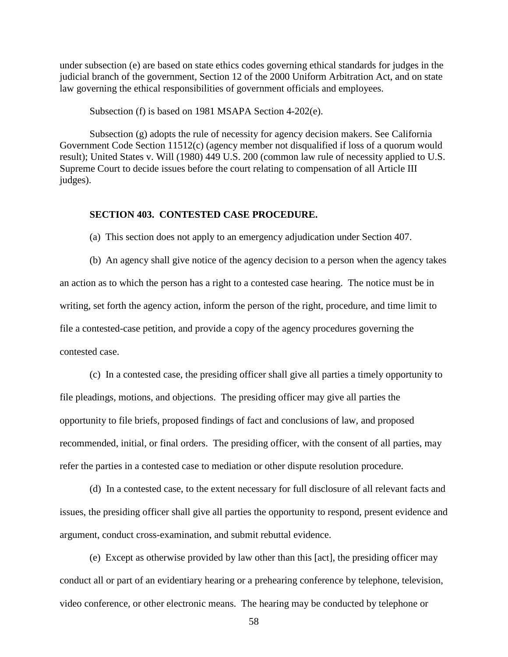under subsection (e) are based on state ethics codes governing ethical standards for judges in the judicial branch of the government, Section 12 of the 2000 Uniform Arbitration Act, and on state law governing the ethical responsibilities of government officials and employees.

Subsection (f) is based on 1981 MSAPA Section 4-202(e).

Subsection (g) adopts the rule of necessity for agency decision makers. See California Government Code Section 11512(c) (agency member not disqualified if loss of a quorum would result); United States v. Will (1980) 449 U.S. 200 (common law rule of necessity applied to U.S. Supreme Court to decide issues before the court relating to compensation of all Article III judges).

## **SECTION 403. CONTESTED CASE PROCEDURE.**

(a) This section does not apply to an emergency adjudication under Section 407.

(b) An agency shall give notice of the agency decision to a person when the agency takes an action as to which the person has a right to a contested case hearing. The notice must be in writing, set forth the agency action, inform the person of the right, procedure, and time limit to file a contested-case petition, and provide a copy of the agency procedures governing the contested case.

(c) In a contested case, the presiding officer shall give all parties a timely opportunity to file pleadings, motions, and objections. The presiding officer may give all parties the opportunity to file briefs, proposed findings of fact and conclusions of law, and proposed recommended, initial, or final orders. The presiding officer, with the consent of all parties, may refer the parties in a contested case to mediation or other dispute resolution procedure.

(d) In a contested case, to the extent necessary for full disclosure of all relevant facts and issues, the presiding officer shall give all parties the opportunity to respond, present evidence and argument, conduct cross-examination, and submit rebuttal evidence.

(e) Except as otherwise provided by law other than this [act], the presiding officer may conduct all or part of an evidentiary hearing or a prehearing conference by telephone, television, video conference, or other electronic means. The hearing may be conducted by telephone or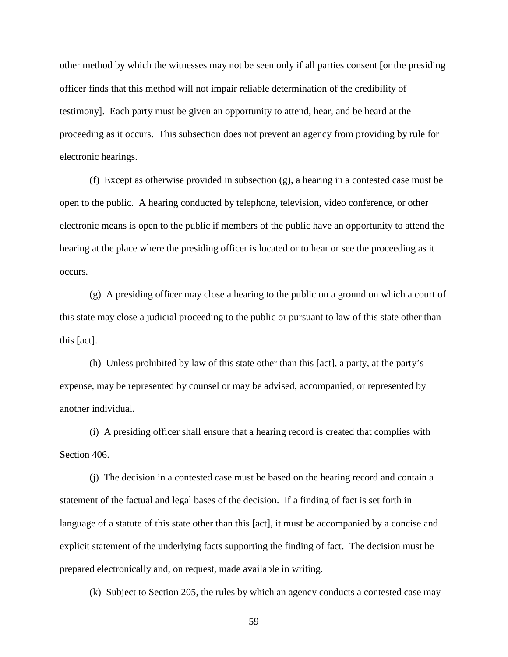other method by which the witnesses may not be seen only if all parties consent [or the presiding officer finds that this method will not impair reliable determination of the credibility of testimony]. Each party must be given an opportunity to attend, hear, and be heard at the proceeding as it occurs. This subsection does not prevent an agency from providing by rule for electronic hearings.

(f) Except as otherwise provided in subsection (g), a hearing in a contested case must be open to the public. A hearing conducted by telephone, television, video conference, or other electronic means is open to the public if members of the public have an opportunity to attend the hearing at the place where the presiding officer is located or to hear or see the proceeding as it occurs.

(g) A presiding officer may close a hearing to the public on a ground on which a court of this state may close a judicial proceeding to the public or pursuant to law of this state other than this [act].

(h) Unless prohibited by law of this state other than this [act], a party, at the party's expense, may be represented by counsel or may be advised, accompanied, or represented by another individual.

(i) A presiding officer shall ensure that a hearing record is created that complies with Section 406.

(j) The decision in a contested case must be based on the hearing record and contain a statement of the factual and legal bases of the decision. If a finding of fact is set forth in language of a statute of this state other than this [act], it must be accompanied by a concise and explicit statement of the underlying facts supporting the finding of fact. The decision must be prepared electronically and, on request, made available in writing.

(k) Subject to Section 205, the rules by which an agency conducts a contested case may

59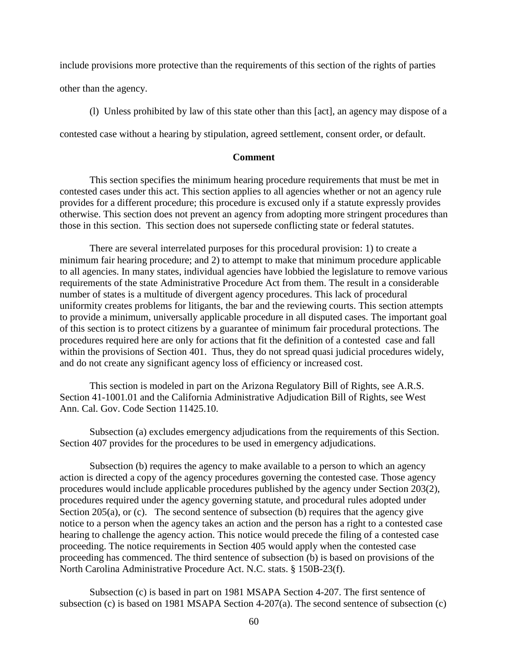include provisions more protective than the requirements of this section of the rights of parties

other than the agency.

(l) Unless prohibited by law of this state other than this [act], an agency may dispose of a

contested case without a hearing by stipulation, agreed settlement, consent order, or default.

### **Comment**

This section specifies the minimum hearing procedure requirements that must be met in contested cases under this act. This section applies to all agencies whether or not an agency rule provides for a different procedure; this procedure is excused only if a statute expressly provides otherwise. This section does not prevent an agency from adopting more stringent procedures than those in this section. This section does not supersede conflicting state or federal statutes.

There are several interrelated purposes for this procedural provision: 1) to create a minimum fair hearing procedure; and 2) to attempt to make that minimum procedure applicable to all agencies. In many states, individual agencies have lobbied the legislature to remove various requirements of the state Administrative Procedure Act from them. The result in a considerable number of states is a multitude of divergent agency procedures. This lack of procedural uniformity creates problems for litigants, the bar and the reviewing courts. This section attempts to provide a minimum, universally applicable procedure in all disputed cases. The important goal of this section is to protect citizens by a guarantee of minimum fair procedural protections. The procedures required here are only for actions that fit the definition of a contested case and fall within the provisions of Section 401. Thus, they do not spread quasi judicial procedures widely, and do not create any significant agency loss of efficiency or increased cost.

This section is modeled in part on the Arizona Regulatory Bill of Rights, see A.R.S. Section 41-1001.01 and the California Administrative Adjudication Bill of Rights, see West Ann. Cal. Gov. Code Section 11425.10.

Subsection (a) excludes emergency adjudications from the requirements of this Section. Section 407 provides for the procedures to be used in emergency adjudications.

Subsection (b) requires the agency to make available to a person to which an agency action is directed a copy of the agency procedures governing the contested case. Those agency procedures would include applicable procedures published by the agency under Section 203(2), procedures required under the agency governing statute, and procedural rules adopted under Section 205(a), or (c). The second sentence of subsection (b) requires that the agency give notice to a person when the agency takes an action and the person has a right to a contested case hearing to challenge the agency action. This notice would precede the filing of a contested case proceeding. The notice requirements in Section 405 would apply when the contested case proceeding has commenced. The third sentence of subsection (b) is based on provisions of the North Carolina Administrative Procedure Act. N.C. stats. § 150B-23(f).

Subsection (c) is based in part on 1981 MSAPA Section 4-207. The first sentence of subsection (c) is based on 1981 MSAPA Section 4-207(a). The second sentence of subsection (c)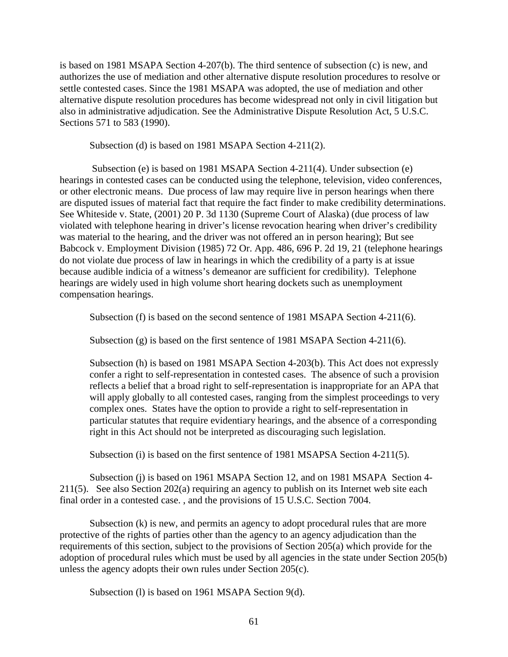is based on 1981 MSAPA Section 4-207(b). The third sentence of subsection (c) is new, and authorizes the use of mediation and other alternative dispute resolution procedures to resolve or settle contested cases. Since the 1981 MSAPA was adopted, the use of mediation and other alternative dispute resolution procedures has become widespread not only in civil litigation but also in administrative adjudication. See the Administrative Dispute Resolution Act, 5 U.S.C. Sections 571 to 583 (1990).

Subsection (d) is based on 1981 MSAPA Section 4-211(2).

Subsection (e) is based on 1981 MSAPA Section 4-211(4). Under subsection (e) hearings in contested cases can be conducted using the telephone, television, video conferences, or other electronic means. Due process of law may require live in person hearings when there are disputed issues of material fact that require the fact finder to make credibility determinations. See Whiteside v. State, (2001) 20 P. 3d 1130 (Supreme Court of Alaska) (due process of law violated with telephone hearing in driver's license revocation hearing when driver's credibility was material to the hearing, and the driver was not offered an in person hearing); But see Babcock v. Employment Division (1985) 72 Or. App. 486, 696 P. 2d 19, 21 (telephone hearings do not violate due process of law in hearings in which the credibility of a party is at issue because audible indicia of a witness's demeanor are sufficient for credibility). Telephone hearings are widely used in high volume short hearing dockets such as unemployment compensation hearings.

Subsection (f) is based on the second sentence of 1981 MSAPA Section 4-211(6).

Subsection (g) is based on the first sentence of 1981 MSAPA Section 4-211(6).

Subsection (h) is based on 1981 MSAPA Section 4-203(b). This Act does not expressly confer a right to self-representation in contested cases. The absence of such a provision reflects a belief that a broad right to self-representation is inappropriate for an APA that will apply globally to all contested cases, ranging from the simplest proceedings to very complex ones. States have the option to provide a right to self-representation in particular statutes that require evidentiary hearings, and the absence of a corresponding right in this Act should not be interpreted as discouraging such legislation.

Subsection (i) is based on the first sentence of 1981 MSAPSA Section 4-211(5).

Subsection (j) is based on 1961 MSAPA Section 12, and on 1981 MSAPA Section 4-211(5). See also Section 202(a) requiring an agency to publish on its Internet web site each final order in a contested case. , and the provisions of 15 U.S.C. Section 7004.

Subsection (k) is new, and permits an agency to adopt procedural rules that are more protective of the rights of parties other than the agency to an agency adjudication than the requirements of this section, subject to the provisions of Section 205(a) which provide for the adoption of procedural rules which must be used by all agencies in the state under Section 205(b) unless the agency adopts their own rules under Section 205(c).

Subsection (I) is based on 1961 MSAPA Section 9(d).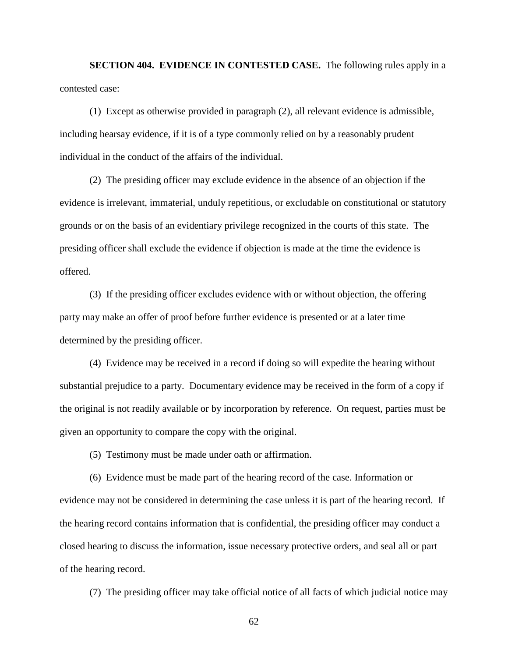**SECTION 404. EVIDENCE IN CONTESTED CASE.** The following rules apply in a contested case:

(1) Except as otherwise provided in paragraph (2), all relevant evidence is admissible, including hearsay evidence, if it is of a type commonly relied on by a reasonably prudent individual in the conduct of the affairs of the individual.

(2) The presiding officer may exclude evidence in the absence of an objection if the evidence is irrelevant, immaterial, unduly repetitious, or excludable on constitutional or statutory grounds or on the basis of an evidentiary privilege recognized in the courts of this state. The presiding officer shall exclude the evidence if objection is made at the time the evidence is offered.

(3) If the presiding officer excludes evidence with or without objection, the offering party may make an offer of proof before further evidence is presented or at a later time determined by the presiding officer.

(4) Evidence may be received in a record if doing so will expedite the hearing without substantial prejudice to a party. Documentary evidence may be received in the form of a copy if the original is not readily available or by incorporation by reference. On request, parties must be given an opportunity to compare the copy with the original.

(5) Testimony must be made under oath or affirmation.

(6) Evidence must be made part of the hearing record of the case. Information or evidence may not be considered in determining the case unless it is part of the hearing record. If the hearing record contains information that is confidential, the presiding officer may conduct a closed hearing to discuss the information, issue necessary protective orders, and seal all or part of the hearing record.

(7) The presiding officer may take official notice of all facts of which judicial notice may

62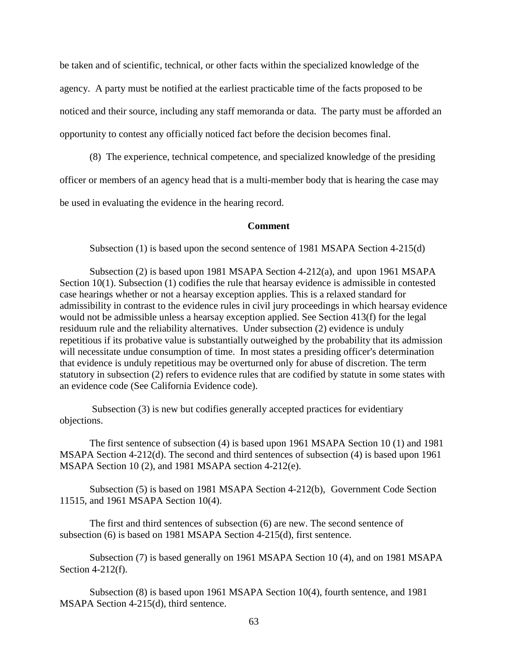be taken and of scientific, technical, or other facts within the specialized knowledge of the agency. A party must be notified at the earliest practicable time of the facts proposed to be noticed and their source, including any staff memoranda or data. The party must be afforded an opportunity to contest any officially noticed fact before the decision becomes final.

(8) The experience, technical competence, and specialized knowledge of the presiding officer or members of an agency head that is a multi-member body that is hearing the case may be used in evaluating the evidence in the hearing record.

### **Comment**

Subsection (1) is based upon the second sentence of 1981 MSAPA Section 4-215(d)

Subsection (2) is based upon 1981 MSAPA Section 4-212(a), and upon 1961 MSAPA Section 10(1). Subsection (1) codifies the rule that hearsay evidence is admissible in contested case hearings whether or not a hearsay exception applies. This is a relaxed standard for admissibility in contrast to the evidence rules in civil jury proceedings in which hearsay evidence would not be admissible unless a hearsay exception applied. See Section 413(f) for the legal residuum rule and the reliability alternatives. Under subsection (2) evidence is unduly repetitious if its probative value is substantially outweighed by the probability that its admission will necessitate undue consumption of time. In most states a presiding officer's determination that evidence is unduly repetitious may be overturned only for abuse of discretion. The term statutory in subsection (2) refers to evidence rules that are codified by statute in some states with an evidence code (See California Evidence code).

Subsection (3) is new but codifies generally accepted practices for evidentiary objections.

The first sentence of subsection (4) is based upon 1961 MSAPA Section 10 (1) and 1981 MSAPA Section 4-212(d). The second and third sentences of subsection (4) is based upon 1961 MSAPA Section 10 (2), and 1981 MSAPA section 4-212(e).

Subsection (5) is based on 1981 MSAPA Section 4-212(b), Government Code Section 11515, and 1961 MSAPA Section 10(4).

The first and third sentences of subsection (6) are new. The second sentence of subsection (6) is based on 1981 MSAPA Section 4-215(d), first sentence.

Subsection (7) is based generally on 1961 MSAPA Section 10 (4), and on 1981 MSAPA Section 4-212(f).

Subsection (8) is based upon 1961 MSAPA Section 10(4), fourth sentence, and 1981 MSAPA Section 4-215(d), third sentence.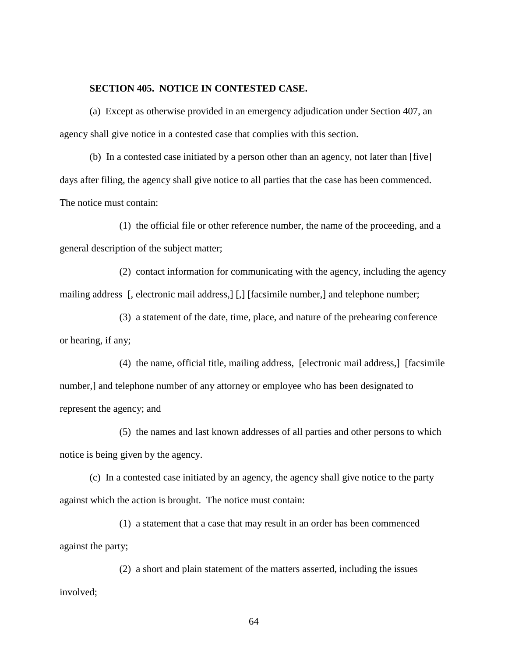#### **SECTION 405. NOTICE IN CONTESTED CASE.**

(a) Except as otherwise provided in an emergency adjudication under Section 407, an agency shall give notice in a contested case that complies with this section.

(b) In a contested case initiated by a person other than an agency, not later than [five] days after filing, the agency shall give notice to all parties that the case has been commenced. The notice must contain:

(1) the official file or other reference number, the name of the proceeding, and a general description of the subject matter;

(2) contact information for communicating with the agency, including the agency mailing address [, electronic mail address,] [,] [facsimile number,] and telephone number;

(3) a statement of the date, time, place, and nature of the prehearing conference or hearing, if any;

(4) the name, official title, mailing address, [electronic mail address,] [facsimile number,] and telephone number of any attorney or employee who has been designated to represent the agency; and

(5) the names and last known addresses of all parties and other persons to which notice is being given by the agency.

(c) In a contested case initiated by an agency, the agency shall give notice to the party against which the action is brought. The notice must contain:

(1) a statement that a case that may result in an order has been commenced against the party;

(2) a short and plain statement of the matters asserted, including the issues involved;

64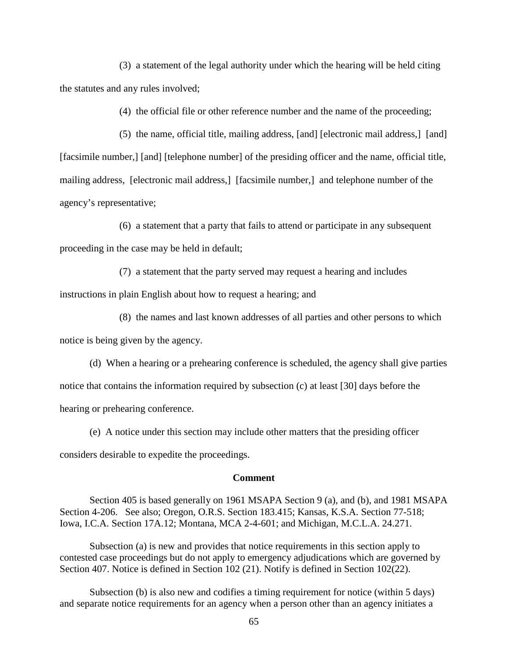(3) a statement of the legal authority under which the hearing will be held citing the statutes and any rules involved;

(4) the official file or other reference number and the name of the proceeding;

(5) the name, official title, mailing address, [and] [electronic mail address,] [and] [facsimile number,] [and] [telephone number] of the presiding officer and the name, official title, mailing address, [electronic mail address,] [facsimile number,] and telephone number of the agency's representative;

(6) a statement that a party that fails to attend or participate in any subsequent proceeding in the case may be held in default;

(7) a statement that the party served may request a hearing and includes

instructions in plain English about how to request a hearing; and

(8) the names and last known addresses of all parties and other persons to which notice is being given by the agency.

(d) When a hearing or a prehearing conference is scheduled, the agency shall give parties notice that contains the information required by subsection (c) at least [30] days before the hearing or prehearing conference.

(e) A notice under this section may include other matters that the presiding officer considers desirable to expedite the proceedings.

#### **Comment**

Section 405 is based generally on 1961 MSAPA Section 9 (a), and (b), and 1981 MSAPA Section 4-206. See also; Oregon, O.R.S. Section 183.415; Kansas, K.S.A. Section 77-518; Iowa, I.C.A. Section 17A.12; Montana, MCA 2-4-601; and Michigan, M.C.L.A. 24.271.

Subsection (a) is new and provides that notice requirements in this section apply to contested case proceedings but do not apply to emergency adjudications which are governed by Section 407. Notice is defined in Section 102 (21). Notify is defined in Section 102(22).

Subsection (b) is also new and codifies a timing requirement for notice (within 5 days) and separate notice requirements for an agency when a person other than an agency initiates a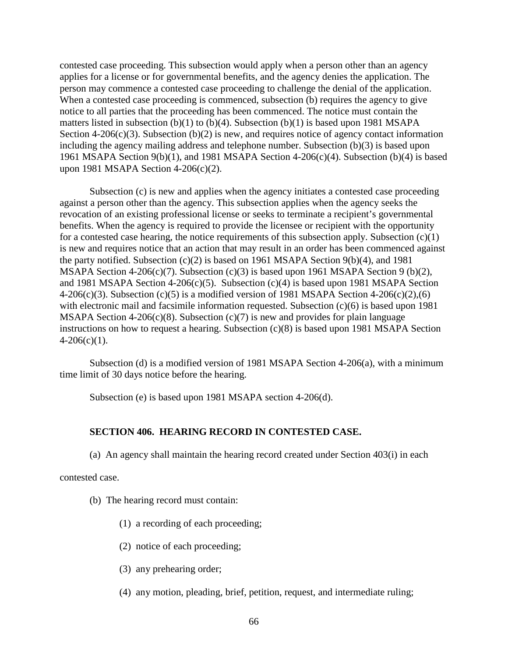contested case proceeding. This subsection would apply when a person other than an agency applies for a license or for governmental benefits, and the agency denies the application. The person may commence a contested case proceeding to challenge the denial of the application. When a contested case proceeding is commenced, subsection (b) requires the agency to give notice to all parties that the proceeding has been commenced. The notice must contain the matters listed in subsection (b)(1) to (b)(4). Subsection (b)(1) is based upon 1981 MSAPA Section 4-206(c)(3). Subsection (b)(2) is new, and requires notice of agency contact information including the agency mailing address and telephone number. Subsection (b)(3) is based upon 1961 MSAPA Section 9(b)(1), and 1981 MSAPA Section 4-206(c)(4). Subsection (b)(4) is based upon 1981 MSAPA Section 4-206(c)(2).

Subsection (c) is new and applies when the agency initiates a contested case proceeding against a person other than the agency. This subsection applies when the agency seeks the revocation of an existing professional license or seeks to terminate a recipient's governmental benefits. When the agency is required to provide the licensee or recipient with the opportunity for a contested case hearing, the notice requirements of this subsection apply. Subsection  $(c)(1)$ is new and requires notice that an action that may result in an order has been commenced against the party notified. Subsection  $(c)(2)$  is based on 1961 MSAPA Section 9(b)(4), and 1981 MSAPA Section 4-206(c)(7). Subsection (c)(3) is based upon 1961 MSAPA Section 9 (b)(2), and 1981 MSAPA Section 4-206(c)(5). Subsection (c)(4) is based upon 1981 MSAPA Section 4-206(c)(3). Subsection (c)(5) is a modified version of 1981 MSAPA Section 4-206(c)(2),(6) with electronic mail and facsimile information requested. Subsection (c)(6) is based upon 1981 MSAPA Section 4-206(c)(8). Subsection (c)(7) is new and provides for plain language instructions on how to request a hearing. Subsection  $(c)(8)$  is based upon 1981 MSAPA Section  $4-206(c)(1)$ .

Subsection (d) is a modified version of 1981 MSAPA Section 4-206(a), with a minimum time limit of 30 days notice before the hearing.

Subsection (e) is based upon 1981 MSAPA section 4-206(d).

# **SECTION 406. HEARING RECORD IN CONTESTED CASE.**

(a) An agency shall maintain the hearing record created under Section 403(i) in each

contested case.

- (b) The hearing record must contain:
	- (1) a recording of each proceeding;
	- (2) notice of each proceeding;
	- (3) any prehearing order;
	- (4) any motion, pleading, brief, petition, request, and intermediate ruling;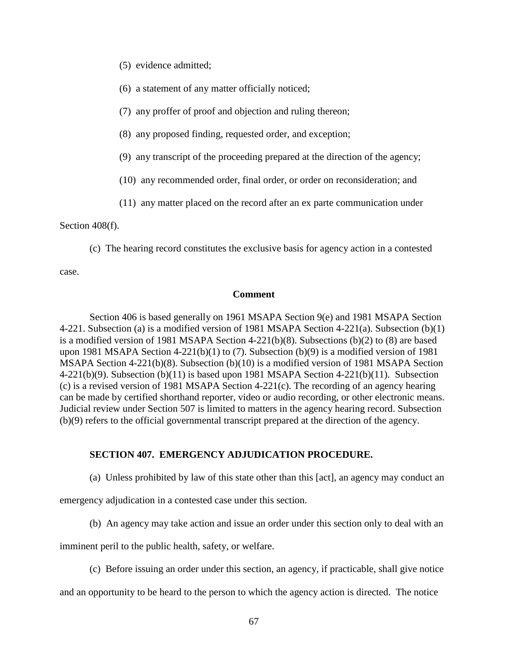- (5) evidence admitted;
- (6) a statement of any matter officially noticed;
- (7) any proffer of proof and objection and ruling thereon;
- (8) any proposed finding, requested order, and exception;
- (9) any transcript of the proceeding prepared at the direction of the agency;
- (10) any recommended order, final order, or order on reconsideration; and
- (11) any matter placed on the record after an ex parte communication under

Section 408(f).

(c) The hearing record constitutes the exclusive basis for agency action in a contested

case.

## **Comment**

Section 406 is based generally on 1961 MSAPA Section 9(e) and 1981 MSAPA Section 4-221. Subsection (a) is a modified version of 1981 MSAPA Section 4-221(a). Subsection (b)(1) is a modified version of 1981 MSAPA Section 4-221(b)(8). Subsections (b)(2) to (8) are based upon 1981 MSAPA Section  $4-221(b)(1)$  to (7). Subsection (b)(9) is a modified version of 1981 MSAPA Section 4-221(b)(8). Subsection (b)(10) is a modified version of 1981 MSAPA Section  $4-221(b)(9)$ . Subsection (b)(11) is based upon 1981 MSAPA Section  $4-221(b)(11)$ . Subsection (c) is a revised version of 1981 MSAPA Section 4-221(c). The recording of an agency hearing can be made by certified shorthand reporter, video or audio recording, or other electronic means. Judicial review under Section 507 is limited to matters in the agency hearing record. Subsection (b)(9) refers to the official governmental transcript prepared at the direction of the agency.

## **SECTION 407. EMERGENCY ADJUDICATION PROCEDURE.**

(a) Unless prohibited by law of this state other than this [act], an agency may conduct an

emergency adjudication in a contested case under this section.

(b) An agency may take action and issue an order under this section only to deal with an

imminent peril to the public health, safety, or welfare.

(c) Before issuing an order under this section, an agency, if practicable, shall give notice

and an opportunity to be heard to the person to which the agency action is directed. The notice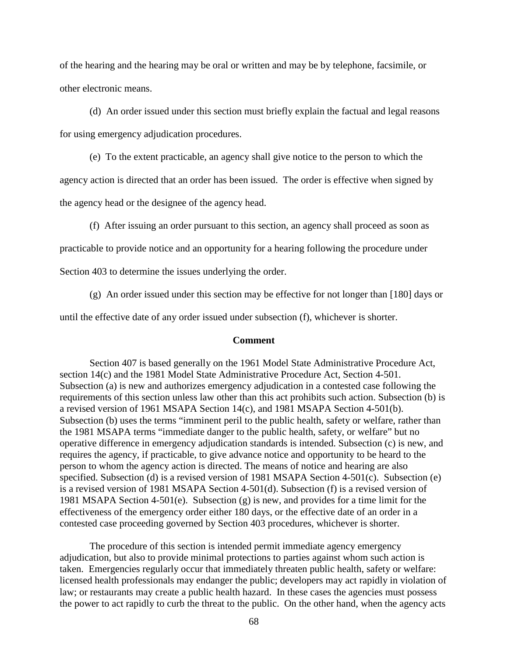of the hearing and the hearing may be oral or written and may be by telephone, facsimile, or other electronic means.

(d) An order issued under this section must briefly explain the factual and legal reasons for using emergency adjudication procedures.

(e) To the extent practicable, an agency shall give notice to the person to which the

agency action is directed that an order has been issued. The order is effective when signed by

the agency head or the designee of the agency head.

(f) After issuing an order pursuant to this section, an agency shall proceed as soon as

practicable to provide notice and an opportunity for a hearing following the procedure under

Section 403 to determine the issues underlying the order.

(g) An order issued under this section may be effective for not longer than [180] days or

until the effective date of any order issued under subsection (f), whichever is shorter.

# **Comment**

Section 407 is based generally on the 1961 Model State Administrative Procedure Act, section 14(c) and the 1981 Model State Administrative Procedure Act, Section 4-501. Subsection (a) is new and authorizes emergency adjudication in a contested case following the requirements of this section unless law other than this act prohibits such action. Subsection (b) is a revised version of 1961 MSAPA Section 14(c), and 1981 MSAPA Section 4-501(b). Subsection (b) uses the terms "imminent peril to the public health, safety or welfare, rather than the 1981 MSAPA terms "immediate danger to the public health, safety, or welfare" but no operative difference in emergency adjudication standards is intended. Subsection (c) is new, and requires the agency, if practicable, to give advance notice and opportunity to be heard to the person to whom the agency action is directed. The means of notice and hearing are also specified. Subsection (d) is a revised version of 1981 MSAPA Section 4-501(c). Subsection (e) is a revised version of 1981 MSAPA Section 4-501(d). Subsection (f) is a revised version of 1981 MSAPA Section 4-501(e). Subsection (g) is new, and provides for a time limit for the effectiveness of the emergency order either 180 days, or the effective date of an order in a contested case proceeding governed by Section 403 procedures, whichever is shorter.

The procedure of this section is intended permit immediate agency emergency adjudication, but also to provide minimal protections to parties against whom such action is taken. Emergencies regularly occur that immediately threaten public health, safety or welfare: licensed health professionals may endanger the public; developers may act rapidly in violation of law; or restaurants may create a public health hazard. In these cases the agencies must possess the power to act rapidly to curb the threat to the public. On the other hand, when the agency acts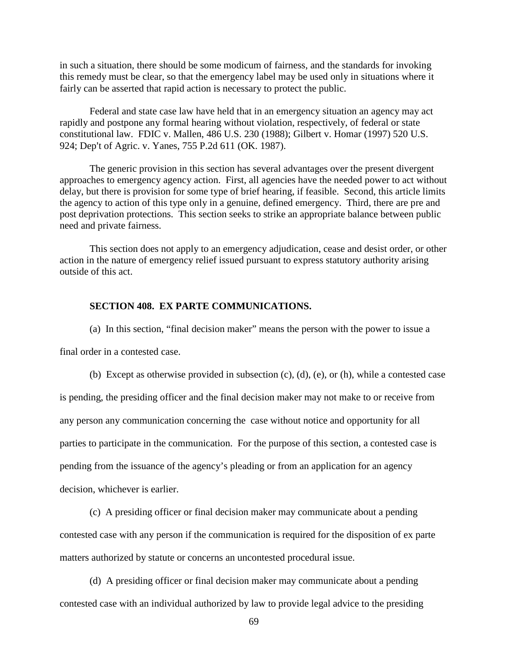in such a situation, there should be some modicum of fairness, and the standards for invoking this remedy must be clear, so that the emergency label may be used only in situations where it fairly can be asserted that rapid action is necessary to protect the public.

Federal and state case law have held that in an emergency situation an agency may act rapidly and postpone any formal hearing without violation, respectively, of federal or state constitutional law. FDIC v. Mallen, 486 U.S. 230 (1988); Gilbert v. Homar (1997) 520 U.S. 924; Dep't of Agric. v. Yanes, 755 P.2d 611 (OK. 1987).

The generic provision in this section has several advantages over the present divergent approaches to emergency agency action. First, all agencies have the needed power to act without delay, but there is provision for some type of brief hearing, if feasible. Second, this article limits the agency to action of this type only in a genuine, defined emergency. Third, there are pre and post deprivation protections. This section seeks to strike an appropriate balance between public need and private fairness.

This section does not apply to an emergency adjudication, cease and desist order, or other action in the nature of emergency relief issued pursuant to express statutory authority arising outside of this act.

# **SECTION 408. EX PARTE COMMUNICATIONS.**

(a) In this section, "final decision maker" means the person with the power to issue a final order in a contested case.

(b) Except as otherwise provided in subsection (c), (d), (e), or (h), while a contested case is pending, the presiding officer and the final decision maker may not make to or receive from any person any communication concerning the case without notice and opportunity for all parties to participate in the communication. For the purpose of this section, a contested case is pending from the issuance of the agency's pleading or from an application for an agency decision, whichever is earlier.

(c) A presiding officer or final decision maker may communicate about a pending contested case with any person if the communication is required for the disposition of ex parte matters authorized by statute or concerns an uncontested procedural issue.

(d) A presiding officer or final decision maker may communicate about a pending contested case with an individual authorized by law to provide legal advice to the presiding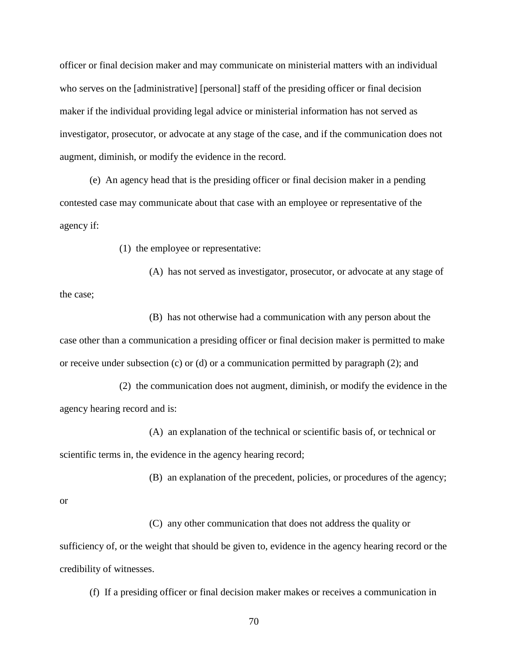officer or final decision maker and may communicate on ministerial matters with an individual who serves on the [administrative] [personal] staff of the presiding officer or final decision maker if the individual providing legal advice or ministerial information has not served as investigator, prosecutor, or advocate at any stage of the case, and if the communication does not augment, diminish, or modify the evidence in the record.

(e) An agency head that is the presiding officer or final decision maker in a pending contested case may communicate about that case with an employee or representative of the agency if:

(1) the employee or representative:

(A) has not served as investigator, prosecutor, or advocate at any stage of the case;

(B) has not otherwise had a communication with any person about the case other than a communication a presiding officer or final decision maker is permitted to make or receive under subsection (c) or (d) or a communication permitted by paragraph (2); and

(2) the communication does not augment, diminish, or modify the evidence in the agency hearing record and is:

(A) an explanation of the technical or scientific basis of, or technical or scientific terms in, the evidence in the agency hearing record;

(B) an explanation of the precedent, policies, or procedures of the agency;

or

(C) any other communication that does not address the quality or sufficiency of, or the weight that should be given to, evidence in the agency hearing record or the credibility of witnesses.

(f) If a presiding officer or final decision maker makes or receives a communication in

70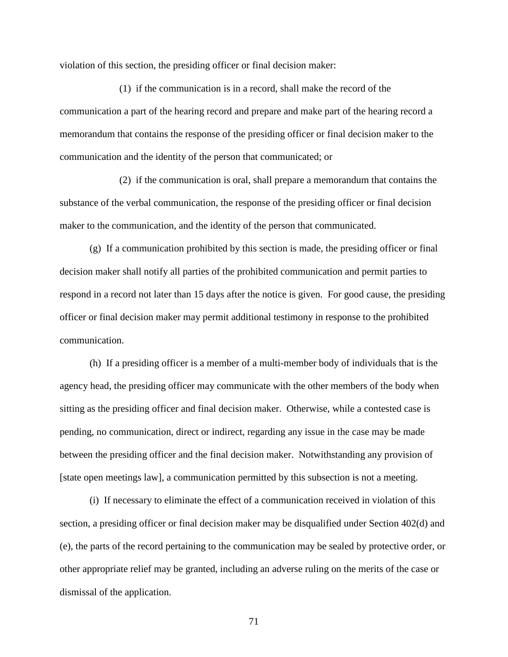violation of this section, the presiding officer or final decision maker:

(1) if the communication is in a record, shall make the record of the communication a part of the hearing record and prepare and make part of the hearing record a memorandum that contains the response of the presiding officer or final decision maker to the communication and the identity of the person that communicated; or

(2) if the communication is oral, shall prepare a memorandum that contains the substance of the verbal communication, the response of the presiding officer or final decision maker to the communication, and the identity of the person that communicated.

(g) If a communication prohibited by this section is made, the presiding officer or final decision maker shall notify all parties of the prohibited communication and permit parties to respond in a record not later than 15 days after the notice is given. For good cause, the presiding officer or final decision maker may permit additional testimony in response to the prohibited communication.

(h) If a presiding officer is a member of a multi-member body of individuals that is the agency head, the presiding officer may communicate with the other members of the body when sitting as the presiding officer and final decision maker. Otherwise, while a contested case is pending, no communication, direct or indirect, regarding any issue in the case may be made between the presiding officer and the final decision maker. Notwithstanding any provision of [state open meetings law], a communication permitted by this subsection is not a meeting.

(i) If necessary to eliminate the effect of a communication received in violation of this section, a presiding officer or final decision maker may be disqualified under Section 402(d) and (e), the parts of the record pertaining to the communication may be sealed by protective order, or other appropriate relief may be granted, including an adverse ruling on the merits of the case or dismissal of the application.

71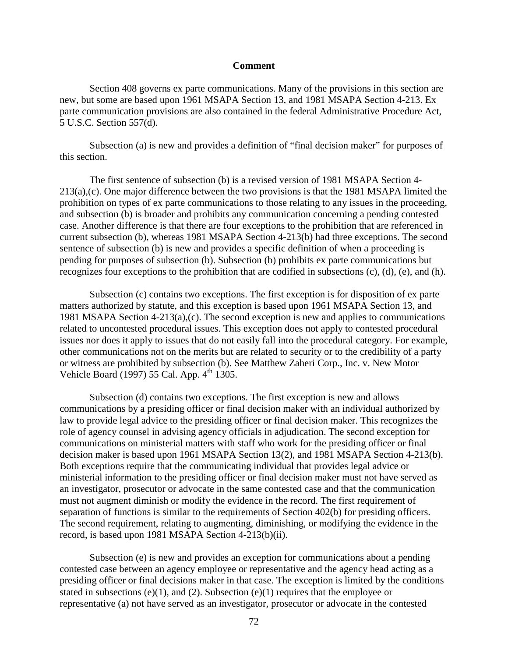#### **Comment**

Section 408 governs ex parte communications. Many of the provisions in this section are new, but some are based upon 1961 MSAPA Section 13, and 1981 MSAPA Section 4-213. Ex parte communication provisions are also contained in the federal Administrative Procedure Act, 5 U.S.C. Section 557(d).

Subsection (a) is new and provides a definition of "final decision maker" for purposes of this section.

The first sentence of subsection (b) is a revised version of 1981 MSAPA Section 4- 213(a),(c). One major difference between the two provisions is that the 1981 MSAPA limited the prohibition on types of ex parte communications to those relating to any issues in the proceeding, and subsection (b) is broader and prohibits any communication concerning a pending contested case. Another difference is that there are four exceptions to the prohibition that are referenced in current subsection (b), whereas 1981 MSAPA Section 4-213(b) had three exceptions. The second sentence of subsection (b) is new and provides a specific definition of when a proceeding is pending for purposes of subsection (b). Subsection (b) prohibits ex parte communications but recognizes four exceptions to the prohibition that are codified in subsections (c), (d), (e), and (h).

Subsection (c) contains two exceptions. The first exception is for disposition of ex parte matters authorized by statute, and this exception is based upon 1961 MSAPA Section 13, and 1981 MSAPA Section 4-213(a),(c). The second exception is new and applies to communications related to uncontested procedural issues. This exception does not apply to contested procedural issues nor does it apply to issues that do not easily fall into the procedural category. For example, other communications not on the merits but are related to security or to the credibility of a party or witness are prohibited by subsection (b). See Matthew Zaheri Corp., Inc. v. New Motor Vehicle Board (1997) 55 Cal. App.  $4<sup>th</sup>$  1305.

Subsection (d) contains two exceptions. The first exception is new and allows communications by a presiding officer or final decision maker with an individual authorized by law to provide legal advice to the presiding officer or final decision maker. This recognizes the role of agency counsel in advising agency officials in adjudication. The second exception for communications on ministerial matters with staff who work for the presiding officer or final decision maker is based upon 1961 MSAPA Section 13(2), and 1981 MSAPA Section 4-213(b). Both exceptions require that the communicating individual that provides legal advice or ministerial information to the presiding officer or final decision maker must not have served as an investigator, prosecutor or advocate in the same contested case and that the communication must not augment diminish or modify the evidence in the record. The first requirement of separation of functions is similar to the requirements of Section 402(b) for presiding officers. The second requirement, relating to augmenting, diminishing, or modifying the evidence in the record, is based upon 1981 MSAPA Section 4-213(b)(ii).

Subsection (e) is new and provides an exception for communications about a pending contested case between an agency employee or representative and the agency head acting as a presiding officer or final decisions maker in that case. The exception is limited by the conditions stated in subsections (e)(1), and (2). Subsection (e)(1) requires that the employee or representative (a) not have served as an investigator, prosecutor or advocate in the contested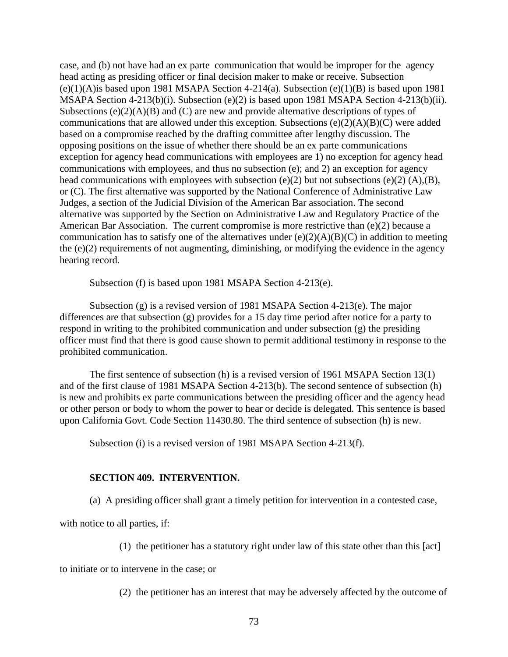case, and (b) not have had an ex parte communication that would be improper for the agency head acting as presiding officer or final decision maker to make or receive. Subsection (e)(1)(A)is based upon 1981 MSAPA Section 4-214(a). Subsection (e)(1)(B) is based upon 1981 MSAPA Section 4-213(b)(i). Subsection (e)(2) is based upon 1981 MSAPA Section 4-213(b)(ii). Subsections  $(e)(2)(A)(B)$  and  $(C)$  are new and provide alternative descriptions of types of communications that are allowed under this exception. Subsections  $(e)(2)(A)(B)(C)$  were added based on a compromise reached by the drafting committee after lengthy discussion. The opposing positions on the issue of whether there should be an ex parte communications exception for agency head communications with employees are 1) no exception for agency head communications with employees, and thus no subsection (e); and 2) an exception for agency head communications with employees with subsection (e)(2) but not subsections (e)(2) (A),(B), or (C). The first alternative was supported by the National Conference of Administrative Law Judges, a section of the Judicial Division of the American Bar association. The second alternative was supported by the Section on Administrative Law and Regulatory Practice of the American Bar Association. The current compromise is more restrictive than (e)(2) because a communication has to satisfy one of the alternatives under  $(e)(2)(A)(B)(C)$  in addition to meeting the (e)(2) requirements of not augmenting, diminishing, or modifying the evidence in the agency hearing record.

Subsection (f) is based upon 1981 MSAPA Section 4-213(e).

Subsection  $(g)$  is a revised version of 1981 MSAPA Section 4-213(e). The major differences are that subsection (g) provides for a 15 day time period after notice for a party to respond in writing to the prohibited communication and under subsection (g) the presiding officer must find that there is good cause shown to permit additional testimony in response to the prohibited communication.

The first sentence of subsection (h) is a revised version of 1961 MSAPA Section 13(1) and of the first clause of 1981 MSAPA Section 4-213(b). The second sentence of subsection (h) is new and prohibits ex parte communications between the presiding officer and the agency head or other person or body to whom the power to hear or decide is delegated. This sentence is based upon California Govt. Code Section 11430.80. The third sentence of subsection (h) is new.

Subsection (i) is a revised version of 1981 MSAPA Section 4-213(f).

# **SECTION 409. INTERVENTION.**

(a) A presiding officer shall grant a timely petition for intervention in a contested case,

with notice to all parties, if:

(1) the petitioner has a statutory right under law of this state other than this [act]

to initiate or to intervene in the case; or

(2) the petitioner has an interest that may be adversely affected by the outcome of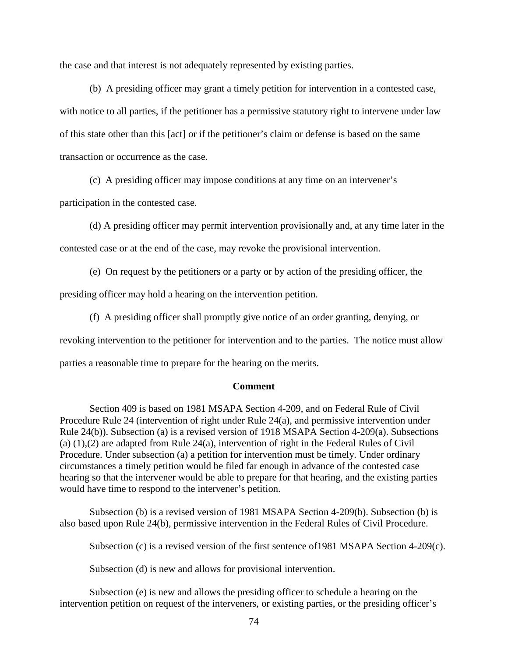the case and that interest is not adequately represented by existing parties.

(b) A presiding officer may grant a timely petition for intervention in a contested case, with notice to all parties, if the petitioner has a permissive statutory right to intervene under law of this state other than this [act] or if the petitioner's claim or defense is based on the same transaction or occurrence as the case.

(c) A presiding officer may impose conditions at any time on an intervener's

participation in the contested case.

(d) A presiding officer may permit intervention provisionally and, at any time later in the contested case or at the end of the case, may revoke the provisional intervention.

(e) On request by the petitioners or a party or by action of the presiding officer, the presiding officer may hold a hearing on the intervention petition.

(f) A presiding officer shall promptly give notice of an order granting, denying, or

revoking intervention to the petitioner for intervention and to the parties. The notice must allow

parties a reasonable time to prepare for the hearing on the merits.

#### **Comment**

Section 409 is based on 1981 MSAPA Section 4-209, and on Federal Rule of Civil Procedure Rule 24 (intervention of right under Rule 24(a), and permissive intervention under Rule 24(b)). Subsection (a) is a revised version of 1918 MSAPA Section 4-209(a). Subsections (a) (1),(2) are adapted from Rule 24(a), intervention of right in the Federal Rules of Civil Procedure. Under subsection (a) a petition for intervention must be timely. Under ordinary circumstances a timely petition would be filed far enough in advance of the contested case hearing so that the intervener would be able to prepare for that hearing, and the existing parties would have time to respond to the intervener's petition.

Subsection (b) is a revised version of 1981 MSAPA Section 4-209(b). Subsection (b) is also based upon Rule 24(b), permissive intervention in the Federal Rules of Civil Procedure.

Subsection  $(c)$  is a revised version of the first sentence of 1981 MSAPA Section 4-209 $(c)$ .

Subsection (d) is new and allows for provisional intervention.

Subsection (e) is new and allows the presiding officer to schedule a hearing on the intervention petition on request of the interveners, or existing parties, or the presiding officer's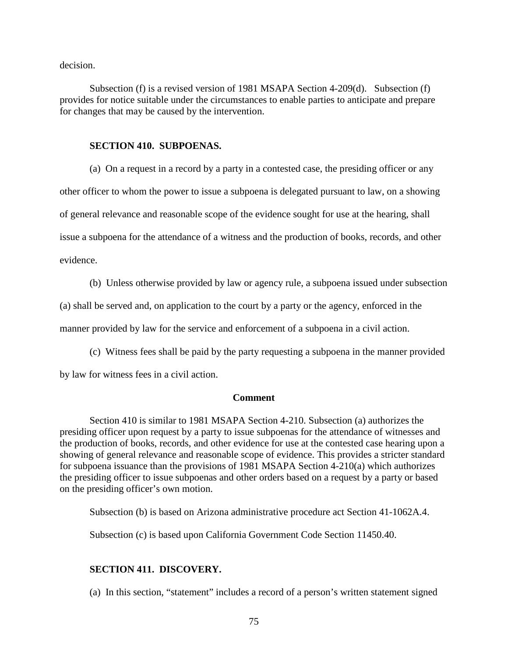decision.

Subsection (f) is a revised version of 1981 MSAPA Section 4-209(d). Subsection (f) provides for notice suitable under the circumstances to enable parties to anticipate and prepare for changes that may be caused by the intervention.

## **SECTION 410. SUBPOENAS.**

(a) On a request in a record by a party in a contested case, the presiding officer or any other officer to whom the power to issue a subpoena is delegated pursuant to law, on a showing of general relevance and reasonable scope of the evidence sought for use at the hearing, shall issue a subpoena for the attendance of a witness and the production of books, records, and other evidence.

(b) Unless otherwise provided by law or agency rule, a subpoena issued under subsection

(a) shall be served and, on application to the court by a party or the agency, enforced in the

manner provided by law for the service and enforcement of a subpoena in a civil action.

(c) Witness fees shall be paid by the party requesting a subpoena in the manner provided

by law for witness fees in a civil action.

#### **Comment**

Section 410 is similar to 1981 MSAPA Section 4-210. Subsection (a) authorizes the presiding officer upon request by a party to issue subpoenas for the attendance of witnesses and the production of books, records, and other evidence for use at the contested case hearing upon a showing of general relevance and reasonable scope of evidence. This provides a stricter standard for subpoena issuance than the provisions of 1981 MSAPA Section 4-210(a) which authorizes the presiding officer to issue subpoenas and other orders based on a request by a party or based on the presiding officer's own motion.

Subsection (b) is based on Arizona administrative procedure act Section 41-1062A.4.

Subsection (c) is based upon California Government Code Section 11450.40.

#### **SECTION 411. DISCOVERY.**

(a) In this section, "statement" includes a record of a person's written statement signed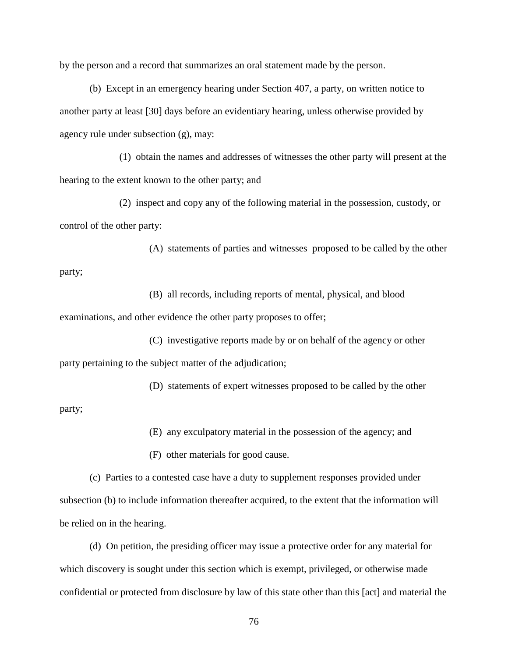by the person and a record that summarizes an oral statement made by the person.

(b) Except in an emergency hearing under Section 407, a party, on written notice to another party at least [30] days before an evidentiary hearing, unless otherwise provided by agency rule under subsection (g), may:

(1) obtain the names and addresses of witnesses the other party will present at the hearing to the extent known to the other party; and

(2) inspect and copy any of the following material in the possession, custody, or control of the other party:

(A) statements of parties and witnesses proposed to be called by the other party;

(B) all records, including reports of mental, physical, and blood examinations, and other evidence the other party proposes to offer;

(C) investigative reports made by or on behalf of the agency or other party pertaining to the subject matter of the adjudication;

(D) statements of expert witnesses proposed to be called by the other

party;

- (E) any exculpatory material in the possession of the agency; and
- (F) other materials for good cause.

(c) Parties to a contested case have a duty to supplement responses provided under subsection (b) to include information thereafter acquired, to the extent that the information will be relied on in the hearing.

(d) On petition, the presiding officer may issue a protective order for any material for which discovery is sought under this section which is exempt, privileged, or otherwise made confidential or protected from disclosure by law of this state other than this [act] and material the

76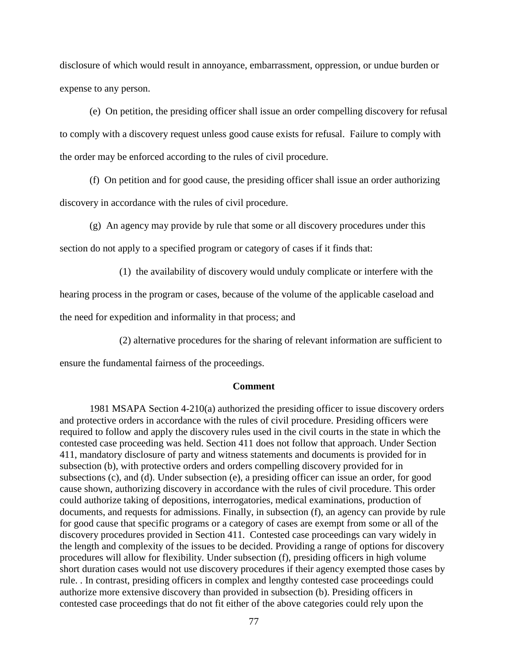disclosure of which would result in annoyance, embarrassment, oppression, or undue burden or expense to any person.

(e) On petition, the presiding officer shall issue an order compelling discovery for refusal to comply with a discovery request unless good cause exists for refusal. Failure to comply with the order may be enforced according to the rules of civil procedure.

(f) On petition and for good cause, the presiding officer shall issue an order authorizing discovery in accordance with the rules of civil procedure.

(g) An agency may provide by rule that some or all discovery procedures under this

section do not apply to a specified program or category of cases if it finds that:

(1) the availability of discovery would unduly complicate or interfere with the

hearing process in the program or cases, because of the volume of the applicable caseload and

the need for expedition and informality in that process; and

(2) alternative procedures for the sharing of relevant information are sufficient to

ensure the fundamental fairness of the proceedings.

#### **Comment**

1981 MSAPA Section 4-210(a) authorized the presiding officer to issue discovery orders and protective orders in accordance with the rules of civil procedure. Presiding officers were required to follow and apply the discovery rules used in the civil courts in the state in which the contested case proceeding was held. Section 411 does not follow that approach. Under Section 411, mandatory disclosure of party and witness statements and documents is provided for in subsection (b), with protective orders and orders compelling discovery provided for in subsections (c), and (d). Under subsection (e), a presiding officer can issue an order, for good cause shown, authorizing discovery in accordance with the rules of civil procedure. This order could authorize taking of depositions, interrogatories, medical examinations, production of documents, and requests for admissions. Finally, in subsection (f), an agency can provide by rule for good cause that specific programs or a category of cases are exempt from some or all of the discovery procedures provided in Section 411. Contested case proceedings can vary widely in the length and complexity of the issues to be decided. Providing a range of options for discovery procedures will allow for flexibility. Under subsection (f), presiding officers in high volume short duration cases would not use discovery procedures if their agency exempted those cases by rule. . In contrast, presiding officers in complex and lengthy contested case proceedings could authorize more extensive discovery than provided in subsection (b). Presiding officers in contested case proceedings that do not fit either of the above categories could rely upon the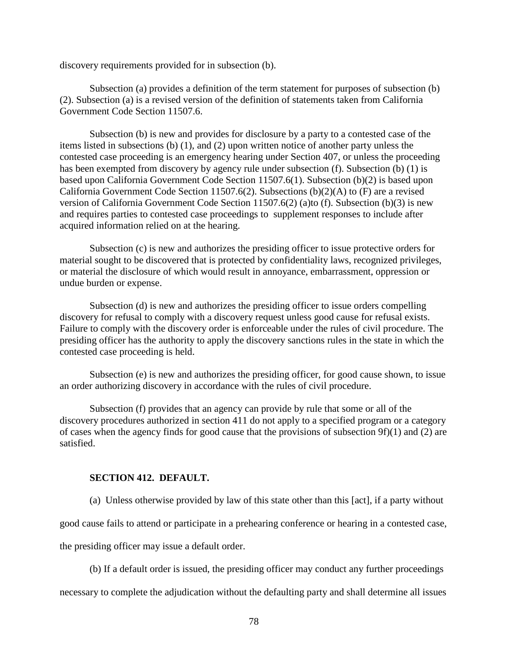discovery requirements provided for in subsection (b).

Subsection (a) provides a definition of the term statement for purposes of subsection (b) (2). Subsection (a) is a revised version of the definition of statements taken from California Government Code Section 11507.6.

Subsection (b) is new and provides for disclosure by a party to a contested case of the items listed in subsections (b) (1), and (2) upon written notice of another party unless the contested case proceeding is an emergency hearing under Section 407, or unless the proceeding has been exempted from discovery by agency rule under subsection (f). Subsection (b) (1) is based upon California Government Code Section 11507.6(1). Subsection (b)(2) is based upon California Government Code Section 11507.6(2). Subsections (b)(2)(A) to (F) are a revised version of California Government Code Section 11507.6(2) (a)to (f). Subsection (b)(3) is new and requires parties to contested case proceedings to supplement responses to include after acquired information relied on at the hearing.

Subsection (c) is new and authorizes the presiding officer to issue protective orders for material sought to be discovered that is protected by confidentiality laws, recognized privileges, or material the disclosure of which would result in annoyance, embarrassment, oppression or undue burden or expense.

Subsection (d) is new and authorizes the presiding officer to issue orders compelling discovery for refusal to comply with a discovery request unless good cause for refusal exists. Failure to comply with the discovery order is enforceable under the rules of civil procedure. The presiding officer has the authority to apply the discovery sanctions rules in the state in which the contested case proceeding is held.

Subsection (e) is new and authorizes the presiding officer, for good cause shown, to issue an order authorizing discovery in accordance with the rules of civil procedure.

Subsection (f) provides that an agency can provide by rule that some or all of the discovery procedures authorized in section 411 do not apply to a specified program or a category of cases when the agency finds for good cause that the provisions of subsection 9f)(1) and (2) are satisfied.

## **SECTION 412. DEFAULT.**

(a) Unless otherwise provided by law of this state other than this [act], if a party without

good cause fails to attend or participate in a prehearing conference or hearing in a contested case,

the presiding officer may issue a default order.

(b) If a default order is issued, the presiding officer may conduct any further proceedings

necessary to complete the adjudication without the defaulting party and shall determine all issues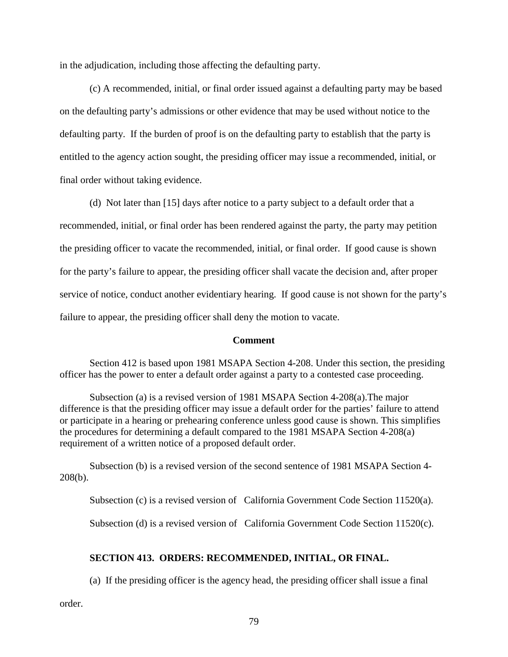in the adjudication, including those affecting the defaulting party.

(c) A recommended, initial, or final order issued against a defaulting party may be based on the defaulting party's admissions or other evidence that may be used without notice to the defaulting party. If the burden of proof is on the defaulting party to establish that the party is entitled to the agency action sought, the presiding officer may issue a recommended, initial, or final order without taking evidence.

(d) Not later than [15] days after notice to a party subject to a default order that a recommended, initial, or final order has been rendered against the party, the party may petition the presiding officer to vacate the recommended, initial, or final order. If good cause is shown for the party's failure to appear, the presiding officer shall vacate the decision and, after proper service of notice, conduct another evidentiary hearing. If good cause is not shown for the party's failure to appear, the presiding officer shall deny the motion to vacate.

## **Comment**

Section 412 is based upon 1981 MSAPA Section 4-208. Under this section, the presiding officer has the power to enter a default order against a party to a contested case proceeding.

Subsection (a) is a revised version of 1981 MSAPA Section 4-208(a).The major difference is that the presiding officer may issue a default order for the parties' failure to attend or participate in a hearing or prehearing conference unless good cause is shown. This simplifies the procedures for determining a default compared to the 1981 MSAPA Section 4-208(a) requirement of a written notice of a proposed default order.

Subsection (b) is a revised version of the second sentence of 1981 MSAPA Section 4- 208(b).

Subsection (c) is a revised version of California Government Code Section 11520(a). Subsection (d) is a revised version of California Government Code Section 11520(c).

# **SECTION 413. ORDERS: RECOMMENDED, INITIAL, OR FINAL.**

(a) If the presiding officer is the agency head, the presiding officer shall issue a final

order.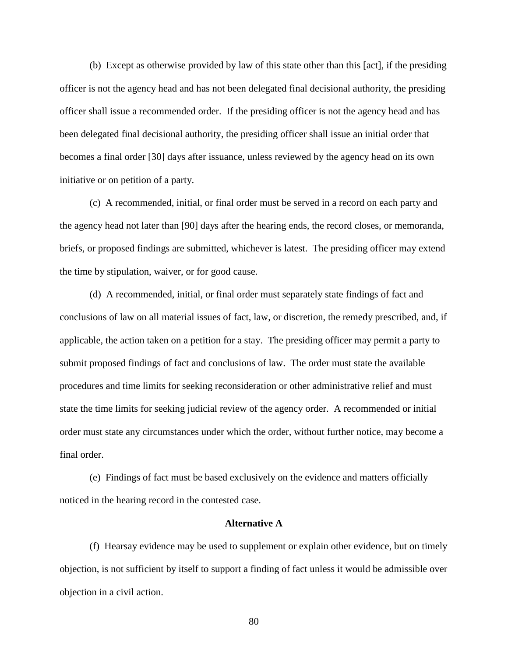(b) Except as otherwise provided by law of this state other than this [act], if the presiding officer is not the agency head and has not been delegated final decisional authority, the presiding officer shall issue a recommended order. If the presiding officer is not the agency head and has been delegated final decisional authority, the presiding officer shall issue an initial order that becomes a final order [30] days after issuance, unless reviewed by the agency head on its own initiative or on petition of a party.

(c) A recommended, initial, or final order must be served in a record on each party and the agency head not later than [90] days after the hearing ends, the record closes, or memoranda, briefs, or proposed findings are submitted, whichever is latest. The presiding officer may extend the time by stipulation, waiver, or for good cause.

(d) A recommended, initial, or final order must separately state findings of fact and conclusions of law on all material issues of fact, law, or discretion, the remedy prescribed, and, if applicable, the action taken on a petition for a stay. The presiding officer may permit a party to submit proposed findings of fact and conclusions of law. The order must state the available procedures and time limits for seeking reconsideration or other administrative relief and must state the time limits for seeking judicial review of the agency order. A recommended or initial order must state any circumstances under which the order, without further notice, may become a final order.

(e) Findings of fact must be based exclusively on the evidence and matters officially noticed in the hearing record in the contested case.

### **Alternative A**

(f) Hearsay evidence may be used to supplement or explain other evidence, but on timely objection, is not sufficient by itself to support a finding of fact unless it would be admissible over objection in a civil action.

80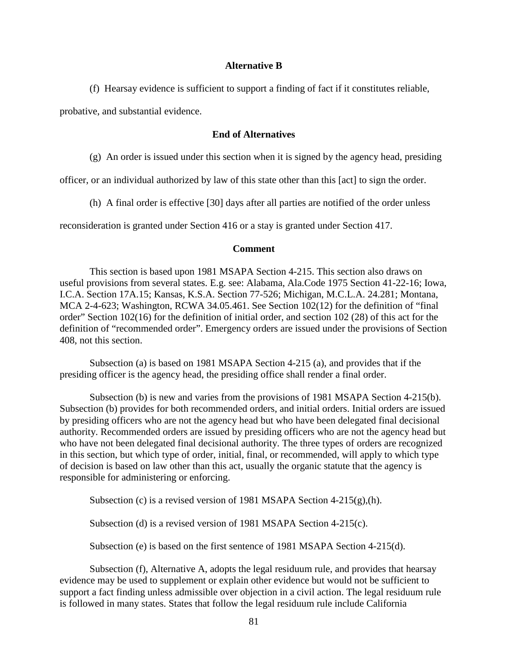# **Alternative B**

(f) Hearsay evidence is sufficient to support a finding of fact if it constitutes reliable,

probative, and substantial evidence.

# **End of Alternatives**

(g) An order is issued under this section when it is signed by the agency head, presiding

officer, or an individual authorized by law of this state other than this [act] to sign the order.

(h) A final order is effective [30] days after all parties are notified of the order unless

reconsideration is granted under Section 416 or a stay is granted under Section 417.

## **Comment**

This section is based upon 1981 MSAPA Section 4-215. This section also draws on useful provisions from several states. E.g. see: Alabama, Ala.Code 1975 Section 41-22-16; Iowa, I.C.A. Section 17A.15; Kansas, K.S.A. Section 77-526; Michigan, M.C.L.A. 24.281; Montana, MCA 2-4-623; Washington, RCWA 34.05.461. See Section 102(12) for the definition of "final order" Section 102(16) for the definition of initial order, and section 102 (28) of this act for the definition of "recommended order". Emergency orders are issued under the provisions of Section 408, not this section.

Subsection (a) is based on 1981 MSAPA Section 4-215 (a), and provides that if the presiding officer is the agency head, the presiding office shall render a final order.

Subsection (b) is new and varies from the provisions of 1981 MSAPA Section 4-215(b). Subsection (b) provides for both recommended orders, and initial orders. Initial orders are issued by presiding officers who are not the agency head but who have been delegated final decisional authority. Recommended orders are issued by presiding officers who are not the agency head but who have not been delegated final decisional authority. The three types of orders are recognized in this section, but which type of order, initial, final, or recommended, will apply to which type of decision is based on law other than this act, usually the organic statute that the agency is responsible for administering or enforcing.

Subsection (c) is a revised version of 1981 MSAPA Section 4-215(g),(h).

Subsection (d) is a revised version of 1981 MSAPA Section 4-215(c).

Subsection (e) is based on the first sentence of 1981 MSAPA Section 4-215(d).

Subsection (f), Alternative A, adopts the legal residuum rule, and provides that hearsay evidence may be used to supplement or explain other evidence but would not be sufficient to support a fact finding unless admissible over objection in a civil action. The legal residuum rule is followed in many states. States that follow the legal residuum rule include California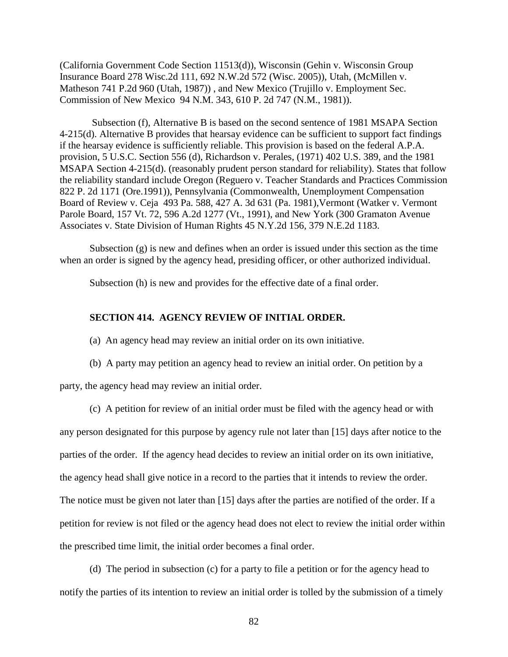(California Government Code Section 11513(d)), Wisconsin (Gehin v. Wisconsin Group Insurance Board 278 Wisc.2d 111, 692 N.W.2d 572 (Wisc. 2005)), Utah, (McMillen v. Matheson 741 P.2d 960 (Utah, 1987)) , and New Mexico (Trujillo v. Employment Sec. Commission of New Mexico 94 N.M. 343, 610 P. 2d 747 (N.M., 1981)).

Subsection (f), Alternative B is based on the second sentence of 1981 MSAPA Section 4-215(d). Alternative B provides that hearsay evidence can be sufficient to support fact findings if the hearsay evidence is sufficiently reliable. This provision is based on the federal A.P.A. provision, 5 U.S.C. Section 556 (d), Richardson v. Perales, (1971) 402 U.S. 389, and the 1981 MSAPA Section 4-215(d). (reasonably prudent person standard for reliability). States that follow the reliability standard include Oregon (Reguero v. Teacher Standards and Practices Commission 822 P. 2d 1171 (Ore.1991)), Pennsylvania (Commonwealth, Unemployment Compensation Board of Review v. Ceja 493 Pa. 588, 427 A. 3d 631 (Pa. 1981),Vermont (Watker v. Vermont Parole Board, 157 Vt. 72, 596 A.2d 1277 (Vt., 1991), and New York (300 Gramaton Avenue Associates v. State Division of Human Rights 45 N.Y.2d 156, 379 N.E.2d 1183.

Subsection (g) is new and defines when an order is issued under this section as the time when an order is signed by the agency head, presiding officer, or other authorized individual.

Subsection (h) is new and provides for the effective date of a final order.

### **SECTION 414. AGENCY REVIEW OF INITIAL ORDER.**

(a) An agency head may review an initial order on its own initiative.

(b) A party may petition an agency head to review an initial order. On petition by a

party, the agency head may review an initial order.

(c) A petition for review of an initial order must be filed with the agency head or with any person designated for this purpose by agency rule not later than [15] days after notice to the parties of the order. If the agency head decides to review an initial order on its own initiative, the agency head shall give notice in a record to the parties that it intends to review the order. The notice must be given not later than [15] days after the parties are notified of the order. If a petition for review is not filed or the agency head does not elect to review the initial order within the prescribed time limit, the initial order becomes a final order.

(d) The period in subsection (c) for a party to file a petition or for the agency head to notify the parties of its intention to review an initial order is tolled by the submission of a timely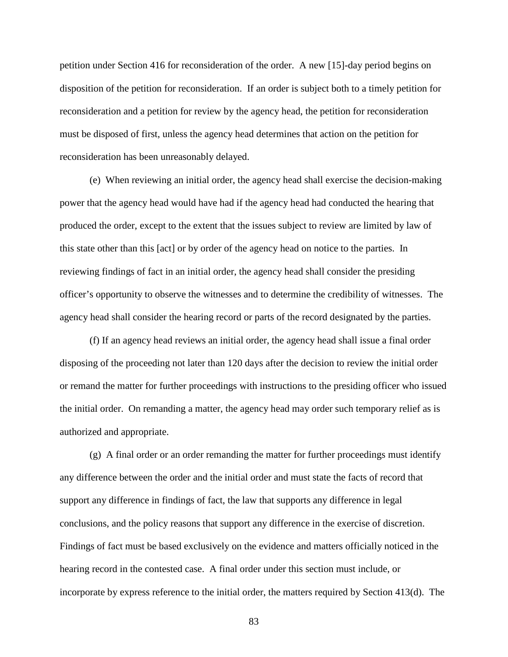petition under Section 416 for reconsideration of the order. A new [15]-day period begins on disposition of the petition for reconsideration. If an order is subject both to a timely petition for reconsideration and a petition for review by the agency head, the petition for reconsideration must be disposed of first, unless the agency head determines that action on the petition for reconsideration has been unreasonably delayed.

(e) When reviewing an initial order, the agency head shall exercise the decision-making power that the agency head would have had if the agency head had conducted the hearing that produced the order, except to the extent that the issues subject to review are limited by law of this state other than this [act] or by order of the agency head on notice to the parties. In reviewing findings of fact in an initial order, the agency head shall consider the presiding officer's opportunity to observe the witnesses and to determine the credibility of witnesses. The agency head shall consider the hearing record or parts of the record designated by the parties.

(f) If an agency head reviews an initial order, the agency head shall issue a final order disposing of the proceeding not later than 120 days after the decision to review the initial order or remand the matter for further proceedings with instructions to the presiding officer who issued the initial order. On remanding a matter, the agency head may order such temporary relief as is authorized and appropriate.

(g) A final order or an order remanding the matter for further proceedings must identify any difference between the order and the initial order and must state the facts of record that support any difference in findings of fact, the law that supports any difference in legal conclusions, and the policy reasons that support any difference in the exercise of discretion. Findings of fact must be based exclusively on the evidence and matters officially noticed in the hearing record in the contested case. A final order under this section must include, or incorporate by express reference to the initial order, the matters required by Section 413(d). The

83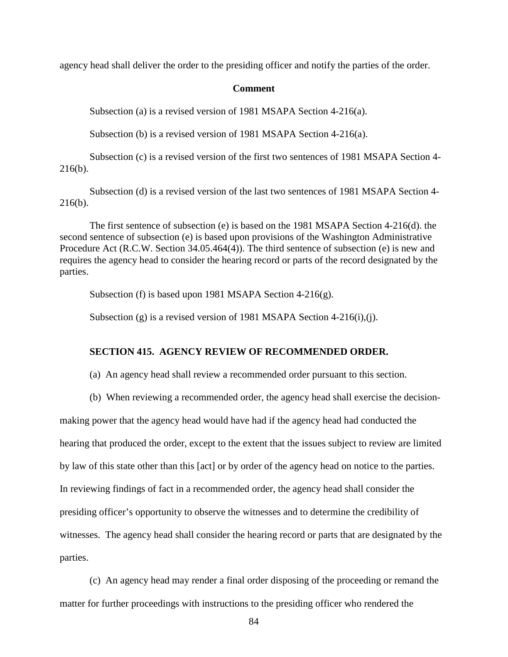agency head shall deliver the order to the presiding officer and notify the parties of the order.

#### **Comment**

Subsection (a) is a revised version of 1981 MSAPA Section 4-216(a).

Subsection (b) is a revised version of 1981 MSAPA Section 4-216(a).

Subsection (c) is a revised version of the first two sentences of 1981 MSAPA Section 4- 216(b).

Subsection (d) is a revised version of the last two sentences of 1981 MSAPA Section 4- 216(b).

The first sentence of subsection (e) is based on the 1981 MSAPA Section 4-216(d). the second sentence of subsection (e) is based upon provisions of the Washington Administrative Procedure Act (R.C.W. Section 34.05.464(4)). The third sentence of subsection (e) is new and requires the agency head to consider the hearing record or parts of the record designated by the parties.

Subsection (f) is based upon 1981 MSAPA Section 4-216(g).

Subsection (g) is a revised version of 1981 MSAPA Section 4-216(i),(j).

## **SECTION 415. AGENCY REVIEW OF RECOMMENDED ORDER.**

(a) An agency head shall review a recommended order pursuant to this section.

(b) When reviewing a recommended order, the agency head shall exercise the decision-

making power that the agency head would have had if the agency head had conducted the hearing that produced the order, except to the extent that the issues subject to review are limited by law of this state other than this [act] or by order of the agency head on notice to the parties. In reviewing findings of fact in a recommended order, the agency head shall consider the presiding officer's opportunity to observe the witnesses and to determine the credibility of witnesses. The agency head shall consider the hearing record or parts that are designated by the parties.

(c) An agency head may render a final order disposing of the proceeding or remand the matter for further proceedings with instructions to the presiding officer who rendered the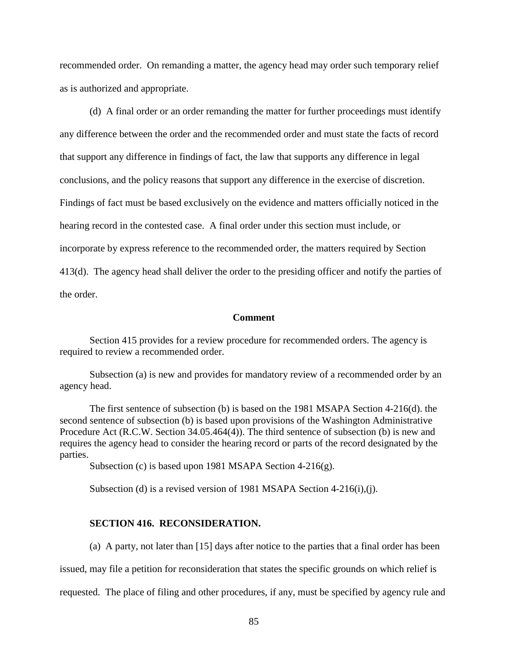recommended order. On remanding a matter, the agency head may order such temporary relief as is authorized and appropriate.

(d) A final order or an order remanding the matter for further proceedings must identify any difference between the order and the recommended order and must state the facts of record that support any difference in findings of fact, the law that supports any difference in legal conclusions, and the policy reasons that support any difference in the exercise of discretion. Findings of fact must be based exclusively on the evidence and matters officially noticed in the hearing record in the contested case. A final order under this section must include, or incorporate by express reference to the recommended order, the matters required by Section 413(d). The agency head shall deliver the order to the presiding officer and notify the parties of the order.

#### **Comment**

Section 415 provides for a review procedure for recommended orders. The agency is required to review a recommended order.

Subsection (a) is new and provides for mandatory review of a recommended order by an agency head.

The first sentence of subsection (b) is based on the 1981 MSAPA Section 4-216(d). the second sentence of subsection (b) is based upon provisions of the Washington Administrative Procedure Act (R.C.W. Section 34.05.464(4)). The third sentence of subsection (b) is new and requires the agency head to consider the hearing record or parts of the record designated by the parties.

Subsection (c) is based upon 1981 MSAPA Section 4-216(g).

Subsection (d) is a revised version of 1981 MSAPA Section 4-216(i),(j).

### **SECTION 416. RECONSIDERATION.**

(a) A party, not later than [15] days after notice to the parties that a final order has been

issued, may file a petition for reconsideration that states the specific grounds on which relief is

requested. The place of filing and other procedures, if any, must be specified by agency rule and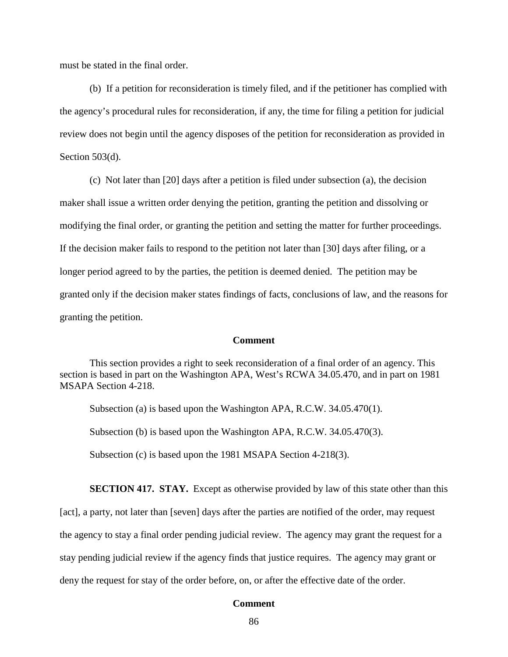must be stated in the final order.

(b) If a petition for reconsideration is timely filed, and if the petitioner has complied with the agency's procedural rules for reconsideration, if any, the time for filing a petition for judicial review does not begin until the agency disposes of the petition for reconsideration as provided in Section 503(d).

(c) Not later than [20] days after a petition is filed under subsection (a), the decision maker shall issue a written order denying the petition, granting the petition and dissolving or modifying the final order, or granting the petition and setting the matter for further proceedings. If the decision maker fails to respond to the petition not later than [30] days after filing, or a longer period agreed to by the parties, the petition is deemed denied. The petition may be granted only if the decision maker states findings of facts, conclusions of law, and the reasons for granting the petition.

## **Comment**

This section provides a right to seek reconsideration of a final order of an agency. This section is based in part on the Washington APA, West's RCWA 34.05.470, and in part on 1981 MSAPA Section 4-218.

Subsection (a) is based upon the Washington APA, R.C.W. 34.05.470(1). Subsection (b) is based upon the Washington APA, R.C.W. 34.05.470(3). Subsection (c) is based upon the 1981 MSAPA Section 4-218(3).

**SECTION 417. STAY.** Except as otherwise provided by law of this state other than this [act], a party, not later than [seven] days after the parties are notified of the order, may request the agency to stay a final order pending judicial review. The agency may grant the request for a stay pending judicial review if the agency finds that justice requires. The agency may grant or deny the request for stay of the order before, on, or after the effective date of the order.

# **Comment**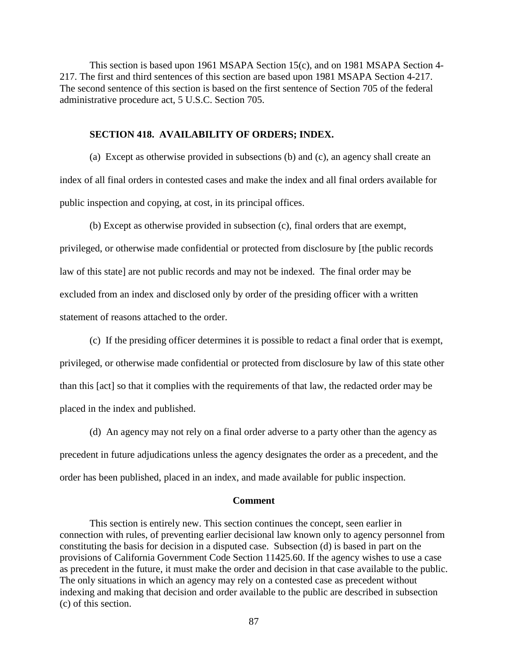This section is based upon 1961 MSAPA Section 15(c), and on 1981 MSAPA Section 4- 217. The first and third sentences of this section are based upon 1981 MSAPA Section 4-217. The second sentence of this section is based on the first sentence of Section 705 of the federal administrative procedure act, 5 U.S.C. Section 705.

### **SECTION 418. AVAILABILITY OF ORDERS; INDEX.**

(a) Except as otherwise provided in subsections (b) and (c), an agency shall create an index of all final orders in contested cases and make the index and all final orders available for public inspection and copying, at cost, in its principal offices.

(b) Except as otherwise provided in subsection (c), final orders that are exempt, privileged, or otherwise made confidential or protected from disclosure by [the public records law of this state] are not public records and may not be indexed. The final order may be excluded from an index and disclosed only by order of the presiding officer with a written statement of reasons attached to the order.

(c) If the presiding officer determines it is possible to redact a final order that is exempt, privileged, or otherwise made confidential or protected from disclosure by law of this state other than this [act] so that it complies with the requirements of that law, the redacted order may be placed in the index and published.

(d) An agency may not rely on a final order adverse to a party other than the agency as precedent in future adjudications unless the agency designates the order as a precedent, and the order has been published, placed in an index, and made available for public inspection.

#### **Comment**

This section is entirely new. This section continues the concept, seen earlier in connection with rules, of preventing earlier decisional law known only to agency personnel from constituting the basis for decision in a disputed case. Subsection (d) is based in part on the provisions of California Government Code Section 11425.60. If the agency wishes to use a case as precedent in the future, it must make the order and decision in that case available to the public. The only situations in which an agency may rely on a contested case as precedent without indexing and making that decision and order available to the public are described in subsection (c) of this section.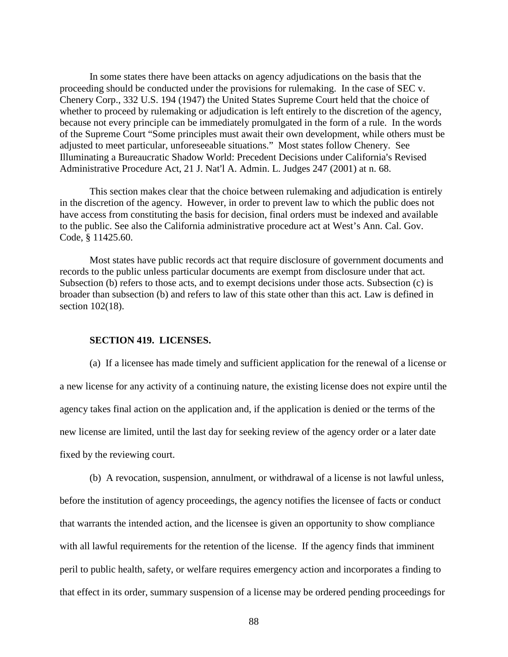In some states there have been attacks on agency adjudications on the basis that the proceeding should be conducted under the provisions for rulemaking. In the case of SEC v. Chenery Corp., 332 U.S. 194 (1947) the United States Supreme Court held that the choice of whether to proceed by rulemaking or adjudication is left entirely to the discretion of the agency, because not every principle can be immediately promulgated in the form of a rule. In the words of the Supreme Court "Some principles must await their own development, while others must be adjusted to meet particular, unforeseeable situations." Most states follow Chenery. See Illuminating a Bureaucratic Shadow World: Precedent Decisions under California's Revised Administrative Procedure Act, 21 J. Nat'l A. Admin. L. Judges 247 (2001) at n. 68.

This section makes clear that the choice between rulemaking and adjudication is entirely in the discretion of the agency. However, in order to prevent law to which the public does not have access from constituting the basis for decision, final orders must be indexed and available to the public. See also the California administrative procedure act at West's Ann. Cal. Gov. Code, § 11425.60.

Most states have public records act that require disclosure of government documents and records to the public unless particular documents are exempt from disclosure under that act. Subsection (b) refers to those acts, and to exempt decisions under those acts. Subsection (c) is broader than subsection (b) and refers to law of this state other than this act. Law is defined in section 102(18).

#### **SECTION 419. LICENSES.**

(a) If a licensee has made timely and sufficient application for the renewal of a license or a new license for any activity of a continuing nature, the existing license does not expire until the agency takes final action on the application and, if the application is denied or the terms of the new license are limited, until the last day for seeking review of the agency order or a later date fixed by the reviewing court.

(b) A revocation, suspension, annulment, or withdrawal of a license is not lawful unless, before the institution of agency proceedings, the agency notifies the licensee of facts or conduct that warrants the intended action, and the licensee is given an opportunity to show compliance with all lawful requirements for the retention of the license. If the agency finds that imminent peril to public health, safety, or welfare requires emergency action and incorporates a finding to that effect in its order, summary suspension of a license may be ordered pending proceedings for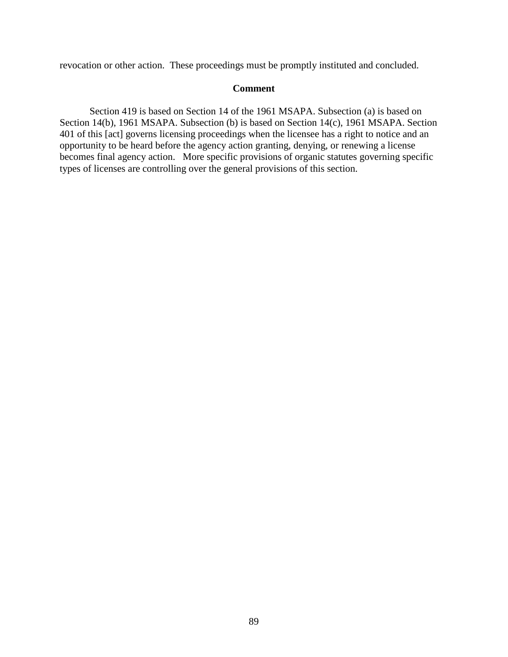revocation or other action. These proceedings must be promptly instituted and concluded.

## **Comment**

Section 419 is based on Section 14 of the 1961 MSAPA. Subsection (a) is based on Section 14(b), 1961 MSAPA. Subsection (b) is based on Section 14(c), 1961 MSAPA. Section 401 of this [act] governs licensing proceedings when the licensee has a right to notice and an opportunity to be heard before the agency action granting, denying, or renewing a license becomes final agency action. More specific provisions of organic statutes governing specific types of licenses are controlling over the general provisions of this section.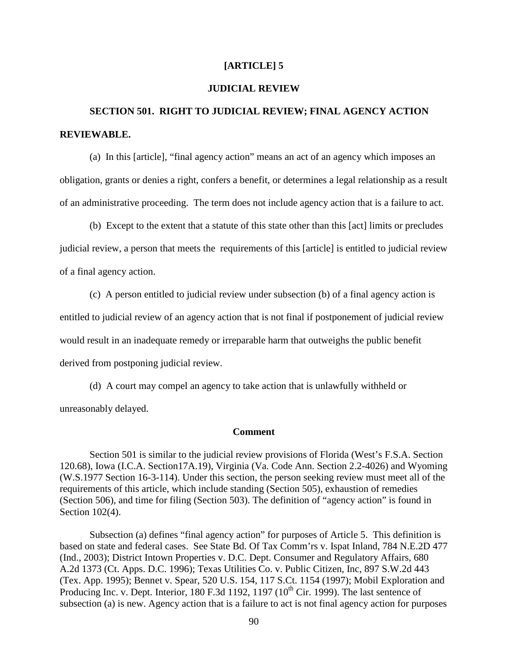## **[ARTICLE] 5**

# **JUDICIAL REVIEW**

# **SECTION 501. RIGHT TO JUDICIAL REVIEW; FINAL AGENCY ACTION REVIEWABLE.**

(a) In this [article], "final agency action" means an act of an agency which imposes an obligation, grants or denies a right, confers a benefit, or determines a legal relationship as a result of an administrative proceeding. The term does not include agency action that is a failure to act.

(b) Except to the extent that a statute of this state other than this [act] limits or precludes judicial review, a person that meets the requirements of this [article] is entitled to judicial review of a final agency action.

(c) A person entitled to judicial review under subsection (b) of a final agency action is entitled to judicial review of an agency action that is not final if postponement of judicial review would result in an inadequate remedy or irreparable harm that outweighs the public benefit derived from postponing judicial review.

(d) A court may compel an agency to take action that is unlawfully withheld or unreasonably delayed.

# **Comment**

Section 501 is similar to the judicial review provisions of Florida (West's F.S.A. Section 120.68), Iowa (I.C.A. Section17A.19), Virginia (Va. Code Ann. Section 2.2-4026) and Wyoming (W.S.1977 Section 16-3-114). Under this section, the person seeking review must meet all of the requirements of this article, which include standing (Section 505), exhaustion of remedies (Section 506), and time for filing (Section 503). The definition of "agency action" is found in Section 102(4).

Subsection (a) defines "final agency action" for purposes of Article 5. This definition is based on state and federal cases. See State Bd. Of Tax Comm'rs v. Ispat Inland, 784 N.E.2D 477 (Ind., 2003); District Intown Properties v. D.C. Dept. Consumer and Regulatory Affairs, 680 A.2d 1373 (Ct. Apps. D.C. 1996); Texas Utilities Co. v. Public Citizen, Inc, 897 S.W.2d 443 (Tex. App. 1995); Bennet v. Spear, 520 U.S. 154, 117 S.Ct. 1154 (1997); Mobil Exploration and Producing Inc. v. Dept. Interior, 180 F.3d 1192,  $1197$  ( $10^{th}$  Cir. 1999). The last sentence of subsection (a) is new. Agency action that is a failure to act is not final agency action for purposes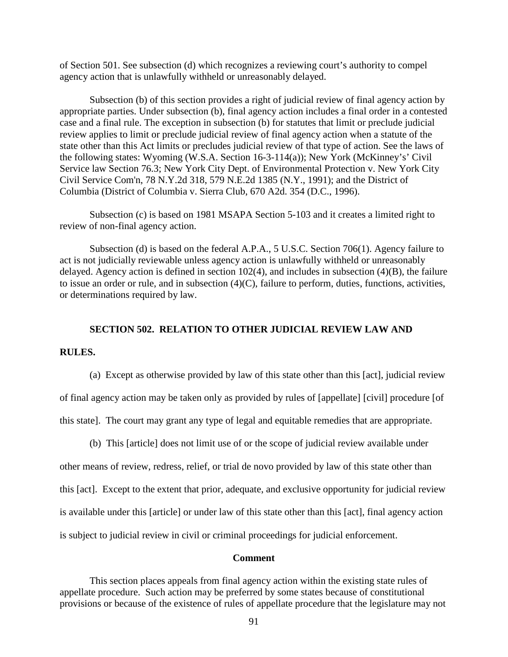of Section 501. See subsection (d) which recognizes a reviewing court's authority to compel agency action that is unlawfully withheld or unreasonably delayed.

Subsection (b) of this section provides a right of judicial review of final agency action by appropriate parties. Under subsection (b), final agency action includes a final order in a contested case and a final rule. The exception in subsection (b) for statutes that limit or preclude judicial review applies to limit or preclude judicial review of final agency action when a statute of the state other than this Act limits or precludes judicial review of that type of action. See the laws of the following states: Wyoming (W.S.A. Section 16-3-114(a)); New York (McKinney's' Civil Service law Section 76.3; New York City Dept. of Environmental Protection v. New York City Civil Service Com'n, 78 N.Y.2d 318, 579 N.E.2d 1385 (N.Y., 1991); and the District of Columbia (District of Columbia v. Sierra Club, 670 A2d. 354 (D.C., 1996).

Subsection (c) is based on 1981 MSAPA Section 5-103 and it creates a limited right to review of non-final agency action.

Subsection (d) is based on the federal A.P.A., 5 U.S.C. Section 706(1). Agency failure to act is not judicially reviewable unless agency action is unlawfully withheld or unreasonably delayed. Agency action is defined in section 102(4), and includes in subsection (4)(B), the failure to issue an order or rule, and in subsection (4)(C), failure to perform, duties, functions, activities, or determinations required by law.

# **SECTION 502. RELATION TO OTHER JUDICIAL REVIEW LAW AND**

## **RULES.**

(a) Except as otherwise provided by law of this state other than this [act], judicial review of final agency action may be taken only as provided by rules of [appellate] [civil] procedure [of this state]. The court may grant any type of legal and equitable remedies that are appropriate.

(b) This [article] does not limit use of or the scope of judicial review available under other means of review, redress, relief, or trial de novo provided by law of this state other than this [act]. Except to the extent that prior, adequate, and exclusive opportunity for judicial review is available under this [article] or under law of this state other than this [act], final agency action is subject to judicial review in civil or criminal proceedings for judicial enforcement.

#### **Comment**

This section places appeals from final agency action within the existing state rules of appellate procedure. Such action may be preferred by some states because of constitutional provisions or because of the existence of rules of appellate procedure that the legislature may not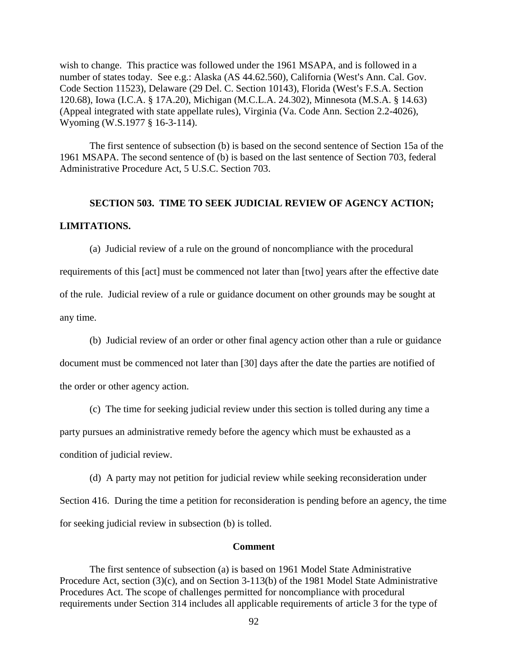wish to change. This practice was followed under the 1961 MSAPA, and is followed in a number of states today. See e.g.: Alaska (AS 44.62.560), California (West's Ann. Cal. Gov. Code Section 11523), Delaware (29 Del. C. Section 10143), Florida (West's F.S.A. Section 120.68), Iowa (I.C.A. § 17A.20), Michigan (M.C.L.A. 24.302), Minnesota (M.S.A. § 14.63) (Appeal integrated with state appellate rules), Virginia (Va. Code Ann. Section 2.2-4026), Wyoming (W.S.1977 § 16-3-114).

The first sentence of subsection (b) is based on the second sentence of Section 15a of the 1961 MSAPA. The second sentence of (b) is based on the last sentence of Section 703, federal Administrative Procedure Act, 5 U.S.C. Section 703.

# **SECTION 503. TIME TO SEEK JUDICIAL REVIEW OF AGENCY ACTION; LIMITATIONS.**

(a) Judicial review of a rule on the ground of noncompliance with the procedural requirements of this [act] must be commenced not later than [two] years after the effective date of the rule. Judicial review of a rule or guidance document on other grounds may be sought at any time.

(b) Judicial review of an order or other final agency action other than a rule or guidance

document must be commenced not later than [30] days after the date the parties are notified of the order or other agency action.

(c) The time for seeking judicial review under this section is tolled during any time a

party pursues an administrative remedy before the agency which must be exhausted as a condition of judicial review.

(d) A party may not petition for judicial review while seeking reconsideration under

Section 416. During the time a petition for reconsideration is pending before an agency, the time for seeking judicial review in subsection (b) is tolled.

#### **Comment**

The first sentence of subsection (a) is based on 1961 Model State Administrative Procedure Act, section (3)(c), and on Section 3-113(b) of the 1981 Model State Administrative Procedures Act. The scope of challenges permitted for noncompliance with procedural requirements under Section 314 includes all applicable requirements of article 3 for the type of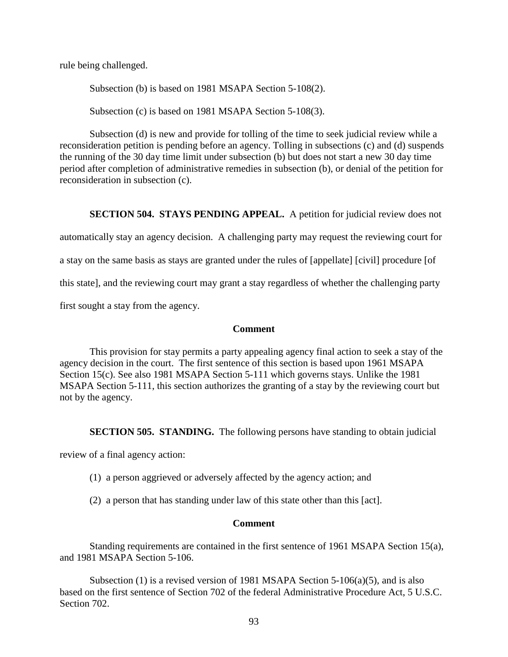rule being challenged.

Subsection (b) is based on 1981 MSAPA Section 5-108(2).

Subsection (c) is based on 1981 MSAPA Section 5-108(3).

Subsection (d) is new and provide for tolling of the time to seek judicial review while a reconsideration petition is pending before an agency. Tolling in subsections (c) and (d) suspends the running of the 30 day time limit under subsection (b) but does not start a new 30 day time period after completion of administrative remedies in subsection (b), or denial of the petition for reconsideration in subsection (c).

# **SECTION 504. STAYS PENDING APPEAL.** A petition for judicial review does not

automatically stay an agency decision. A challenging party may request the reviewing court for

a stay on the same basis as stays are granted under the rules of [appellate] [civil] procedure [of

this state], and the reviewing court may grant a stay regardless of whether the challenging party

first sought a stay from the agency.

# **Comment**

This provision for stay permits a party appealing agency final action to seek a stay of the agency decision in the court. The first sentence of this section is based upon 1961 MSAPA Section 15(c). See also 1981 MSAPA Section 5-111 which governs stays. Unlike the 1981 MSAPA Section 5-111, this section authorizes the granting of a stay by the reviewing court but not by the agency.

**SECTION 505. STANDING.** The following persons have standing to obtain judicial

review of a final agency action:

- (1) a person aggrieved or adversely affected by the agency action; and
- (2) a person that has standing under law of this state other than this [act].

# **Comment**

Standing requirements are contained in the first sentence of 1961 MSAPA Section 15(a), and 1981 MSAPA Section 5-106.

Subsection (1) is a revised version of 1981 MSAPA Section  $5-106(a)(5)$ , and is also based on the first sentence of Section 702 of the federal Administrative Procedure Act, 5 U.S.C. Section 702.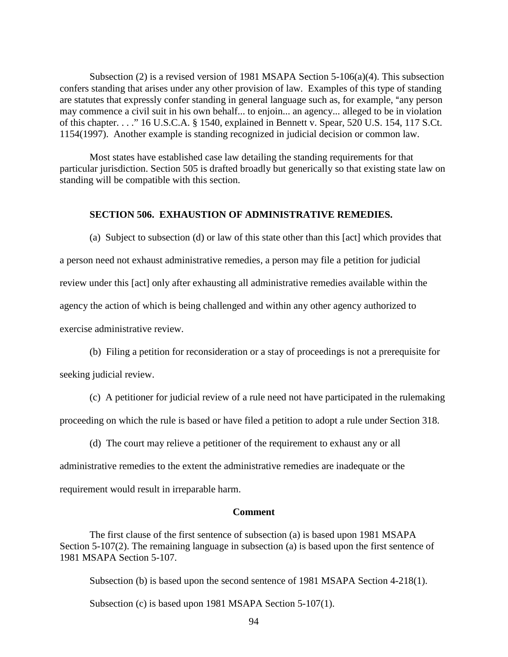Subsection (2) is a revised version of 1981 MSAPA Section 5-106(a)(4). This subsection confers standing that arises under any other provision of law. Examples of this type of standing are statutes that expressly confer standing in general language such as, for example, "any person" may commence a civil suit in his own behalf... to enjoin... an agency... alleged to be in violation of this chapter. . . ." 16 U.S.C.A. § 1540, explained in Bennett v. Spear, 520 U.S. 154, 117 S.Ct. 1154(1997). Another example is standing recognized in judicial decision or common law.

Most states have established case law detailing the standing requirements for that particular jurisdiction. Section 505 is drafted broadly but generically so that existing state law on standing will be compatible with this section.

# **SECTION 506. EXHAUSTION OF ADMINISTRATIVE REMEDIES.**

(a) Subject to subsection (d) or law of this state other than this [act] which provides that a person need not exhaust administrative remedies, a person may file a petition for judicial review under this [act] only after exhausting all administrative remedies available within the agency the action of which is being challenged and within any other agency authorized to exercise administrative review.

(b) Filing a petition for reconsideration or a stay of proceedings is not a prerequisite for seeking judicial review.

(c) A petitioner for judicial review of a rule need not have participated in the rulemaking

proceeding on which the rule is based or have filed a petition to adopt a rule under Section 318.

(d) The court may relieve a petitioner of the requirement to exhaust any or all administrative remedies to the extent the administrative remedies are inadequate or the requirement would result in irreparable harm.

# **Comment**

The first clause of the first sentence of subsection (a) is based upon 1981 MSAPA Section 5-107(2). The remaining language in subsection (a) is based upon the first sentence of 1981 MSAPA Section 5-107.

Subsection (b) is based upon the second sentence of 1981 MSAPA Section 4-218(1). Subsection (c) is based upon 1981 MSAPA Section 5-107(1).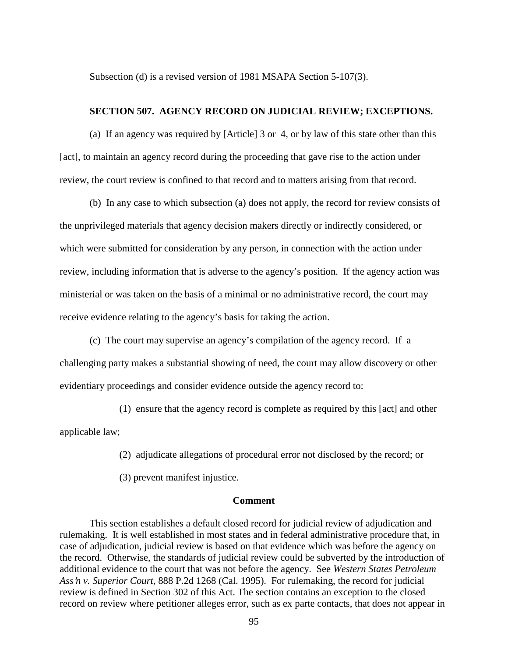Subsection (d) is a revised version of 1981 MSAPA Section 5-107(3).

# **SECTION 507. AGENCY RECORD ON JUDICIAL REVIEW; EXCEPTIONS.**

(a) If an agency was required by [Article] 3 or 4, or by law of this state other than this [act], to maintain an agency record during the proceeding that gave rise to the action under review, the court review is confined to that record and to matters arising from that record.

(b) In any case to which subsection (a) does not apply, the record for review consists of the unprivileged materials that agency decision makers directly or indirectly considered, or which were submitted for consideration by any person, in connection with the action under review, including information that is adverse to the agency's position. If the agency action was ministerial or was taken on the basis of a minimal or no administrative record, the court may receive evidence relating to the agency's basis for taking the action.

(c) The court may supervise an agency's compilation of the agency record. If a challenging party makes a substantial showing of need, the court may allow discovery or other evidentiary proceedings and consider evidence outside the agency record to:

(1) ensure that the agency record is complete as required by this [act] and other applicable law;

(2) adjudicate allegations of procedural error not disclosed by the record; or

(3) prevent manifest injustice.

#### **Comment**

This section establishes a default closed record for judicial review of adjudication and rulemaking. It is well established in most states and in federal administrative procedure that, in case of adjudication, judicial review is based on that evidence which was before the agency on the record. Otherwise, the standards of judicial review could be subverted by the introduction of additional evidence to the court that was not before the agency. See *Western States Petroleum Ass*=*n v. Superior Court*, 888 P.2d 1268 (Cal. 1995). For rulemaking, the record for judicial review is defined in Section 302 of this Act. The section contains an exception to the closed record on review where petitioner alleges error, such as ex parte contacts, that does not appear in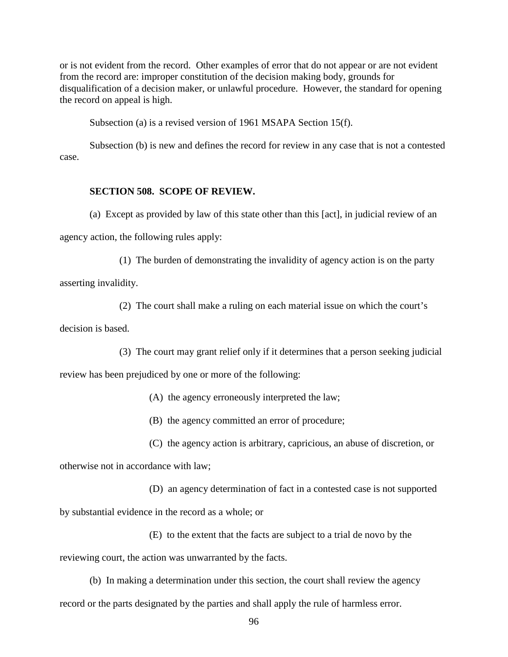or is not evident from the record. Other examples of error that do not appear or are not evident from the record are: improper constitution of the decision making body, grounds for disqualification of a decision maker, or unlawful procedure. However, the standard for opening the record on appeal is high.

Subsection (a) is a revised version of 1961 MSAPA Section 15(f).

Subsection (b) is new and defines the record for review in any case that is not a contested case.

# **SECTION 508. SCOPE OF REVIEW.**

(a) Except as provided by law of this state other than this [act], in judicial review of an agency action, the following rules apply:

(1) The burden of demonstrating the invalidity of agency action is on the party

asserting invalidity.

(2) The court shall make a ruling on each material issue on which the court's

decision is based.

(3) The court may grant relief only if it determines that a person seeking judicial

review has been prejudiced by one or more of the following:

(A) the agency erroneously interpreted the law;

- (B) the agency committed an error of procedure;
- (C) the agency action is arbitrary, capricious, an abuse of discretion, or

otherwise not in accordance with law;

(D) an agency determination of fact in a contested case is not supported

by substantial evidence in the record as a whole; or

(E) to the extent that the facts are subject to a trial de novo by the

reviewing court, the action was unwarranted by the facts.

(b) In making a determination under this section, the court shall review the agency record or the parts designated by the parties and shall apply the rule of harmless error.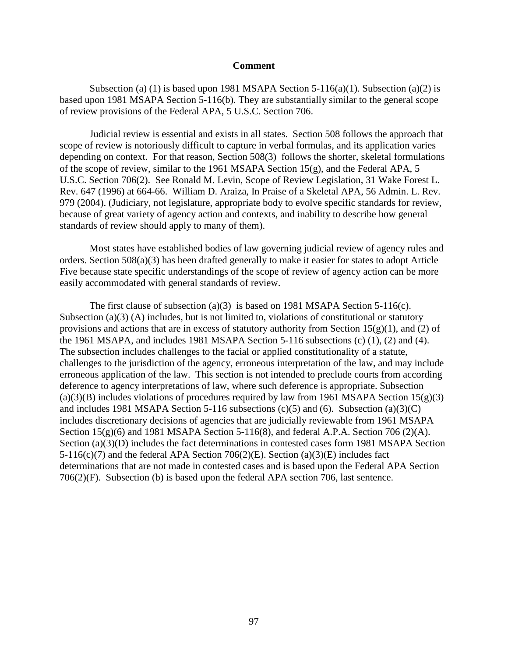#### **Comment**

Subsection (a) (1) is based upon 1981 MSAPA Section 5-116(a)(1). Subsection (a)(2) is based upon 1981 MSAPA Section 5-116(b). They are substantially similar to the general scope of review provisions of the Federal APA, 5 U.S.C. Section 706.

Judicial review is essential and exists in all states. Section 508 follows the approach that scope of review is notoriously difficult to capture in verbal formulas, and its application varies depending on context. For that reason, Section 508(3) follows the shorter, skeletal formulations of the scope of review, similar to the 1961 MSAPA Section 15(g), and the Federal APA, 5 U.S.C. Section 706(2). See Ronald M. Levin, Scope of Review Legislation, 31 Wake Forest L. Rev. 647 (1996) at 664-66. William D. Araiza, In Praise of a Skeletal APA, 56 Admin. L. Rev. 979 (2004). (Judiciary, not legislature, appropriate body to evolve specific standards for review, because of great variety of agency action and contexts, and inability to describe how general standards of review should apply to many of them).

Most states have established bodies of law governing judicial review of agency rules and orders. Section 508(a)(3) has been drafted generally to make it easier for states to adopt Article Five because state specific understandings of the scope of review of agency action can be more easily accommodated with general standards of review.

The first clause of subsection (a)(3) is based on 1981 MSAPA Section 5-116(c). Subsection (a)(3) (A) includes, but is not limited to, violations of constitutional or statutory provisions and actions that are in excess of statutory authority from Section 15(g)(1), and (2) of the 1961 MSAPA, and includes 1981 MSAPA Section 5-116 subsections (c)  $(1)$ ,  $(2)$  and  $(4)$ . The subsection includes challenges to the facial or applied constitutionality of a statute, challenges to the jurisdiction of the agency, erroneous interpretation of the law, and may include erroneous application of the law. This section is not intended to preclude courts from according deference to agency interpretations of law, where such deference is appropriate. Subsection (a)(3)(B) includes violations of procedures required by law from 1961 MSAPA Section  $15(g)(3)$ and includes 1981 MSAPA Section 5-116 subsections  $(c)(5)$  and  $(6)$ . Subsection  $(a)(3)(C)$ includes discretionary decisions of agencies that are judicially reviewable from 1961 MSAPA Section 15(g)(6) and 1981 MSAPA Section 5-116(8), and federal A.P.A. Section 706 (2)(A). Section (a)(3)(D) includes the fact determinations in contested cases form 1981 MSAPA Section  $5-116(c)(7)$  and the federal APA Section 706(2)(E). Section (a)(3)(E) includes fact determinations that are not made in contested cases and is based upon the Federal APA Section 706(2)(F). Subsection (b) is based upon the federal APA section 706, last sentence.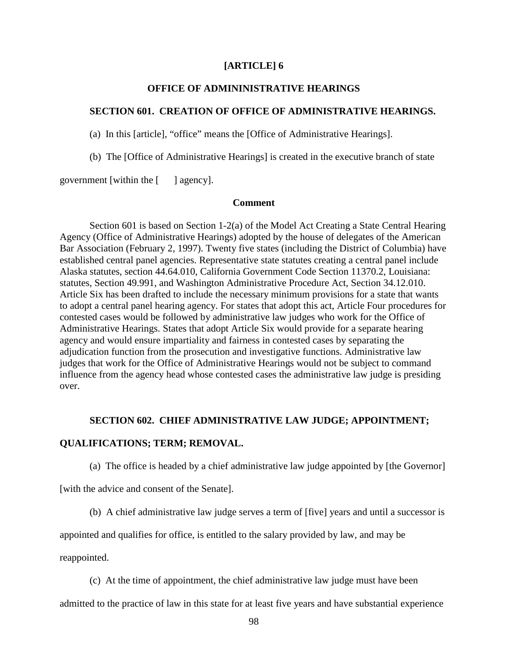# **[ARTICLE] 6**

## **OFFICE OF ADMININISTRATIVE HEARINGS**

# **SECTION 601. CREATION OF OFFICE OF ADMINISTRATIVE HEARINGS.**

(a) In this [article], "office" means the [Office of Administrative Hearings].

(b) The [Office of Administrative Hearings] is created in the executive branch of state

government [within the [ ] agency].

#### **Comment**

Section 601 is based on Section 1-2(a) of the Model Act Creating a State Central Hearing Agency (Office of Administrative Hearings) adopted by the house of delegates of the American Bar Association (February 2, 1997). Twenty five states (including the District of Columbia) have established central panel agencies. Representative state statutes creating a central panel include Alaska statutes, section 44.64.010, California Government Code Section 11370.2, Louisiana: statutes, Section 49.991, and Washington Administrative Procedure Act, Section 34.12.010. Article Six has been drafted to include the necessary minimum provisions for a state that wants to adopt a central panel hearing agency. For states that adopt this act, Article Four procedures for contested cases would be followed by administrative law judges who work for the Office of Administrative Hearings. States that adopt Article Six would provide for a separate hearing agency and would ensure impartiality and fairness in contested cases by separating the adjudication function from the prosecution and investigative functions. Administrative law judges that work for the Office of Administrative Hearings would not be subject to command influence from the agency head whose contested cases the administrative law judge is presiding over.

#### **SECTION 602. CHIEF ADMINISTRATIVE LAW JUDGE; APPOINTMENT;**

# **QUALIFICATIONS; TERM; REMOVAL.**

(a) The office is headed by a chief administrative law judge appointed by [the Governor]

[with the advice and consent of the Senate].

(b) A chief administrative law judge serves a term of [five] years and until a successor is

appointed and qualifies for office, is entitled to the salary provided by law, and may be

reappointed.

(c) At the time of appointment, the chief administrative law judge must have been

admitted to the practice of law in this state for at least five years and have substantial experience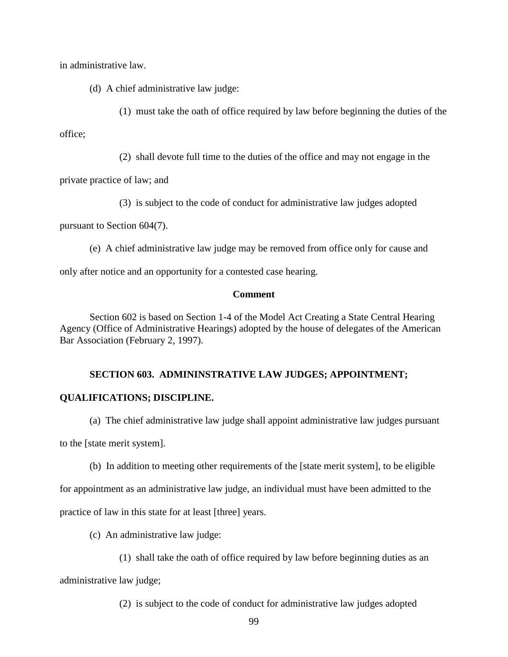in administrative law.

(d) A chief administrative law judge:

(1) must take the oath of office required by law before beginning the duties of the

office;

(2) shall devote full time to the duties of the office and may not engage in the

private practice of law; and

(3) is subject to the code of conduct for administrative law judges adopted

pursuant to Section 604(7).

(e) A chief administrative law judge may be removed from office only for cause and

only after notice and an opportunity for a contested case hearing.

#### **Comment**

Section 602 is based on Section 1-4 of the Model Act Creating a State Central Hearing Agency (Office of Administrative Hearings) adopted by the house of delegates of the American Bar Association (February 2, 1997).

## **SECTION 603. ADMININSTRATIVE LAW JUDGES; APPOINTMENT;**

# **QUALIFICATIONS; DISCIPLINE.**

(a) The chief administrative law judge shall appoint administrative law judges pursuant to the [state merit system].

(b) In addition to meeting other requirements of the [state merit system], to be eligible

for appointment as an administrative law judge, an individual must have been admitted to the

practice of law in this state for at least [three] years.

(c) An administrative law judge:

(1) shall take the oath of office required by law before beginning duties as an administrative law judge;

(2) is subject to the code of conduct for administrative law judges adopted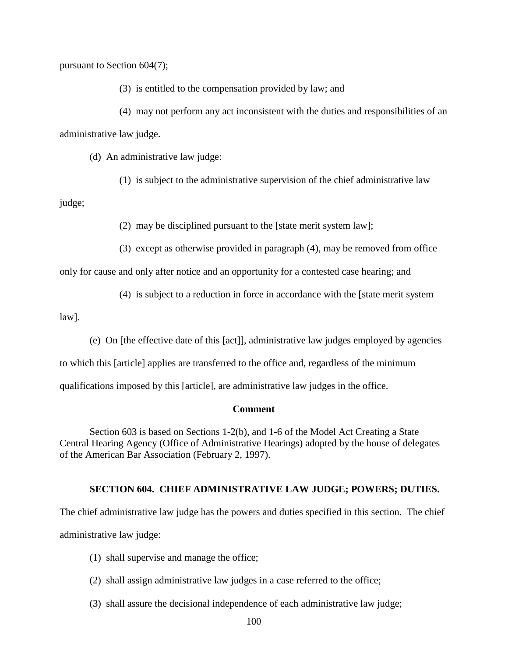pursuant to Section 604(7);

(3) is entitled to the compensation provided by law; and

(4) may not perform any act inconsistent with the duties and responsibilities of an administrative law judge.

(d) An administrative law judge:

(1) is subject to the administrative supervision of the chief administrative law

judge;

(2) may be disciplined pursuant to the [state merit system law];

(3) except as otherwise provided in paragraph (4), may be removed from office

only for cause and only after notice and an opportunity for a contested case hearing; and

(4) is subject to a reduction in force in accordance with the [state merit system

law].

(e) On [the effective date of this [act]], administrative law judges employed by agencies

to which this [article] applies are transferred to the office and, regardless of the minimum

qualifications imposed by this [article], are administrative law judges in the office.

#### **Comment**

Section 603 is based on Sections 1-2(b), and 1-6 of the Model Act Creating a State Central Hearing Agency (Office of Administrative Hearings) adopted by the house of delegates of the American Bar Association (February 2, 1997).

#### **SECTION 604. CHIEF ADMINISTRATIVE LAW JUDGE; POWERS; DUTIES.**

The chief administrative law judge has the powers and duties specified in this section. The chief administrative law judge:

- (1) shall supervise and manage the office;
- (2) shall assign administrative law judges in a case referred to the office;
- (3) shall assure the decisional independence of each administrative law judge;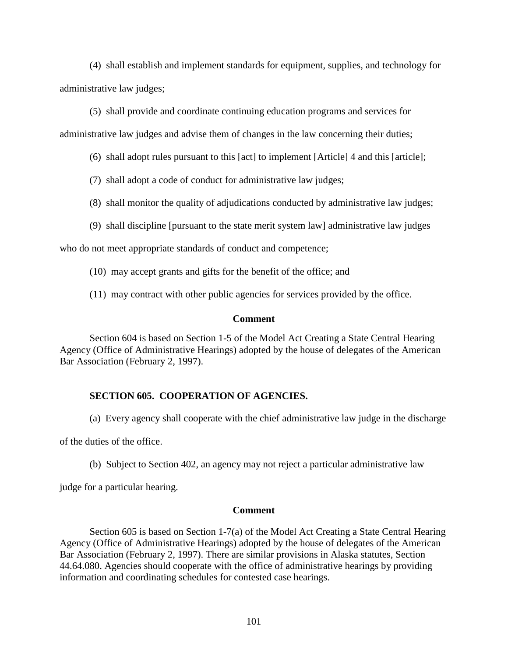(4) shall establish and implement standards for equipment, supplies, and technology for administrative law judges;

(5) shall provide and coordinate continuing education programs and services for

administrative law judges and advise them of changes in the law concerning their duties;

- (6) shall adopt rules pursuant to this [act] to implement [Article] 4 and this [article];
- (7) shall adopt a code of conduct for administrative law judges;
- (8) shall monitor the quality of adjudications conducted by administrative law judges;
- (9) shall discipline [pursuant to the state merit system law] administrative law judges

who do not meet appropriate standards of conduct and competence;

- (10) may accept grants and gifts for the benefit of the office; and
- (11) may contract with other public agencies for services provided by the office.

#### **Comment**

Section 604 is based on Section 1-5 of the Model Act Creating a State Central Hearing Agency (Office of Administrative Hearings) adopted by the house of delegates of the American Bar Association (February 2, 1997).

#### **SECTION 605. COOPERATION OF AGENCIES.**

(a) Every agency shall cooperate with the chief administrative law judge in the discharge

of the duties of the office.

(b) Subject to Section 402, an agency may not reject a particular administrative law

judge for a particular hearing.

#### **Comment**

Section 605 is based on Section 1-7(a) of the Model Act Creating a State Central Hearing Agency (Office of Administrative Hearings) adopted by the house of delegates of the American Bar Association (February 2, 1997). There are similar provisions in Alaska statutes, Section 44.64.080. Agencies should cooperate with the office of administrative hearings by providing information and coordinating schedules for contested case hearings.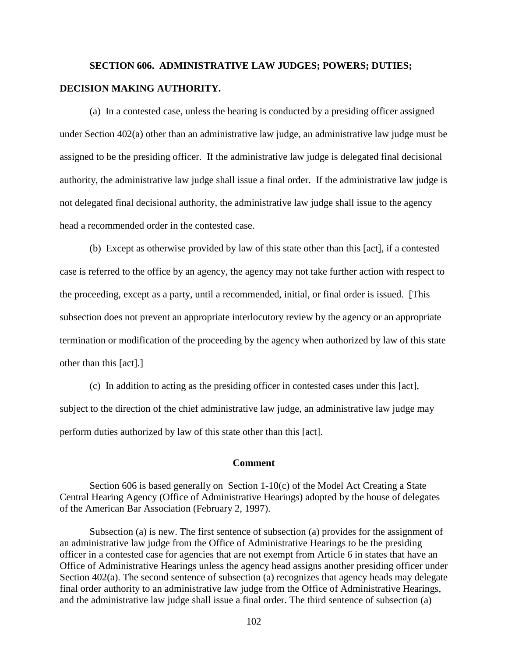# **SECTION 606. ADMINISTRATIVE LAW JUDGES; POWERS; DUTIES; DECISION MAKING AUTHORITY.**

(a) In a contested case, unless the hearing is conducted by a presiding officer assigned under Section 402(a) other than an administrative law judge, an administrative law judge must be assigned to be the presiding officer. If the administrative law judge is delegated final decisional authority, the administrative law judge shall issue a final order. If the administrative law judge is not delegated final decisional authority, the administrative law judge shall issue to the agency head a recommended order in the contested case.

(b) Except as otherwise provided by law of this state other than this [act], if a contested case is referred to the office by an agency, the agency may not take further action with respect to the proceeding, except as a party, until a recommended, initial, or final order is issued. [This subsection does not prevent an appropriate interlocutory review by the agency or an appropriate termination or modification of the proceeding by the agency when authorized by law of this state other than this [act].]

(c) In addition to acting as the presiding officer in contested cases under this [act], subject to the direction of the chief administrative law judge, an administrative law judge may perform duties authorized by law of this state other than this [act].

## **Comment**

Section 606 is based generally on Section 1-10(c) of the Model Act Creating a State Central Hearing Agency (Office of Administrative Hearings) adopted by the house of delegates of the American Bar Association (February 2, 1997).

Subsection (a) is new. The first sentence of subsection (a) provides for the assignment of an administrative law judge from the Office of Administrative Hearings to be the presiding officer in a contested case for agencies that are not exempt from Article 6 in states that have an Office of Administrative Hearings unless the agency head assigns another presiding officer under Section 402(a). The second sentence of subsection (a) recognizes that agency heads may delegate final order authority to an administrative law judge from the Office of Administrative Hearings, and the administrative law judge shall issue a final order. The third sentence of subsection (a)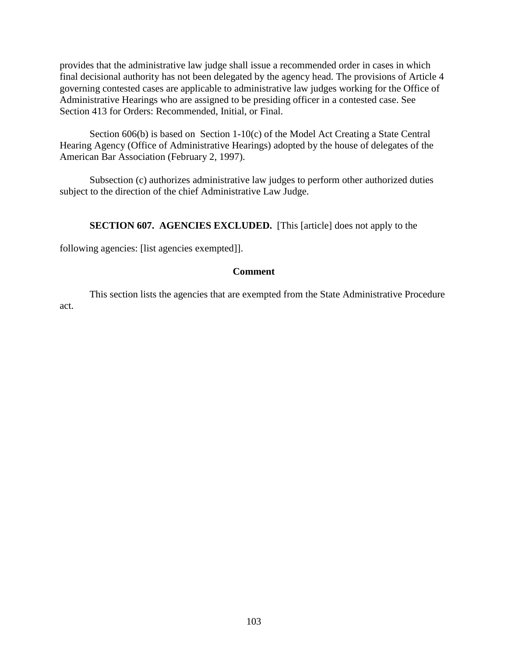provides that the administrative law judge shall issue a recommended order in cases in which final decisional authority has not been delegated by the agency head. The provisions of Article 4 governing contested cases are applicable to administrative law judges working for the Office of Administrative Hearings who are assigned to be presiding officer in a contested case. See Section 413 for Orders: Recommended, Initial, or Final.

Section 606(b) is based on Section 1-10(c) of the Model Act Creating a State Central Hearing Agency (Office of Administrative Hearings) adopted by the house of delegates of the American Bar Association (February 2, 1997).

Subsection (c) authorizes administrative law judges to perform other authorized duties subject to the direction of the chief Administrative Law Judge.

# **SECTION 607. AGENCIES EXCLUDED.** [This [article] does not apply to the

following agencies: [list agencies exempted]].

# **Comment**

This section lists the agencies that are exempted from the State Administrative Procedure act.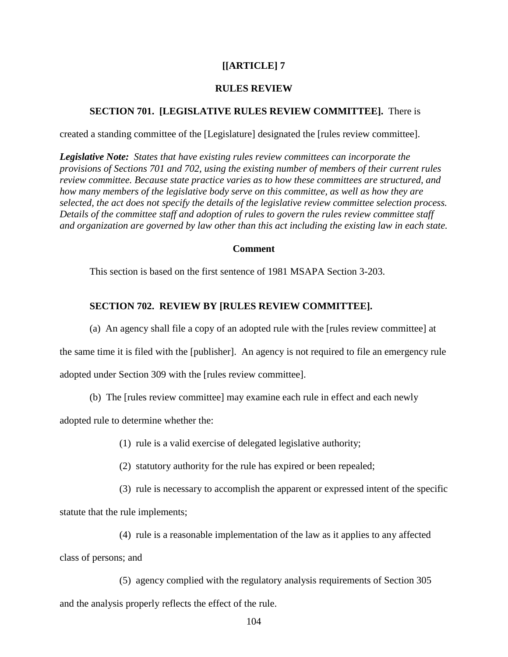## **[[ARTICLE] 7**

# **RULES REVIEW**

## **SECTION 701. [LEGISLATIVE RULES REVIEW COMMITTEE].** There is

created a standing committee of the [Legislature] designated the [rules review committee].

*Legislative Note: States that have existing rules review committees can incorporate the provisions of Sections 701 and 702, using the existing number of members of their current rules review committee. Because state practice varies as to how these committees are structured, and how many members of the legislative body serve on this committee, as well as how they are selected, the act does not specify the details of the legislative review committee selection process. Details of the committee staff and adoption of rules to govern the rules review committee staff and organization are governed by law other than this act including the existing law in each state.*

#### **Comment**

This section is based on the first sentence of 1981 MSAPA Section 3-203.

### **SECTION 702. REVIEW BY [RULES REVIEW COMMITTEE].**

(a) An agency shall file a copy of an adopted rule with the [rules review committee] at

the same time it is filed with the [publisher]. An agency is not required to file an emergency rule

adopted under Section 309 with the [rules review committee].

(b) The [rules review committee] may examine each rule in effect and each newly

adopted rule to determine whether the:

- (1) rule is a valid exercise of delegated legislative authority;
- (2) statutory authority for the rule has expired or been repealed;
- (3) rule is necessary to accomplish the apparent or expressed intent of the specific

statute that the rule implements;

(4) rule is a reasonable implementation of the law as it applies to any affected

class of persons; and

(5) agency complied with the regulatory analysis requirements of Section 305 and the analysis properly reflects the effect of the rule.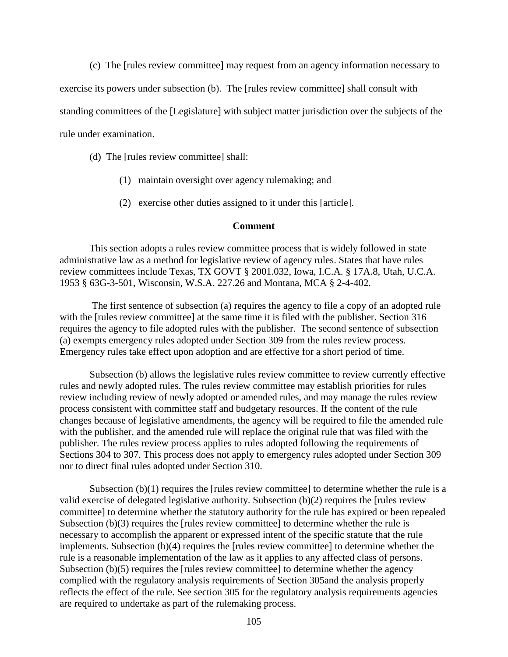(c) The [rules review committee] may request from an agency information necessary to

exercise its powers under subsection (b). The [rules review committee] shall consult with

standing committees of the [Legislature] with subject matter jurisdiction over the subjects of the

rule under examination.

(d) The [rules review committee] shall:

- (1) maintain oversight over agency rulemaking; and
- (2) exercise other duties assigned to it under this [article].

#### **Comment**

This section adopts a rules review committee process that is widely followed in state administrative law as a method for legislative review of agency rules. States that have rules review committees include Texas, TX GOVT § 2001.032, Iowa, I.C.A. § 17A.8, Utah, U.C.A. 1953 § 63G-3-501, Wisconsin, W.S.A. 227.26 and Montana, MCA § 2-4-402.

The first sentence of subsection (a) requires the agency to file a copy of an adopted rule with the [rules review committee] at the same time it is filed with the publisher. Section 316 requires the agency to file adopted rules with the publisher. The second sentence of subsection (a) exempts emergency rules adopted under Section 309 from the rules review process. Emergency rules take effect upon adoption and are effective for a short period of time.

Subsection (b) allows the legislative rules review committee to review currently effective rules and newly adopted rules. The rules review committee may establish priorities for rules review including review of newly adopted or amended rules, and may manage the rules review process consistent with committee staff and budgetary resources. If the content of the rule changes because of legislative amendments, the agency will be required to file the amended rule with the publisher, and the amended rule will replace the original rule that was filed with the publisher. The rules review process applies to rules adopted following the requirements of Sections 304 to 307. This process does not apply to emergency rules adopted under Section 309 nor to direct final rules adopted under Section 310.

Subsection  $(b)(1)$  requires the [rules review committee] to determine whether the rule is a valid exercise of delegated legislative authority. Subsection (b)(2) requires the [rules review committee] to determine whether the statutory authority for the rule has expired or been repealed Subsection  $(b)(3)$  requires the [rules review committee] to determine whether the rule is necessary to accomplish the apparent or expressed intent of the specific statute that the rule implements. Subsection (b)(4) requires the [rules review committee] to determine whether the rule is a reasonable implementation of the law as it applies to any affected class of persons. Subsection (b)(5) requires the [rules review committee] to determine whether the agency complied with the regulatory analysis requirements of Section 305and the analysis properly reflects the effect of the rule. See section 305 for the regulatory analysis requirements agencies are required to undertake as part of the rulemaking process.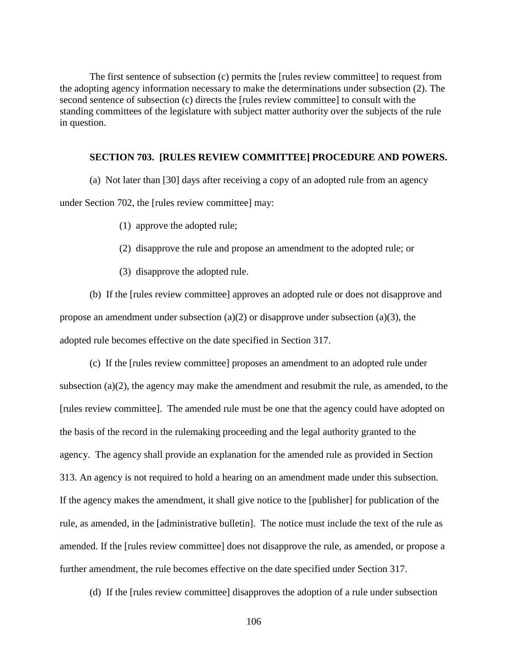The first sentence of subsection (c) permits the [rules review committee] to request from the adopting agency information necessary to make the determinations under subsection (2). The second sentence of subsection (c) directs the [rules review committee] to consult with the standing committees of the legislature with subject matter authority over the subjects of the rule in question.

# **SECTION 703. [RULES REVIEW COMMITTEE] PROCEDURE AND POWERS.**

(a) Not later than [30] days after receiving a copy of an adopted rule from an agency

under Section 702, the [rules review committee] may:

- (1) approve the adopted rule;
- (2) disapprove the rule and propose an amendment to the adopted rule; or
- (3) disapprove the adopted rule.
- (b) If the [rules review committee] approves an adopted rule or does not disapprove and propose an amendment under subsection  $(a)(2)$  or disapprove under subsection  $(a)(3)$ , the adopted rule becomes effective on the date specified in Section 317.

(c) If the [rules review committee] proposes an amendment to an adopted rule under subsection (a)(2), the agency may make the amendment and resubmit the rule, as amended, to the [rules review committee]. The amended rule must be one that the agency could have adopted on the basis of the record in the rulemaking proceeding and the legal authority granted to the agency. The agency shall provide an explanation for the amended rule as provided in Section 313. An agency is not required to hold a hearing on an amendment made under this subsection. If the agency makes the amendment, it shall give notice to the [publisher] for publication of the rule, as amended, in the [administrative bulletin]. The notice must include the text of the rule as amended. If the [rules review committee] does not disapprove the rule, as amended, or propose a further amendment, the rule becomes effective on the date specified under Section 317.

(d) If the [rules review committee] disapproves the adoption of a rule under subsection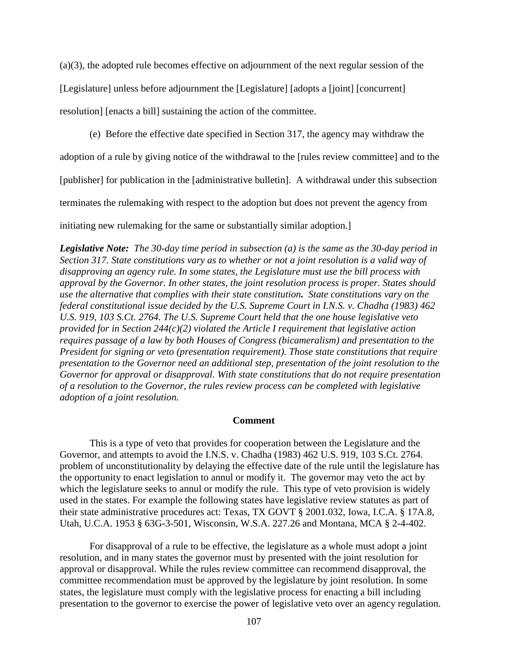(a)(3), the adopted rule becomes effective on adjournment of the next regular session of the

[Legislature] unless before adjournment the [Legislature] [adopts a [joint] [concurrent]

resolution] [enacts a bill] sustaining the action of the committee.

(e) Before the effective date specified in Section 317, the agency may withdraw the

adoption of a rule by giving notice of the withdrawal to the [rules review committee] and to the

[publisher] for publication in the [administrative bulletin]. A withdrawal under this subsection

terminates the rulemaking with respect to the adoption but does not prevent the agency from

initiating new rulemaking for the same or substantially similar adoption.]

*Legislative Note: The 30-day time period in subsection (a) is the same as the 30-day period in Section 317. State constitutions vary as to whether or not a joint resolution is a valid way of disapproving an agency rule. In some states, the Legislature must use the bill process with approval by the Governor. In other states, the joint resolution process is proper. States should use the alternative that complies with their state constitution. State constitutions vary on the federal constitutional issue decided by the U.S. Supreme Court in I.N.S. v. Chadha (1983) 462 U.S. 919, 103 S.Ct. 2764. The U.S. Supreme Court held that the one house legislative veto provided for in Section 244(c)(2) violated the Article I requirement that legislative action requires passage of a law by both Houses of Congress (bicameralism) and presentation to the President for signing or veto (presentation requirement). Those state constitutions that require presentation to the Governor need an additional step, presentation of the joint resolution to the Governor for approval or disapproval. With state constitutions that do not require presentation of a resolution to the Governor, the rules review process can be completed with legislative adoption of a joint resolution.* 

# **Comment**

This is a type of veto that provides for cooperation between the Legislature and the Governor, and attempts to avoid the I.N.S. v. Chadha (1983) 462 U.S. 919, 103 S.Ct. 2764. problem of unconstitutionality by delaying the effective date of the rule until the legislature has the opportunity to enact legislation to annul or modify it. The governor may veto the act by which the legislature seeks to annul or modify the rule. This type of veto provision is widely used in the states. For example the following states have legislative review statutes as part of their state administrative procedures act: Texas, TX GOVT § 2001.032, Iowa, I.C.A. § 17A.8, Utah, U.C.A. 1953 § 63G-3-501, Wisconsin, W.S.A. 227.26 and Montana, MCA § 2-4-402.

For disapproval of a rule to be effective, the legislature as a whole must adopt a joint resolution, and in many states the governor must by presented with the joint resolution for approval or disapproval. While the rules review committee can recommend disapproval, the committee recommendation must be approved by the legislature by joint resolution. In some states, the legislature must comply with the legislative process for enacting a bill including presentation to the governor to exercise the power of legislative veto over an agency regulation.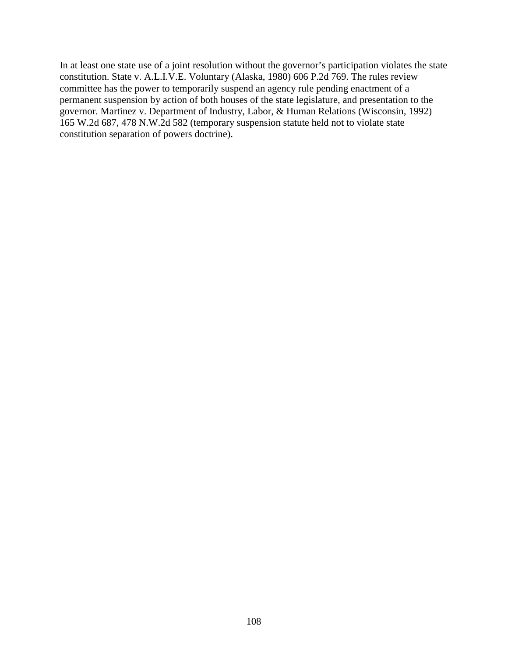In at least one state use of a joint resolution without the governor's participation violates the state constitution. State v. A.L.I.V.E. Voluntary (Alaska, 1980) 606 P.2d 769. The rules review committee has the power to temporarily suspend an agency rule pending enactment of a permanent suspension by action of both houses of the state legislature, and presentation to the governor. Martinez v. Department of Industry, Labor, & Human Relations (Wisconsin, 1992) 165 W.2d 687, 478 N.W.2d 582 (temporary suspension statute held not to violate state constitution separation of powers doctrine).